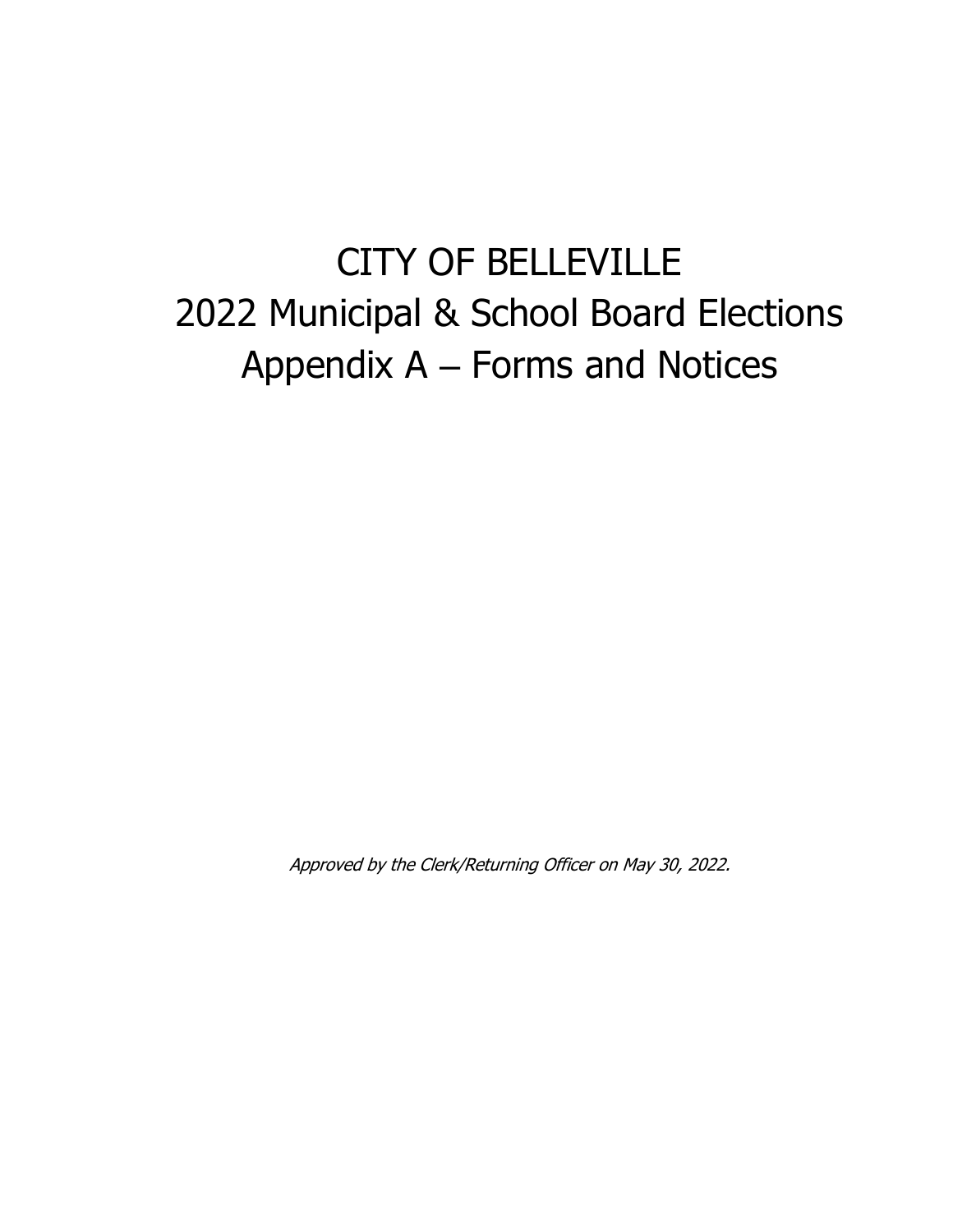# CITY OF BELLEVILLE 2022 Municipal & School Board Elections Appendix A – Forms and Notices

Approved by the Clerk/Returning Officer on May 30, 2022.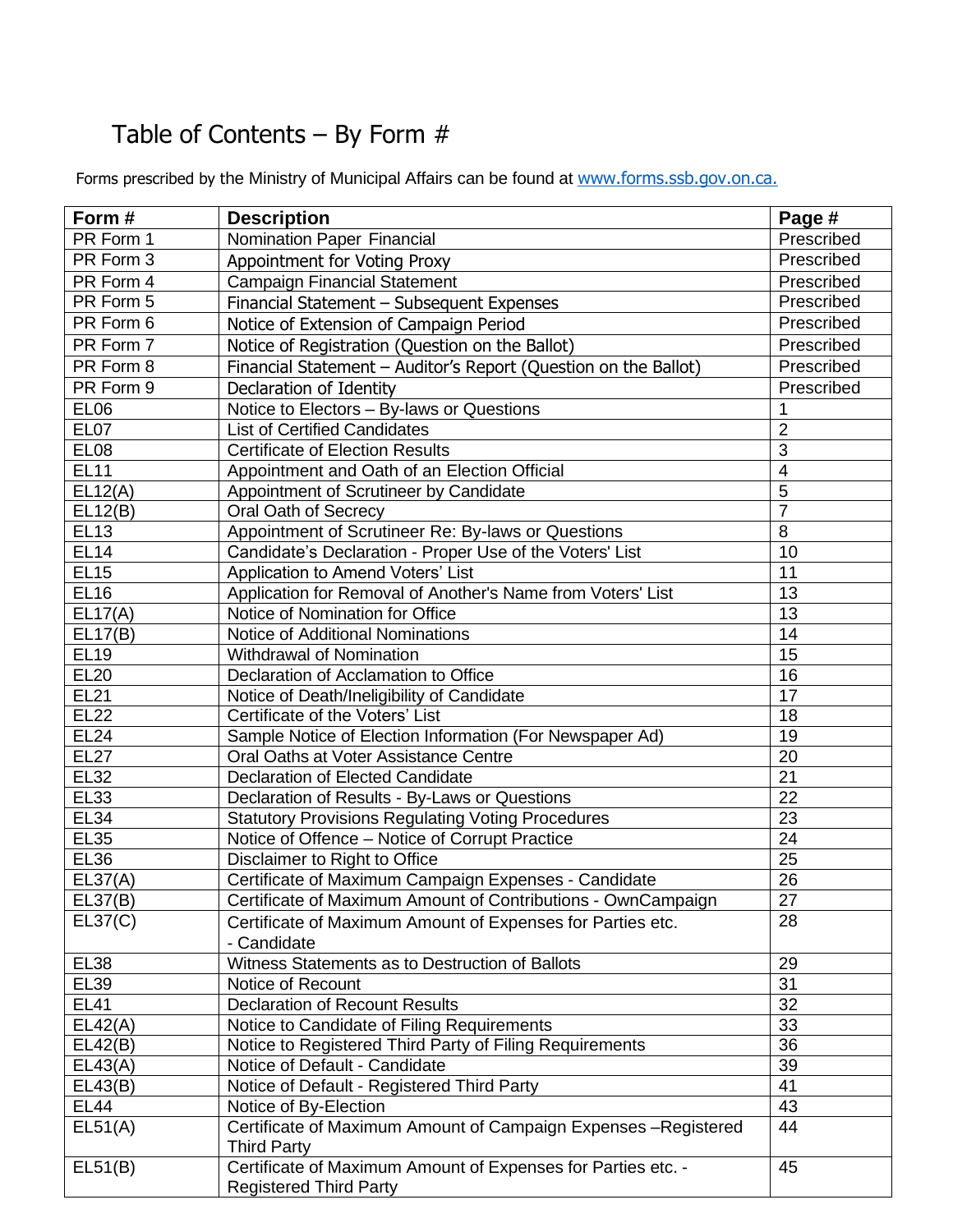# Table of Contents – By Form  $#$

Forms prescribed by the Ministry of Municipal Affairs can be found at [www.forms.ssb.gov.on.ca.](http://www.forms.ssb.gov.on.ca/)

| Form #           | <b>Description</b>                                                                            | Page #         |
|------------------|-----------------------------------------------------------------------------------------------|----------------|
| PR Form 1        | Nomination Paper Financial                                                                    | Prescribed     |
| PR Form 3        | Appointment for Voting Proxy                                                                  | Prescribed     |
| PR Form 4        | <b>Campaign Financial Statement</b>                                                           | Prescribed     |
| PR Form 5        | Financial Statement - Subsequent Expenses                                                     | Prescribed     |
| PR Form 6        | Notice of Extension of Campaign Period                                                        | Prescribed     |
| PR Form 7        | Notice of Registration (Question on the Ballot)                                               | Prescribed     |
| PR Form 8        | Financial Statement - Auditor's Report (Question on the Ballot)                               | Prescribed     |
| PR Form 9        | Declaration of Identity                                                                       | Prescribed     |
| <b>EL06</b>      | Notice to Electors - By-laws or Questions                                                     | 1              |
| EL07             | <b>List of Certified Candidates</b>                                                           | $\overline{2}$ |
| EL <sub>08</sub> | <b>Certificate of Election Results</b>                                                        | 3              |
| <b>EL11</b>      | Appointment and Oath of an Election Official                                                  | 4              |
| EL12(A)          | Appointment of Scrutineer by Candidate                                                        | $\overline{5}$ |
| EL12(B)          | Oral Oath of Secrecy                                                                          | $\overline{7}$ |
| <b>EL13</b>      | Appointment of Scrutineer Re: By-laws or Questions                                            | 8              |
| <b>EL14</b>      | Candidate's Declaration - Proper Use of the Voters' List                                      | 10             |
| <b>EL15</b>      | <b>Application to Amend Voters' List</b>                                                      | 11             |
| <b>EL16</b>      | Application for Removal of Another's Name from Voters' List                                   | 13             |
| EL17(A)          | Notice of Nomination for Office                                                               | 13             |
| EL17(B)          | Notice of Additional Nominations                                                              | 14             |
| <b>EL19</b>      | Withdrawal of Nomination                                                                      | 15             |
| <b>EL20</b>      | Declaration of Acclamation to Office                                                          | 16             |
| <b>EL21</b>      | Notice of Death/Ineligibility of Candidate                                                    | 17             |
| <b>EL22</b>      | Certificate of the Voters' List                                                               | 18             |
| <b>EL24</b>      | Sample Notice of Election Information (For Newspaper Ad)                                      | 19             |
| <b>EL27</b>      | Oral Oaths at Voter Assistance Centre                                                         | 20             |
| <b>EL32</b>      | Declaration of Elected Candidate                                                              | 21             |
| <b>EL33</b>      | Declaration of Results - By-Laws or Questions                                                 | 22             |
| EL <sub>34</sub> | <b>Statutory Provisions Regulating Voting Procedures</b>                                      | 23             |
| <b>EL35</b>      | Notice of Offence - Notice of Corrupt Practice                                                | 24             |
| <b>EL36</b>      | Disclaimer to Right to Office                                                                 | 25             |
| EL37(A)          | Certificate of Maximum Campaign Expenses - Candidate                                          | 26             |
| EL37(B)          | Certificate of Maximum Amount of Contributions - OwnCampaign                                  | 27             |
| EL37(C)          | Certificate of Maximum Amount of Expenses for Parties etc.<br>- Candidate                     | 28             |
| EL <sub>38</sub> | Witness Statements as to Destruction of Ballots                                               | 29             |
| <b>EL39</b>      | Notice of Recount                                                                             | 31             |
| <b>EL41</b>      | <b>Declaration of Recount Results</b>                                                         | 32             |
| EL42(A)          | Notice to Candidate of Filing Requirements                                                    | 33             |
| EL42(B)          | Notice to Registered Third Party of Filing Requirements                                       | 36             |
| EL43(A)          | Notice of Default - Candidate                                                                 | 39             |
| EL43(B)          | Notice of Default - Registered Third Party                                                    | 41             |
| <b>EL44</b>      | Notice of By-Election                                                                         | 43             |
| EL51(A)          | Certificate of Maximum Amount of Campaign Expenses - Registered<br><b>Third Party</b>         | 44             |
| EL51(B)          | Certificate of Maximum Amount of Expenses for Parties etc. -<br><b>Registered Third Party</b> | 45             |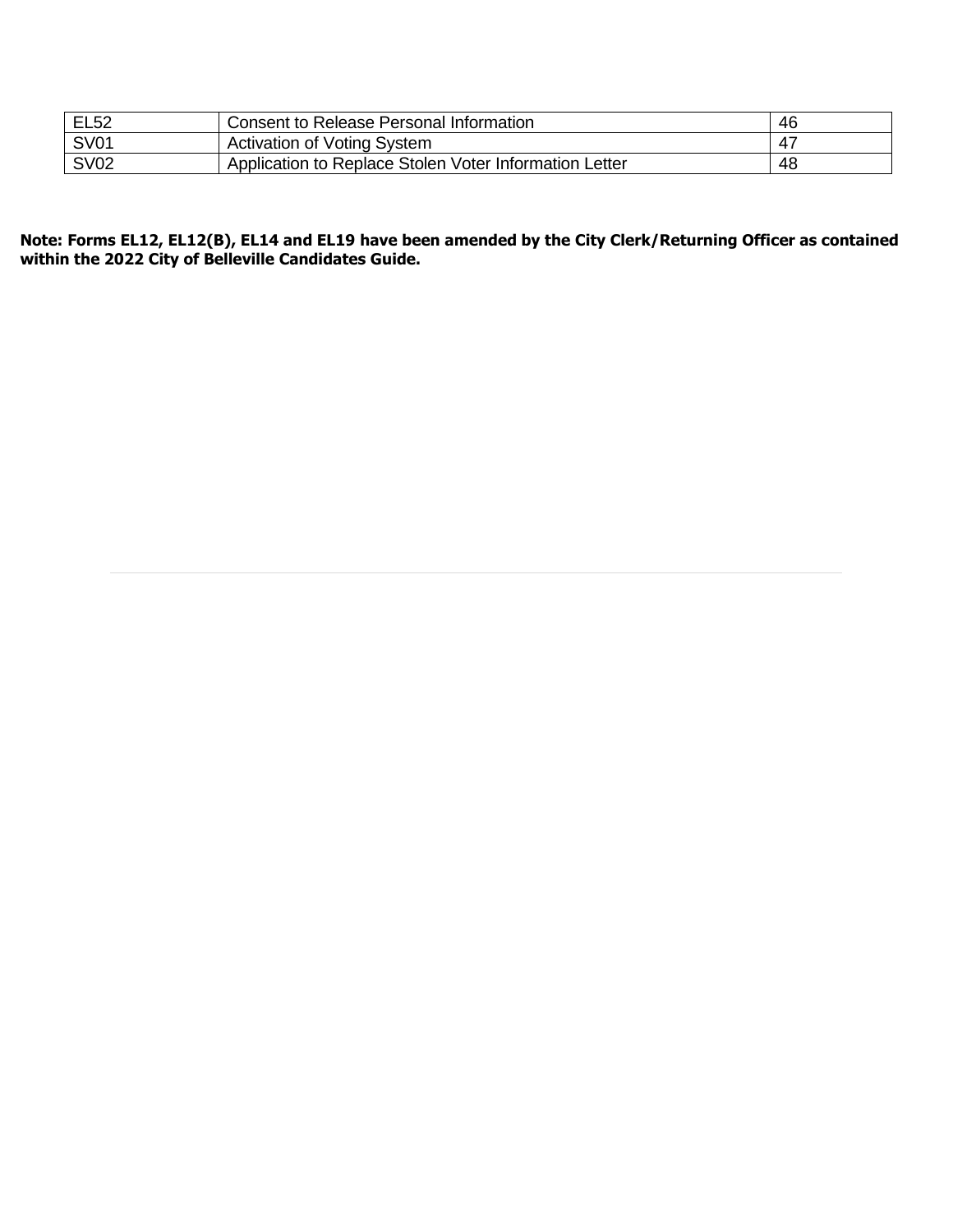| <b>EL52</b> | Consent to Release Personal Information                | 46 |
|-------------|--------------------------------------------------------|----|
| <b>SV01</b> | <b>Activation of Voting System</b>                     |    |
| <b>SV02</b> | Application to Replace Stolen Voter Information Letter | 48 |

#### **Note: Forms EL12, EL12(B), EL14 and EL19 have been amended by the City Clerk/Returning Officer as contained within the 2022 City of Belleville Candidates Guide.**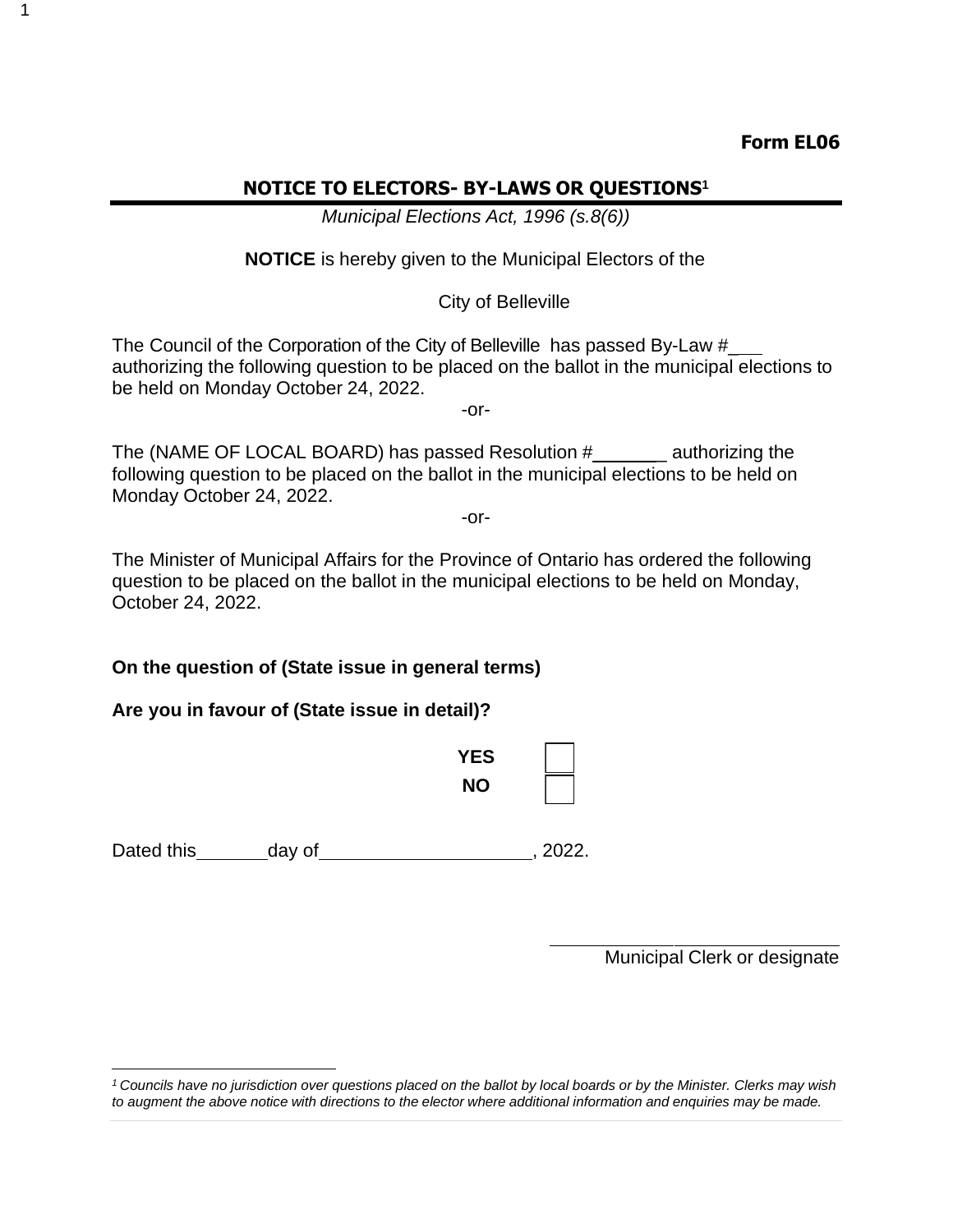# **NOTICE TO ELECTORS- BY-LAWS OR QUESTIONS<sup>1</sup>**

*Municipal Elections Act, 1996 (s.8(6))*

**NOTICE** is hereby given to the Municipal Electors of the

# City of Belleville

The Council of the Corporation of the City of Belleville has passed By-Law #\_ authorizing the following question to be placed on the ballot in the municipal elections to be held on Monday October 24, 2022.

-or-

The (NAME OF LOCAL BOARD) has passed Resolution  $\#$  \_\_\_\_\_\_\_ authorizing the following question to be placed on the ballot in the municipal elections to be held on Monday October 24, 2022.

-or-

The Minister of Municipal Affairs for the Province of Ontario has ordered the following question to be placed on the ballot in the municipal elections to be held on Monday, October 24, 2022.

# **On the question of (State issue in general terms)**

# **Are you in favour of (State issue in detail)?**

**YES NO**

Dated this day of the case of the case of the case of the case of the case of the case of the case of the case of the case of the case of the case of the case of the case of the case of the case of the case of the case of

Municipal Clerk or designate

1

*<sup>1</sup>Councils have no jurisdiction over questions placed on the ballot by local boards or by the Minister. Clerks may wish* to augment the above notice with directions to the elector where additional information and enguiries may be made.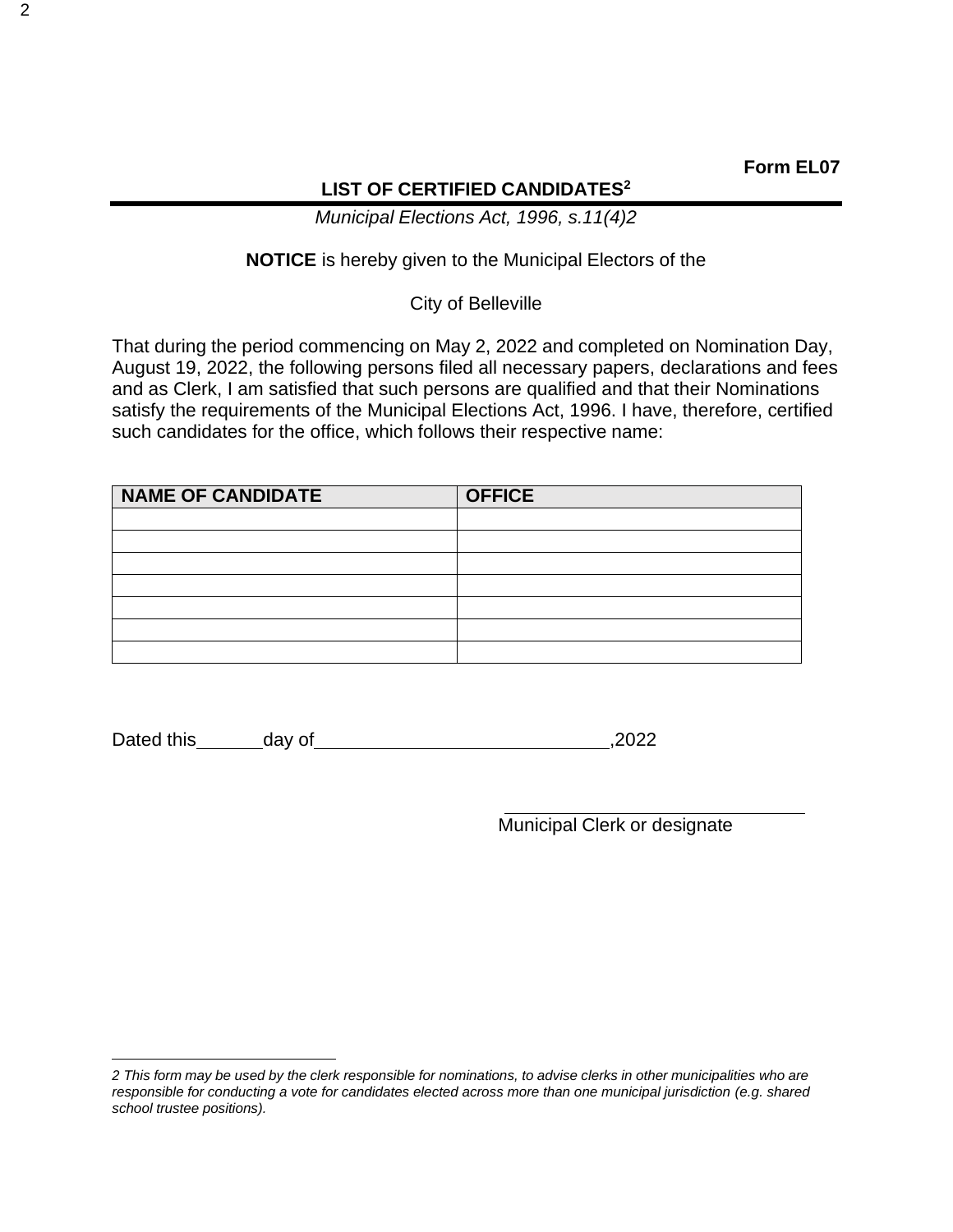# **LIST OF CERTIFIED CANDIDATES<sup>2</sup>**

*Municipal Elections Act, 1996, s.11(4)2*

# **NOTICE** is hereby given to the Municipal Electors of the

# City of Belleville

That during the period commencing on May 2, 2022 and completed on Nomination Day, August 19, 2022, the following persons filed all necessary papers, declarations and fees and as Clerk, I am satisfied that such persons are qualified and that their Nominations satisfy the requirements of the Municipal Elections Act, 1996. I have, therefore, certified such candidates for the office, which follows their respective name:

| <b>NAME OF CANDIDATE</b> | <b>OFFICE</b> |
|--------------------------|---------------|
|                          |               |
|                          |               |
|                          |               |
|                          |               |
|                          |               |
|                          |               |
|                          |               |

| Dated this<br>day of | .2022 |
|----------------------|-------|
|----------------------|-------|

<sup>2</sup> This form may be used by the clerk responsible for nominations, to advise clerks in other municipalities who are *responsible for conducting a vote for candidates elected across more than one municipal jurisdiction (e.g. shared school trustee positions).*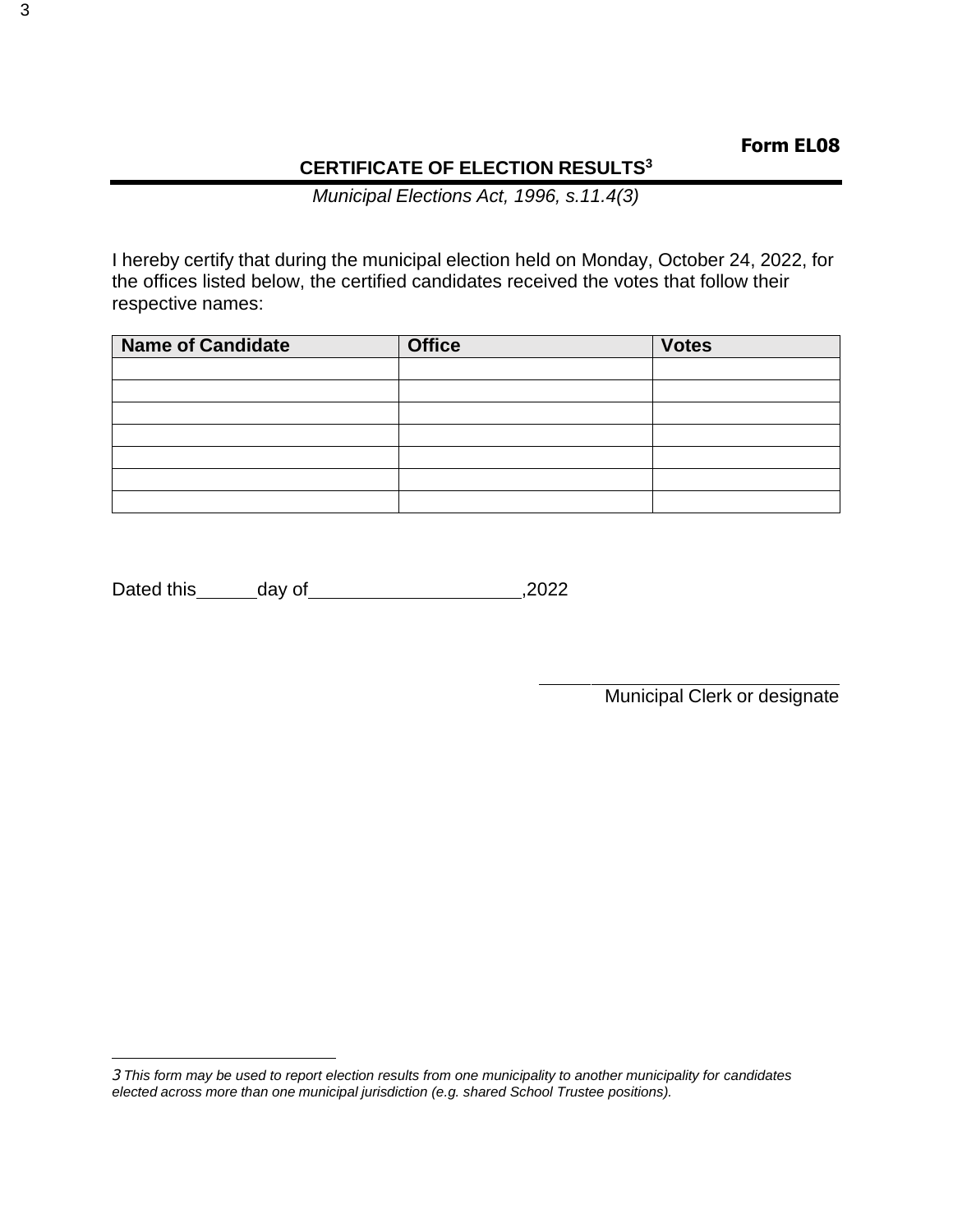# **CERTIFICATE OF ELECTION RESULTS<sup>3</sup>**

*Municipal Elections Act, 1996, s.11.4(3)*

I hereby certify that during the municipal election held on Monday, October 24, 2022, for the offices listed below, the certified candidates received the votes that follow their respective names:

| <b>Name of Candidate</b> | <b>Office</b> | <b>Votes</b> |
|--------------------------|---------------|--------------|
|                          |               |              |
|                          |               |              |
|                          |               |              |
|                          |               |              |
|                          |               |              |
|                          |               |              |
|                          |               |              |

Dated this day of ,2022

*<sup>3</sup> This form may be used to report election results from one municipality to another municipality for candidates elected across more than one municipal jurisdiction (e.g. shared School Trustee positions).*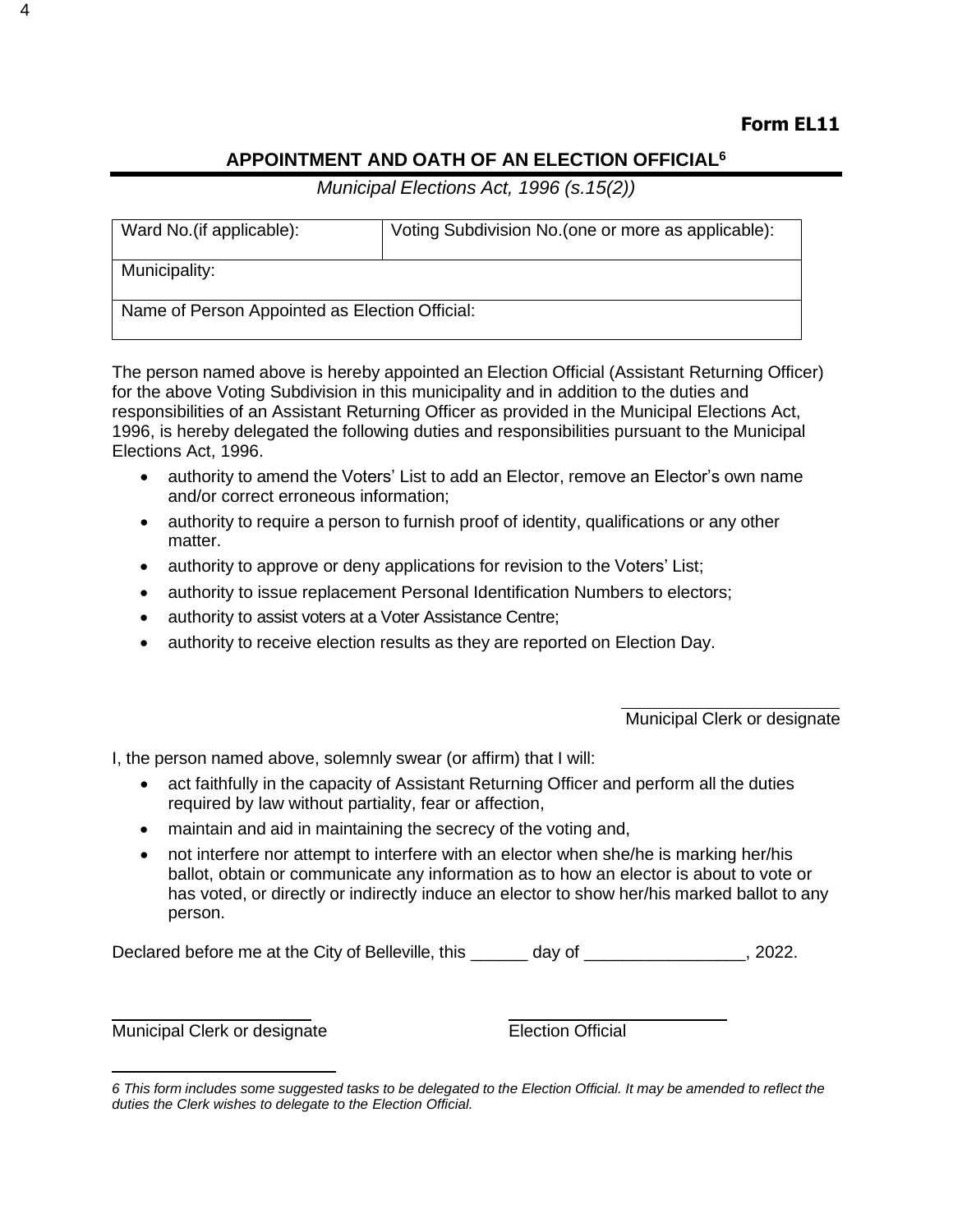# **APPOINTMENT AND OATH OF AN ELECTION OFFICIAL<sup>6</sup>**

*Municipal Elections Act, 1996 (s.15(2))*

| Ward No. (if applicable):                      | Voting Subdivision No. (one or more as applicable): |  |
|------------------------------------------------|-----------------------------------------------------|--|
| Municipality:                                  |                                                     |  |
| Name of Person Appointed as Election Official: |                                                     |  |

The person named above is hereby appointed an Election Official (Assistant Returning Officer) for the above Voting Subdivision in this municipality and in addition to the duties and responsibilities of an Assistant Returning Officer as provided in the Municipal Elections Act, 1996, is hereby delegated the following duties and responsibilities pursuant to the Municipal Elections Act, 1996.

- authority to amend the Voters' List to add an Elector, remove an Elector's own name and/or correct erroneous information;
- authority to require a person to furnish proof of identity, qualifications or any other matter.
- authority to approve or deny applications for revision to the Voters' List;
- authority to issue replacement Personal Identification Numbers to electors;
- authority to assist voters at a Voter Assistance Centre;
- authority to receive election results as they are reported on Election Day.

Municipal Clerk or designate

I, the person named above, solemnly swear (or affirm) that I will:

- act faithfully in the capacity of Assistant Returning Officer and perform all the duties required by law without partiality, fear or affection,
- maintain and aid in maintaining the secrecy of the voting and,
- not interfere nor attempt to interfere with an elector when she/he is marking her/his ballot, obtain or communicate any information as to how an elector is about to vote or has voted, or directly or indirectly induce an elector to show her/his marked ballot to any person.

Declared before me at the City of Belleville, this \_\_\_\_\_\_ day of \_\_\_\_\_\_\_\_\_\_\_\_\_\_\_, 2022.

Municipal Clerk or designate Election Official

<sup>6</sup> This form includes some suggested tasks to be delegated to the Election Official. It may be amended to reflect the *duties the Clerk wishes to delegate to the Election Official.*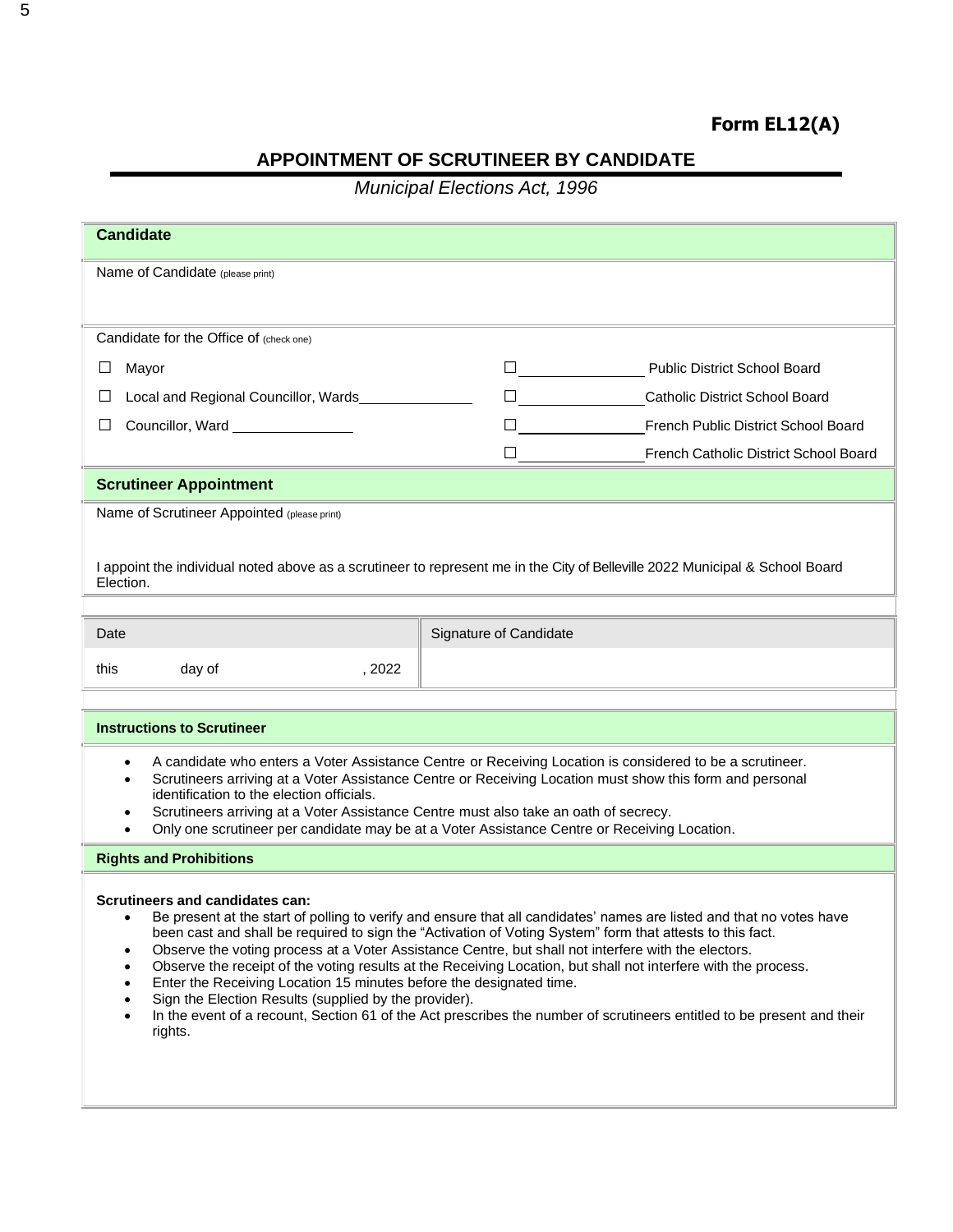# **Form EL12(A)**

# **APPOINTMENT OF SCRUTINEER BY CANDIDATE**

*Municipal Elections Act, 1996*

| <b>Candidate</b>                                                                                                                                                                                                                                                                                                                                                                                                                                                                                                                                                                                                                                                                                                                                                                                         |                                                                                                                              |  |  |
|----------------------------------------------------------------------------------------------------------------------------------------------------------------------------------------------------------------------------------------------------------------------------------------------------------------------------------------------------------------------------------------------------------------------------------------------------------------------------------------------------------------------------------------------------------------------------------------------------------------------------------------------------------------------------------------------------------------------------------------------------------------------------------------------------------|------------------------------------------------------------------------------------------------------------------------------|--|--|
| Name of Candidate (please print)                                                                                                                                                                                                                                                                                                                                                                                                                                                                                                                                                                                                                                                                                                                                                                         |                                                                                                                              |  |  |
|                                                                                                                                                                                                                                                                                                                                                                                                                                                                                                                                                                                                                                                                                                                                                                                                          |                                                                                                                              |  |  |
| Candidate for the Office of (check one)                                                                                                                                                                                                                                                                                                                                                                                                                                                                                                                                                                                                                                                                                                                                                                  |                                                                                                                              |  |  |
| Mayor<br>ப                                                                                                                                                                                                                                                                                                                                                                                                                                                                                                                                                                                                                                                                                                                                                                                               | Public District School Board                                                                                                 |  |  |
| Local and Regional Councillor, Wards                                                                                                                                                                                                                                                                                                                                                                                                                                                                                                                                                                                                                                                                                                                                                                     | <b>Catholic District School Board</b>                                                                                        |  |  |
| Councillor, Ward<br>H                                                                                                                                                                                                                                                                                                                                                                                                                                                                                                                                                                                                                                                                                                                                                                                    | French Public District School Board                                                                                          |  |  |
|                                                                                                                                                                                                                                                                                                                                                                                                                                                                                                                                                                                                                                                                                                                                                                                                          | French Catholic District School Board                                                                                        |  |  |
| <b>Scrutineer Appointment</b>                                                                                                                                                                                                                                                                                                                                                                                                                                                                                                                                                                                                                                                                                                                                                                            |                                                                                                                              |  |  |
| Name of Scrutineer Appointed (please print)                                                                                                                                                                                                                                                                                                                                                                                                                                                                                                                                                                                                                                                                                                                                                              |                                                                                                                              |  |  |
|                                                                                                                                                                                                                                                                                                                                                                                                                                                                                                                                                                                                                                                                                                                                                                                                          |                                                                                                                              |  |  |
| Election.                                                                                                                                                                                                                                                                                                                                                                                                                                                                                                                                                                                                                                                                                                                                                                                                | I appoint the individual noted above as a scrutineer to represent me in the City of Belleville 2022 Municipal & School Board |  |  |
|                                                                                                                                                                                                                                                                                                                                                                                                                                                                                                                                                                                                                                                                                                                                                                                                          |                                                                                                                              |  |  |
| Date                                                                                                                                                                                                                                                                                                                                                                                                                                                                                                                                                                                                                                                                                                                                                                                                     | Signature of Candidate                                                                                                       |  |  |
| day of<br>,2022<br>this                                                                                                                                                                                                                                                                                                                                                                                                                                                                                                                                                                                                                                                                                                                                                                                  |                                                                                                                              |  |  |
|                                                                                                                                                                                                                                                                                                                                                                                                                                                                                                                                                                                                                                                                                                                                                                                                          |                                                                                                                              |  |  |
| <b>Instructions to Scrutineer</b>                                                                                                                                                                                                                                                                                                                                                                                                                                                                                                                                                                                                                                                                                                                                                                        |                                                                                                                              |  |  |
| A candidate who enters a Voter Assistance Centre or Receiving Location is considered to be a scrutineer.<br>٠<br>Scrutineers arriving at a Voter Assistance Centre or Receiving Location must show this form and personal<br>identification to the election officials.<br>Scrutineers arriving at a Voter Assistance Centre must also take an oath of secrecy.<br>Only one scrutineer per candidate may be at a Voter Assistance Centre or Receiving Location.                                                                                                                                                                                                                                                                                                                                           |                                                                                                                              |  |  |
| <b>Rights and Prohibitions</b>                                                                                                                                                                                                                                                                                                                                                                                                                                                                                                                                                                                                                                                                                                                                                                           |                                                                                                                              |  |  |
| <b>Scrutineers and candidates can:</b><br>Be present at the start of polling to verify and ensure that all candidates' names are listed and that no votes have<br>٠<br>been cast and shall be required to sign the "Activation of Voting System" form that attests to this fact.<br>Observe the voting process at a Voter Assistance Centre, but shall not interfere with the electors.<br>$\bullet$<br>Observe the receipt of the voting results at the Receiving Location, but shall not interfere with the process.<br>Enter the Receiving Location 15 minutes before the designated time.<br>$\bullet$<br>Sign the Election Results (supplied by the provider).<br>In the event of a recount, Section 61 of the Act prescribes the number of scrutineers entitled to be present and their<br>rights. |                                                                                                                              |  |  |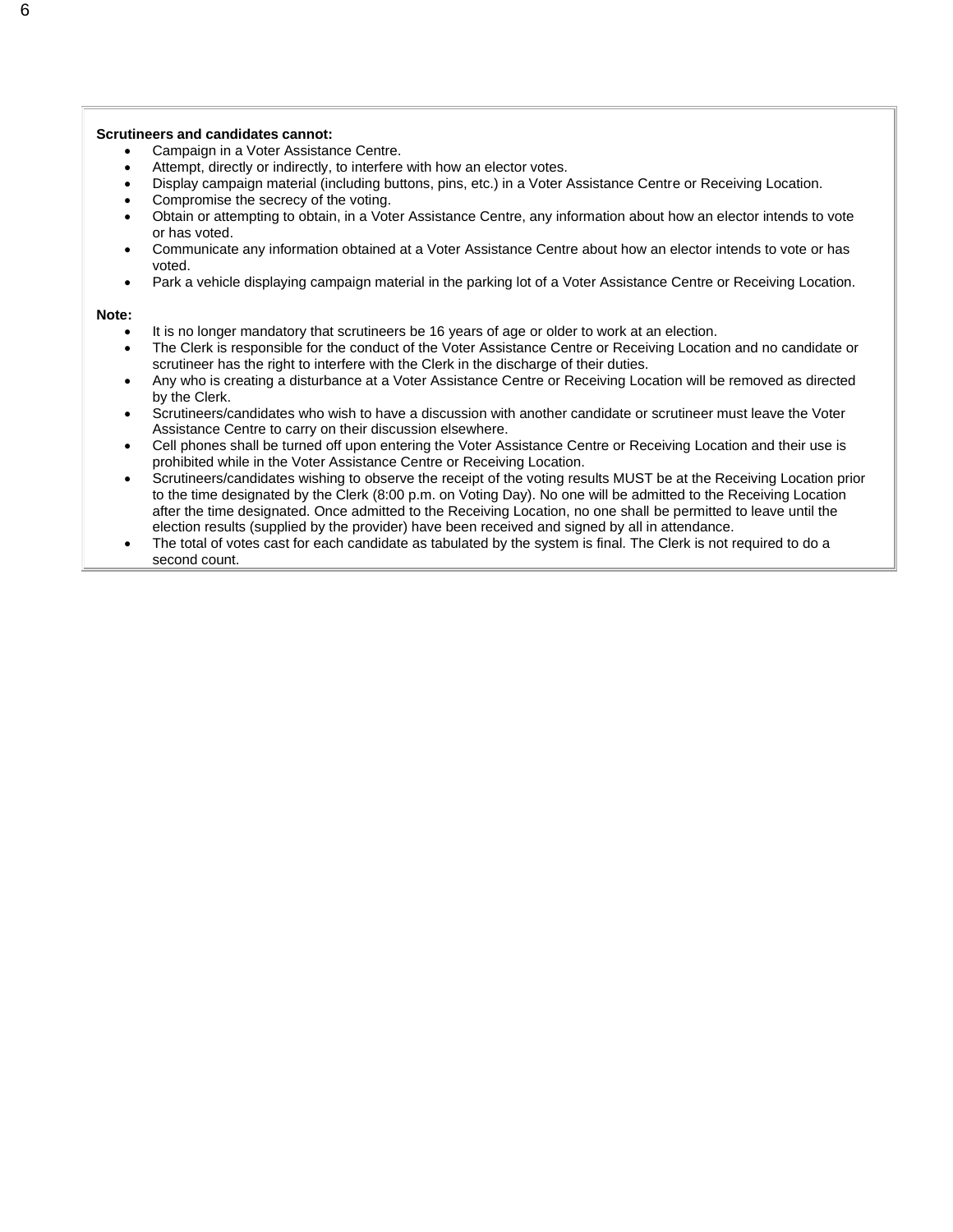#### **Scrutineers and candidates cannot:**

- Campaign in a Voter Assistance Centre.
- Attempt, directly or indirectly, to interfere with how an elector votes.
- Display campaign material (including buttons, pins, etc.) in a Voter Assistance Centre or Receiving Location.
- Compromise the secrecy of the voting.
- Obtain or attempting to obtain, in a Voter Assistance Centre, any information about how an elector intends to vote or has voted.
- Communicate any information obtained at a Voter Assistance Centre about how an elector intends to vote or has voted.
- Park a vehicle displaying campaign material in the parking lot of a Voter Assistance Centre or Receiving Location.

#### **Note:**

- It is no longer mandatory that scrutineers be 16 years of age or older to work at an election.
- The Clerk is responsible for the conduct of the Voter Assistance Centre or Receiving Location and no candidate or scrutineer has the right to interfere with the Clerk in the discharge of their duties.
- Any who is creating a disturbance at a Voter Assistance Centre or Receiving Location will be removed as directed by the Clerk.
- Scrutineers/candidates who wish to have a discussion with another candidate or scrutineer must leave the Voter Assistance Centre to carry on their discussion elsewhere.
- Cell phones shall be turned off upon entering the Voter Assistance Centre or Receiving Location and their use is prohibited while in the Voter Assistance Centre or Receiving Location.
- Scrutineers/candidates wishing to observe the receipt of the voting results MUST be at the Receiving Location prior to the time designated by the Clerk (8:00 p.m. on Voting Day). No one will be admitted to the Receiving Location after the time designated. Once admitted to the Receiving Location, no one shall be permitted to leave until the election results (supplied by the provider) have been received and signed by all in attendance.
- The total of votes cast for each candidate as tabulated by the system is final. The Clerk is not required to do a second count.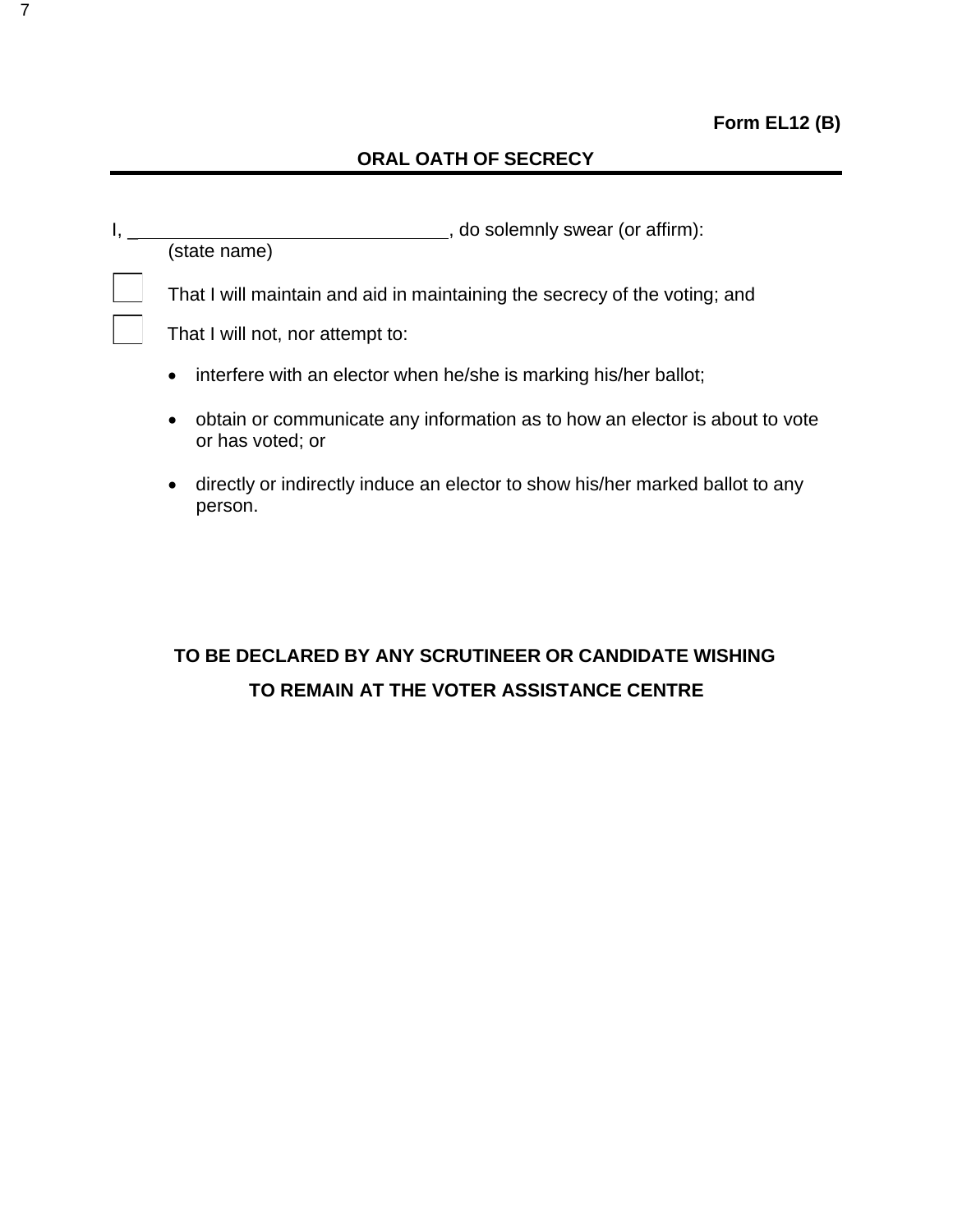# **ORAL OATH OF SECRECY**

| , do solemnly swear (or affirm):                                                                             |
|--------------------------------------------------------------------------------------------------------------|
| (state name)                                                                                                 |
| That I will maintain and aid in maintaining the secrecy of the voting; and                                   |
| That I will not, nor attempt to:                                                                             |
| interfere with an elector when he/she is marking his/her ballot;<br>$\bullet$                                |
| obtain or communicate any information as to how an elector is about to vote<br>$\bullet$<br>or has voted; or |
| directly or indirectly induce an elector to show his/her marked ballot to any<br>person.                     |

# **TO BE DECLARED BY ANY SCRUTINEER OR CANDIDATE WISHING TO REMAIN AT THE VOTER ASSISTANCE CENTRE**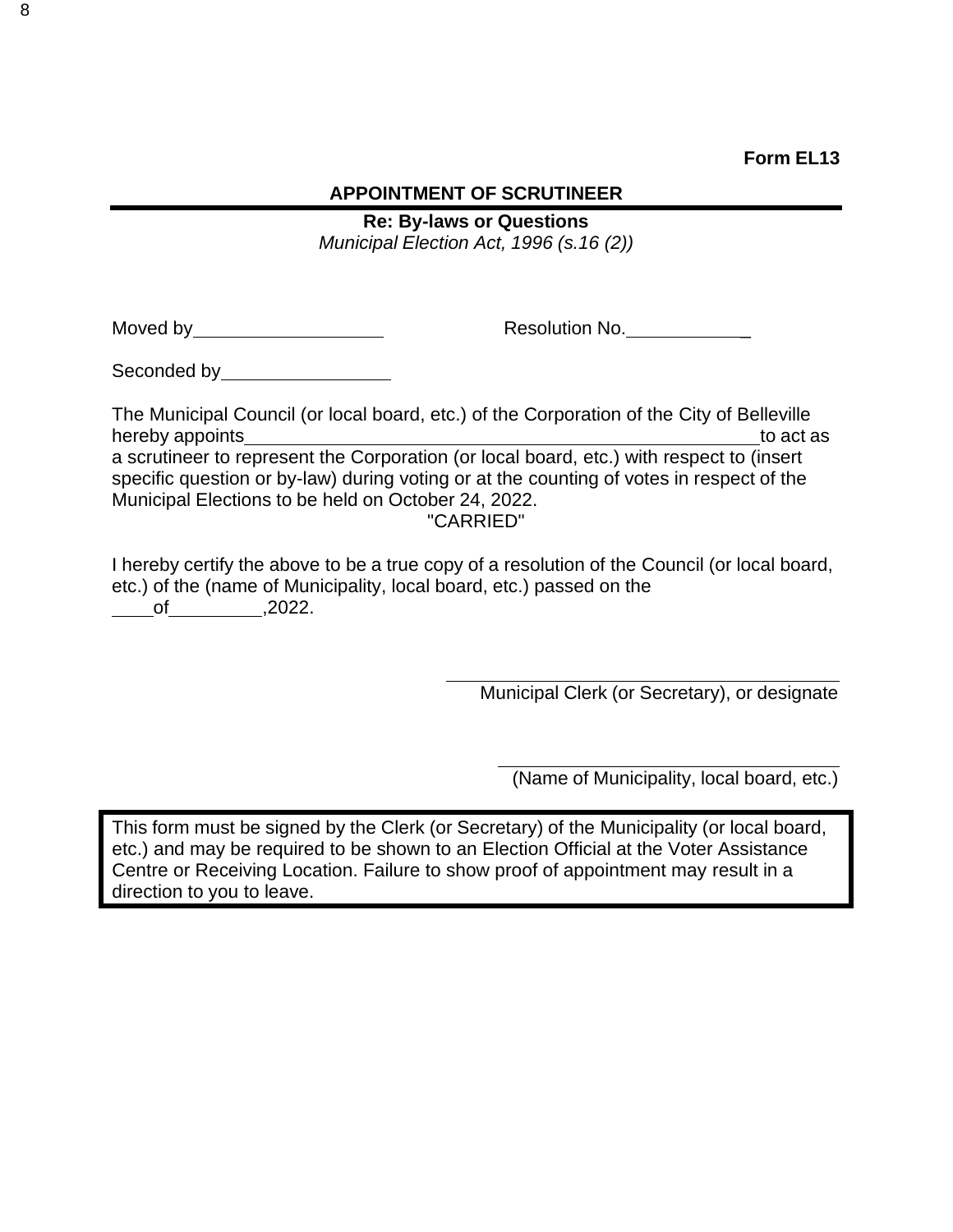# **APPOINTMENT OF SCRUTINEER**

**Re: By-laws or Questions**

*Municipal Election Act, 1996 (s.16 (2))*

Moved by Resolution No. \_

Seconded by **Seconded** by **Seconded** by **Seconded** by **Seconded** by **Seconded** by **Seconded** by **Seconded** by **Seconded** by **Seconded** by **Seconded** by **Seconded** by **Seconded** by **Seconded** by **Seconded** by **Seconded** by

The Municipal Council (or local board, etc.) of the Corporation of the City of Belleville hereby appoints to act as a scrutineer to represent the Corporation (or local board, etc.) with respect to (insert specific question or by-law) during voting or at the counting of votes in respect of the Municipal Elections to be held on October 24, 2022.

### "CARRIED"

I hereby certify the above to be a true copy of a resolution of the Council (or local board, etc.) of the (name of Municipality, local board, etc.) passed on the of ,2022.

Municipal Clerk (or Secretary), or designate

(Name of Municipality, local board, etc.)

This form must be signed by the Clerk (or Secretary) of the Municipality (or local board, etc.) and may be required to be shown to an Election Official at the Voter Assistance Centre or Receiving Location. Failure to show proof of appointment may result in a direction to you to leave.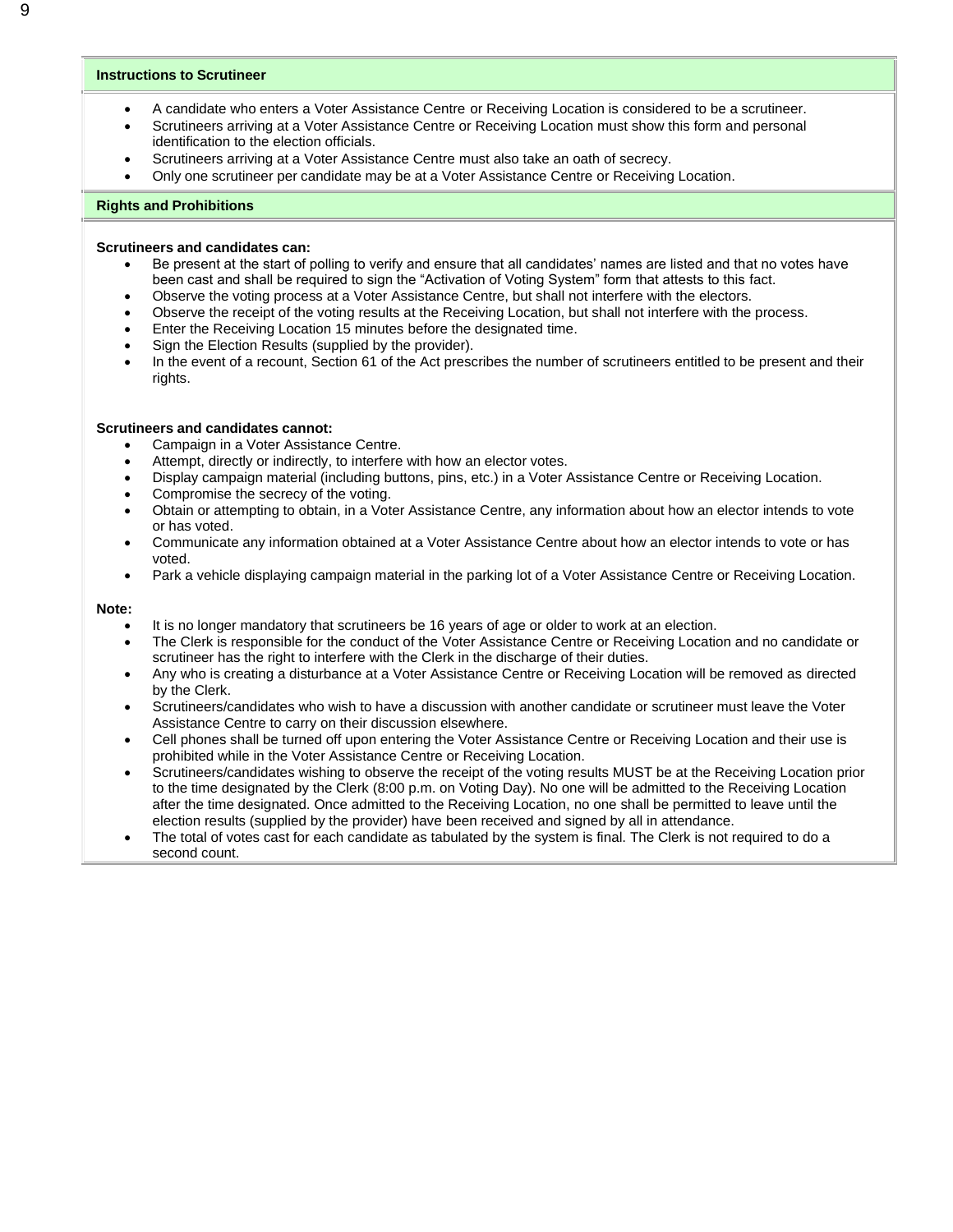#### **Instructions to Scrutineer**

- A candidate who enters a Voter Assistance Centre or Receiving Location is considered to be a scrutineer.
- Scrutineers arriving at a Voter Assistance Centre or Receiving Location must show this form and personal identification to the election officials.
- Scrutineers arriving at a Voter Assistance Centre must also take an oath of secrecy.
- Only one scrutineer per candidate may be at a Voter Assistance Centre or Receiving Location.

#### **Rights and Prohibitions**

#### **Scrutineers and candidates can:**

- Be present at the start of polling to verify and ensure that all candidates' names are listed and that no votes have been cast and shall be required to sign the "Activation of Voting System" form that attests to this fact.
- Observe the voting process at a Voter Assistance Centre, but shall not interfere with the electors.
- Observe the receipt of the voting results at the Receiving Location, but shall not interfere with the process.
- Enter the Receiving Location 15 minutes before the designated time.
- Sign the Election Results (supplied by the provider).
- In the event of a recount, Section 61 of the Act prescribes the number of scrutineers entitled to be present and their rights.

#### **Scrutineers and candidates cannot:**

- Campaign in a Voter Assistance Centre.
- Attempt, directly or indirectly, to interfere with how an elector votes.
- Display campaign material (including buttons, pins, etc.) in a Voter Assistance Centre or Receiving Location.
- Compromise the secrecy of the voting.
- Obtain or attempting to obtain, in a Voter Assistance Centre, any information about how an elector intends to vote or has voted.
- Communicate any information obtained at a Voter Assistance Centre about how an elector intends to vote or has voted.
- Park a vehicle displaying campaign material in the parking lot of a Voter Assistance Centre or Receiving Location.

#### **Note:**

- It is no longer mandatory that scrutineers be 16 years of age or older to work at an election.
- The Clerk is responsible for the conduct of the Voter Assistance Centre or Receiving Location and no candidate or scrutineer has the right to interfere with the Clerk in the discharge of their duties.
- Any who is creating a disturbance at a Voter Assistance Centre or Receiving Location will be removed as directed by the Clerk.
- Scrutineers/candidates who wish to have a discussion with another candidate or scrutineer must leave the Voter Assistance Centre to carry on their discussion elsewhere.
- Cell phones shall be turned off upon entering the Voter Assistance Centre or Receiving Location and their use is prohibited while in the Voter Assistance Centre or Receiving Location.
- Scrutineers/candidates wishing to observe the receipt of the voting results MUST be at the Receiving Location prior to the time designated by the Clerk (8:00 p.m. on Voting Day). No one will be admitted to the Receiving Location after the time designated. Once admitted to the Receiving Location, no one shall be permitted to leave until the election results (supplied by the provider) have been received and signed by all in attendance.
- The total of votes cast for each candidate as tabulated by the system is final. The Clerk is not required to do a second count.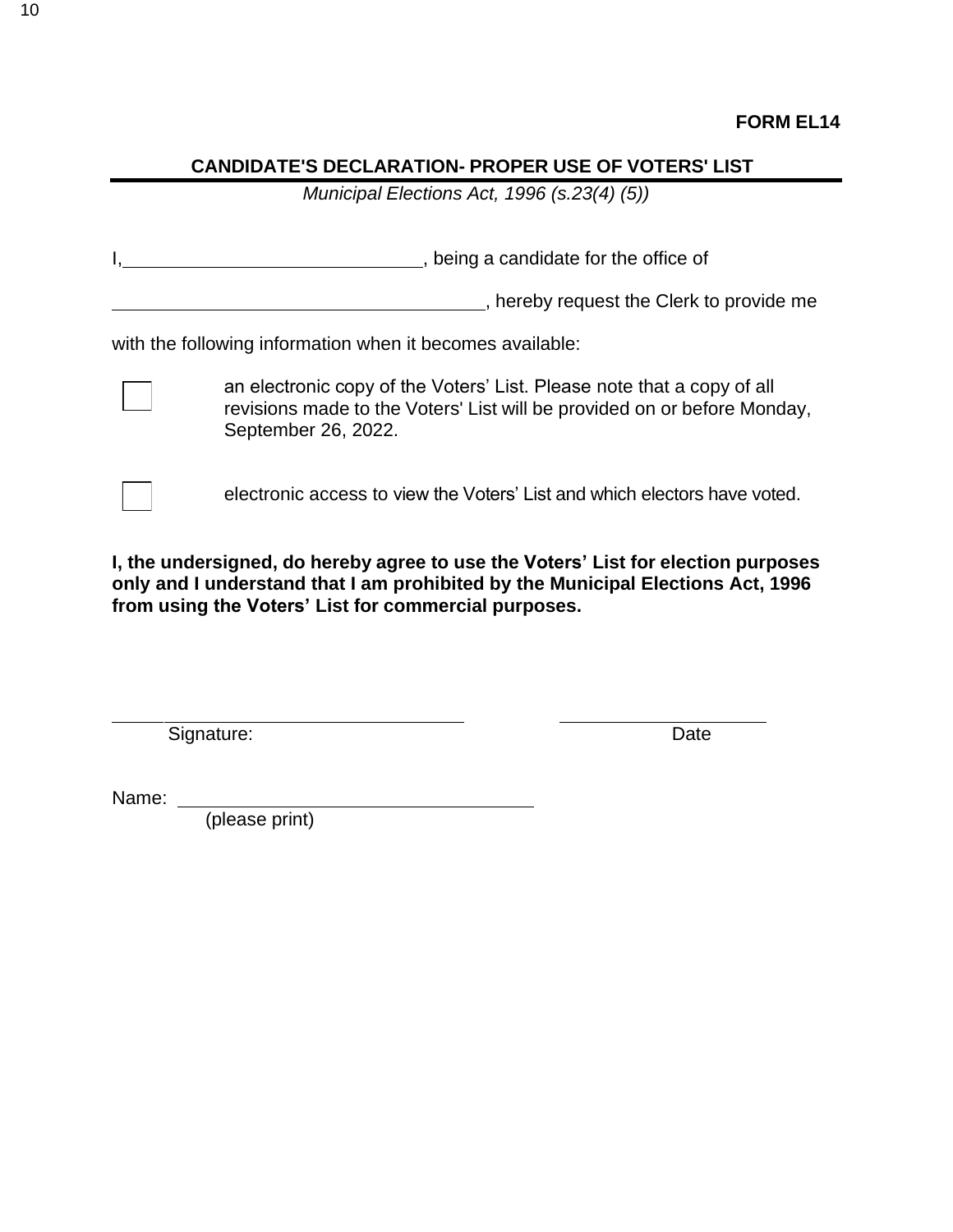# **CANDIDATE'S DECLARATION- PROPER USE OF VOTERS' LIST**

*Municipal Elections Act, 1996 (s.23(4) (5))*

I,  $\frac{1}{2}$  , being a candidate for the office of

, hereby request the Clerk to provide me

with the following information when it becomes available:



an electronic copy of the Voters' List. Please note that a copy of all revisions made to the Voters' List will be provided on or before Monday, September 26, 2022.



electronic access to view the Voters' List and which electors have voted.

**I, the undersigned, do hereby agree to use the Voters' List for election purposes only and I understand that I am prohibited by the Municipal Elections Act, 1996 from using the Voters' List for commercial purposes.**

Signature: Date

Name:

(please print)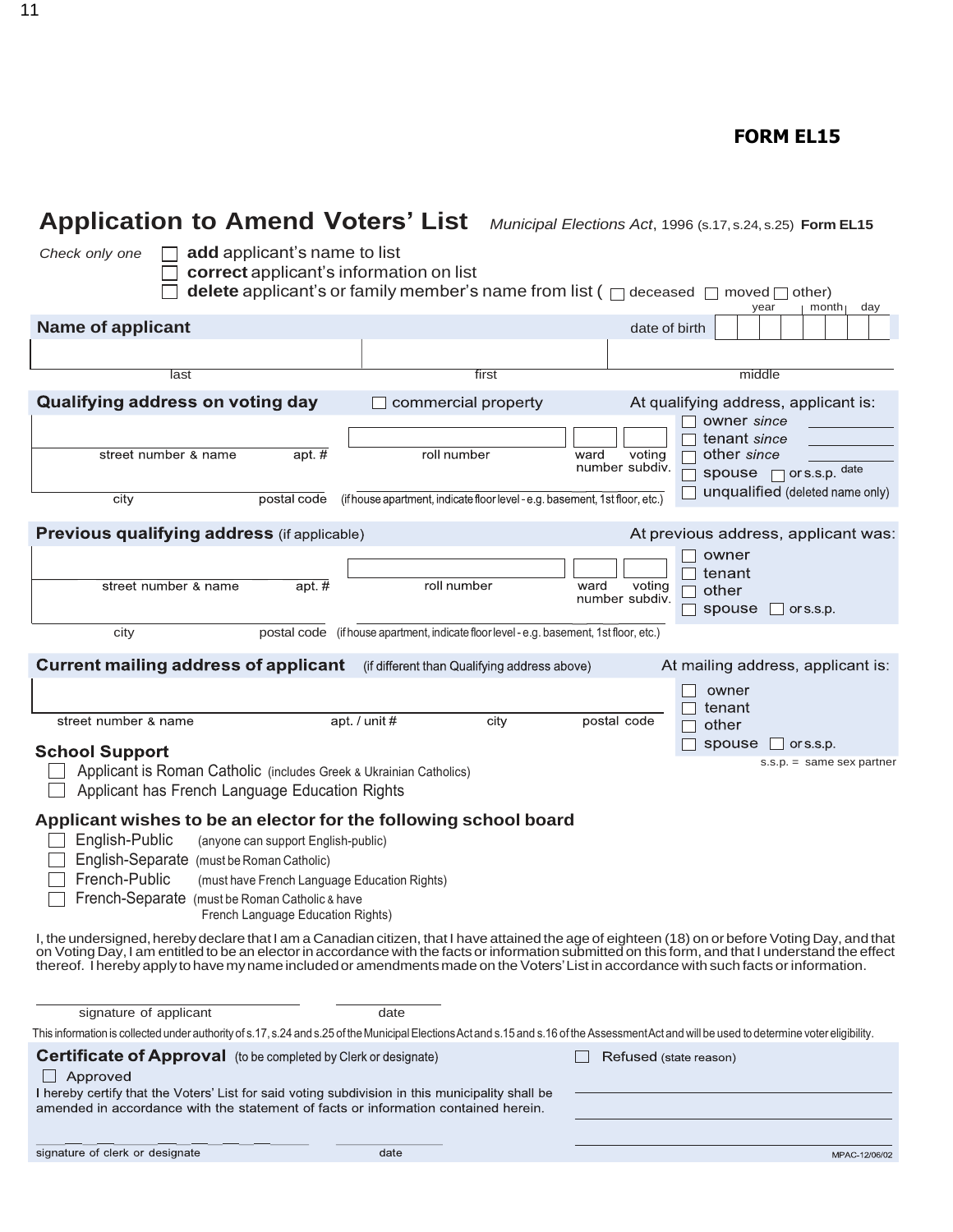# **Application to Amend Voters' List** *Municipal Elections Act*, <sup>1996</sup> (s.17, s.24, s.25) **Form EL15**

*Check only one* **add** applicant's name to list **correct** applicant's information on list **delete** applicant's or family member's name from list ( $\Box$  deceased  $\Box$  moved  $\Box$  other)

|                                                                                                                                                                                                                                                                                                                                |                                                                                         | month<br>day<br>year                                                                                                                                                                                                                                                                                   |
|--------------------------------------------------------------------------------------------------------------------------------------------------------------------------------------------------------------------------------------------------------------------------------------------------------------------------------|-----------------------------------------------------------------------------------------|--------------------------------------------------------------------------------------------------------------------------------------------------------------------------------------------------------------------------------------------------------------------------------------------------------|
| <b>Name of applicant</b>                                                                                                                                                                                                                                                                                                       |                                                                                         | date of birth                                                                                                                                                                                                                                                                                          |
|                                                                                                                                                                                                                                                                                                                                |                                                                                         |                                                                                                                                                                                                                                                                                                        |
| last                                                                                                                                                                                                                                                                                                                           | first                                                                                   | middle                                                                                                                                                                                                                                                                                                 |
| Qualifying address on voting day                                                                                                                                                                                                                                                                                               | commercial property                                                                     | At qualifying address, applicant is:                                                                                                                                                                                                                                                                   |
| $apt.$ #<br>street number & name                                                                                                                                                                                                                                                                                               | roll number                                                                             | owner since<br>tenant since<br>other since<br>voting<br>ward<br>number subdiv.<br>ors.s.p. <sup>date</sup><br>spouse $\Gamma$<br>unqualified (deleted name only)                                                                                                                                       |
| city<br>postal code                                                                                                                                                                                                                                                                                                            | (if house apartment, indicate floor level - e.g. basement, 1st floor, etc.)             |                                                                                                                                                                                                                                                                                                        |
| Previous qualifying address (if applicable)                                                                                                                                                                                                                                                                                    |                                                                                         | At previous address, applicant was:                                                                                                                                                                                                                                                                    |
| street number & name<br>apt. $#$                                                                                                                                                                                                                                                                                               | roll number                                                                             | owner<br>tenant<br>voting<br>ward<br>other<br>number subdiv.<br>spouse<br>$\sigma$ or s.s.p.                                                                                                                                                                                                           |
| city                                                                                                                                                                                                                                                                                                                           | postal code (if house apartment, indicate floor level - e.g. basement, 1st floor, etc.) |                                                                                                                                                                                                                                                                                                        |
| <b>Current mailing address of applicant</b> (if different than Qualifying address above)                                                                                                                                                                                                                                       |                                                                                         | At mailing address, applicant is:                                                                                                                                                                                                                                                                      |
|                                                                                                                                                                                                                                                                                                                                |                                                                                         | owner<br>tenant                                                                                                                                                                                                                                                                                        |
| street number & name                                                                                                                                                                                                                                                                                                           | apt. / unit #<br>city                                                                   | postal code<br>other                                                                                                                                                                                                                                                                                   |
| <b>School Support</b><br>Applicant is Roman Catholic (includes Greek & Ukrainian Catholics)<br>Applicant has French Language Education Rights                                                                                                                                                                                  |                                                                                         | spouse<br>$\Box$ or s.s.p.<br>s.s.p. = same sex partner                                                                                                                                                                                                                                                |
| Applicant wishes to be an elector for the following school board<br>English-Public<br>(anyone can support English-public)<br>English-Separate (must be Roman Catholic)<br>French-Public<br>(must have French Language Education Rights)<br>French-Separate (must be Roman Catholic & have<br>French Language Education Rights) |                                                                                         |                                                                                                                                                                                                                                                                                                        |
| thereof. I hereby apply to have my name included or amendments made on the Voters' List in accordance with such facts or information.                                                                                                                                                                                          |                                                                                         | I, the undersigned, hereby declare that I am a Canadian citizen, that I have attained the age of eighteen (18) on or before Voting Day, and that<br>on Voting Day, I am entitled to be an elector in accordance with the facts or information submitted on this form, and that I understand the effect |
| signature of applicant                                                                                                                                                                                                                                                                                                         | date                                                                                    |                                                                                                                                                                                                                                                                                                        |
|                                                                                                                                                                                                                                                                                                                                |                                                                                         | This information is collected under authority of s.17, s.24 and s.25 of the Municipal Elections Act and s.15 and s.16 of the Assessment Act and will be used to determine voter eligibility.                                                                                                           |
| <b>Certificate of Approval</b> (to be completed by Clerk or designate)<br>Approved<br>I hereby certify that the Voters' List for said voting subdivision in this municipality shall be<br>amended in accordance with the statement of facts or information contained herein.                                                   |                                                                                         | Refused (state reason)                                                                                                                                                                                                                                                                                 |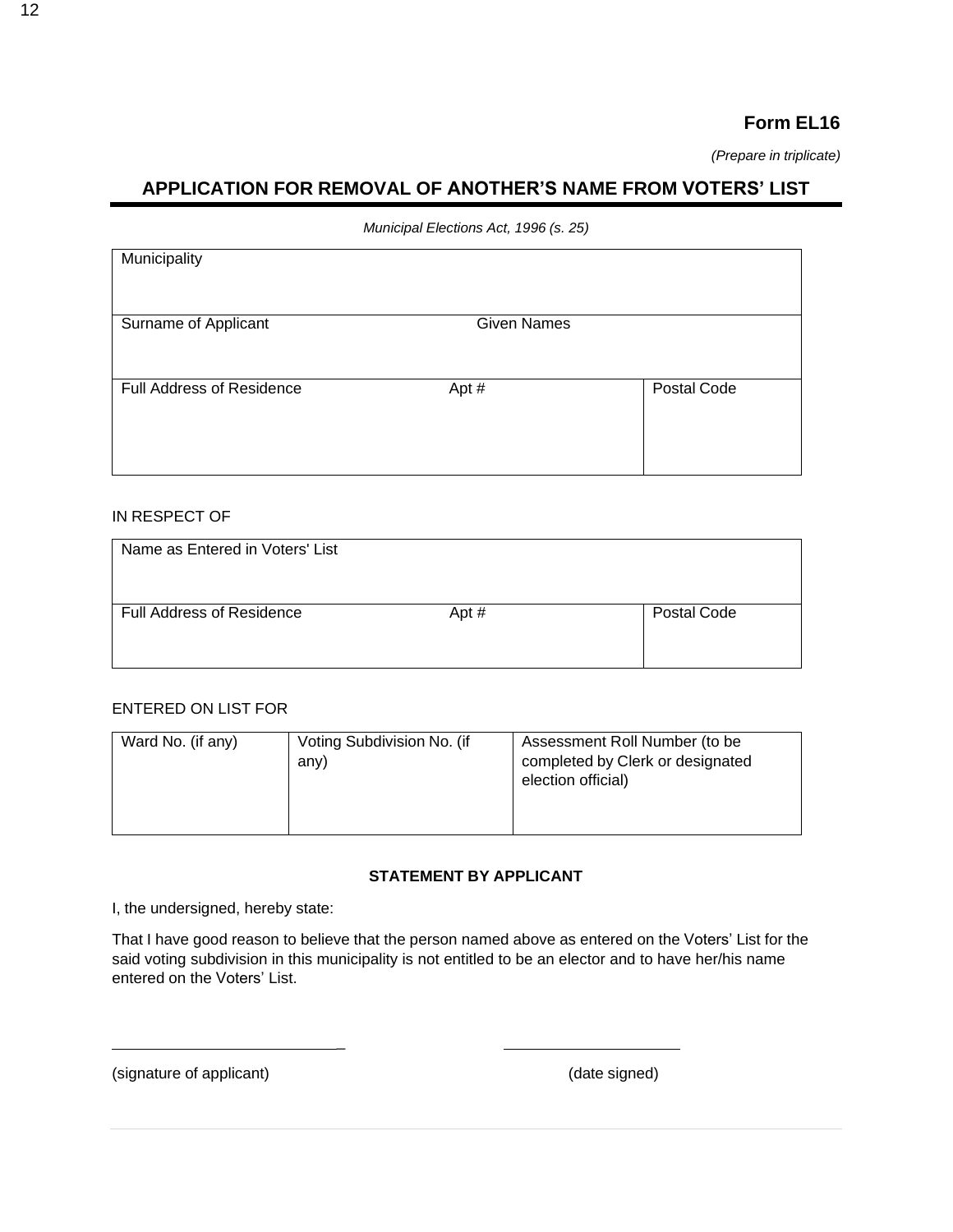### **Form EL16**

*(Prepare in triplicate)*

# **APPLICATION FOR REMOVAL OF ANOTHER'S NAME FROM VOTERS' LIST**

| Municipality                     |                    |             |
|----------------------------------|--------------------|-------------|
| Surname of Applicant             | <b>Given Names</b> |             |
| <b>Full Address of Residence</b> | Apt #              | Postal Code |

*Municipal Elections Act, 1996 (s. 25)*

#### IN RESPECT OF

| Name as Entered in Voters' List  |       |             |
|----------------------------------|-------|-------------|
| <b>Full Address of Residence</b> | Apt # | Postal Code |

#### ENTERED ON LIST FOR

| Ward No. (if any) | Voting Subdivision No. (if<br>any) | Assessment Roll Number (to be<br>completed by Clerk or designated<br>election official) |
|-------------------|------------------------------------|-----------------------------------------------------------------------------------------|
|-------------------|------------------------------------|-----------------------------------------------------------------------------------------|

#### **STATEMENT BY APPLICANT**

I, the undersigned, hereby state:

That I have good reason to believe that the person named above as entered on the Voters' List for the said voting subdivision in this municipality is not entitled to be an elector and to have her/his name entered on the Voters' List.

\_

(signature of applicant) (date signed)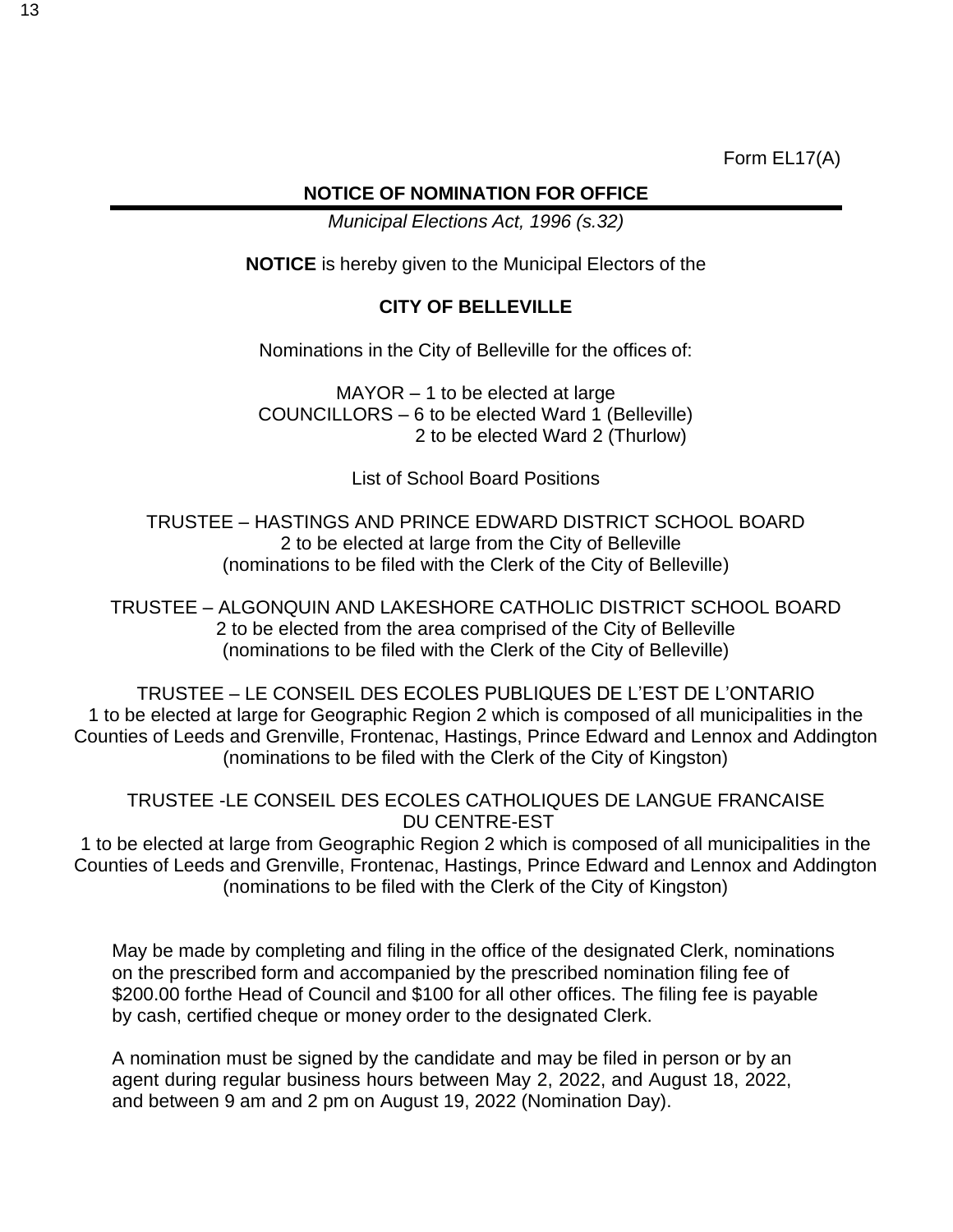# **NOTICE OF NOMINATION FOR OFFICE**

*Municipal Elections Act, 1996 (s.32)*

**NOTICE** is hereby given to the Municipal Electors of the

# **CITY OF BELLEVILLE**

Nominations in the City of Belleville for the offices of:

 $MAYOR - 1$  to be elected at large COUNCILLORS – 6 to be elected Ward 1 (Belleville) 2 to be elected Ward 2 (Thurlow)

List of School Board Positions

TRUSTEE – HASTINGS AND PRINCE EDWARD DISTRICT SCHOOL BOARD 2 to be elected at large from the City of Belleville (nominations to be filed with the Clerk of the City of Belleville)

TRUSTEE – ALGONQUIN AND LAKESHORE CATHOLIC DISTRICT SCHOOL BOARD 2 to be elected from the area comprised of the City of Belleville (nominations to be filed with the Clerk of the City of Belleville)

TRUSTEE – LE CONSEIL DES ECOLES PUBLIQUES DE L'EST DE L'ONTARIO 1 to be elected at large for Geographic Region 2 which is composed of all municipalities in the Counties of Leeds and Grenville, Frontenac, Hastings, Prince Edward and Lennox and Addington (nominations to be filed with the Clerk of the City of Kingston)

TRUSTEE -LE CONSEIL DES ECOLES CATHOLIQUES DE LANGUE FRANCAISE DU CENTRE-EST

1 to be elected at large from Geographic Region 2 which is composed of all municipalities in the Counties of Leeds and Grenville, Frontenac, Hastings, Prince Edward and Lennox and Addington (nominations to be filed with the Clerk of the City of Kingston)

May be made by completing and filing in the office of the designated Clerk, nominations on the prescribed form and accompanied by the prescribed nomination filing fee of \$200.00 forthe Head of Council and \$100 for all other offices. The filing fee is payable by cash, certified cheque or money order to the designated Clerk.

A nomination must be signed by the candidate and may be filed in person or by an agent during regular business hours between May 2, 2022, and August 18, 2022, and between 9 am and 2 pm on August 19, 2022 (Nomination Day).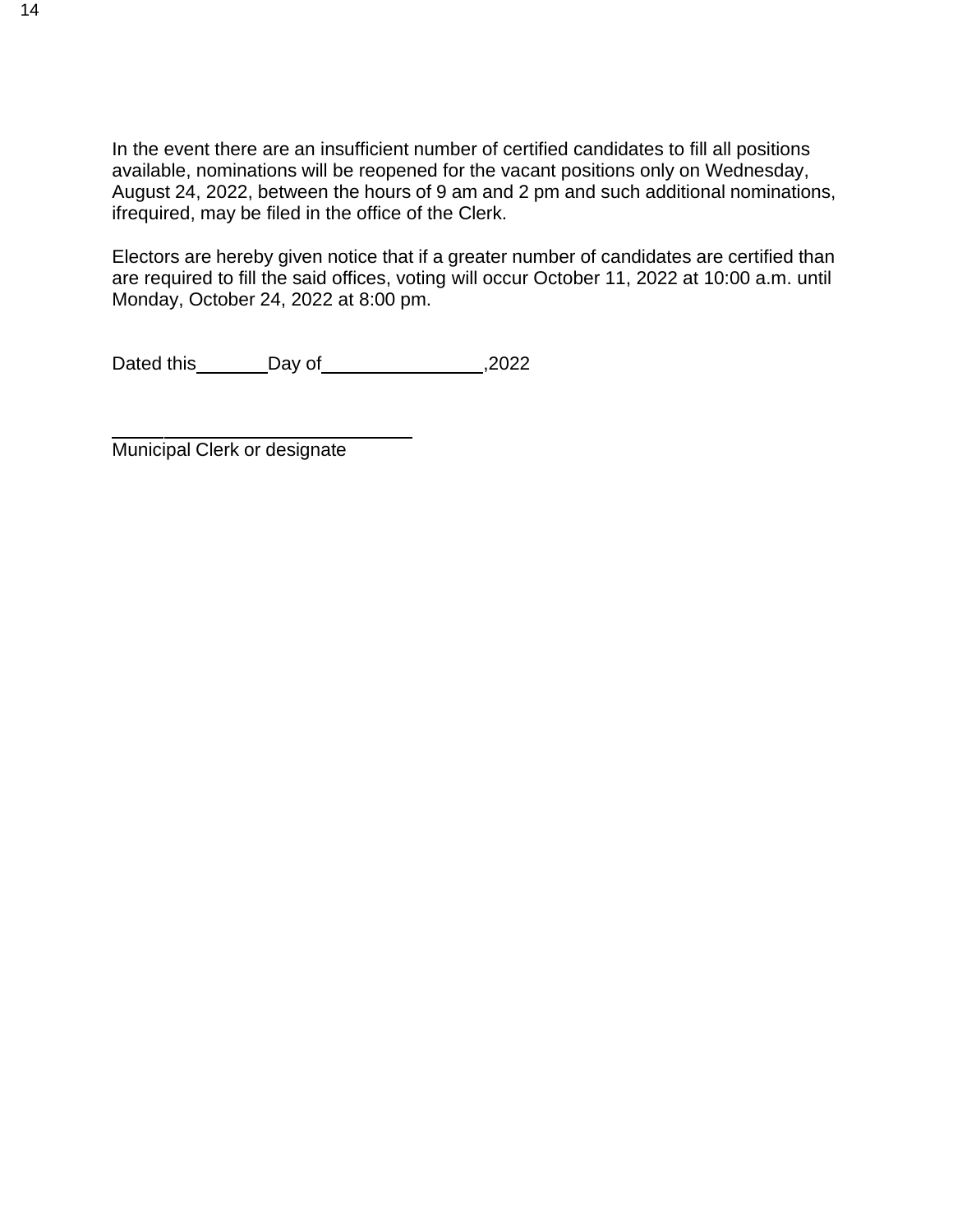In the event there are an insufficient number of certified candidates to fill all positions available, nominations will be reopened for the vacant positions only on Wednesday, August 24, 2022, between the hours of 9 am and 2 pm and such additional nominations, ifrequired, may be filed in the office of the Clerk.

Electors are hereby given notice that if a greater number of candidates are certified than are required to fill the said offices, voting will occur October 11, 2022 at 10:00 a.m. until Monday, October 24, 2022 at 8:00 pm.

Dated this Day of ,2022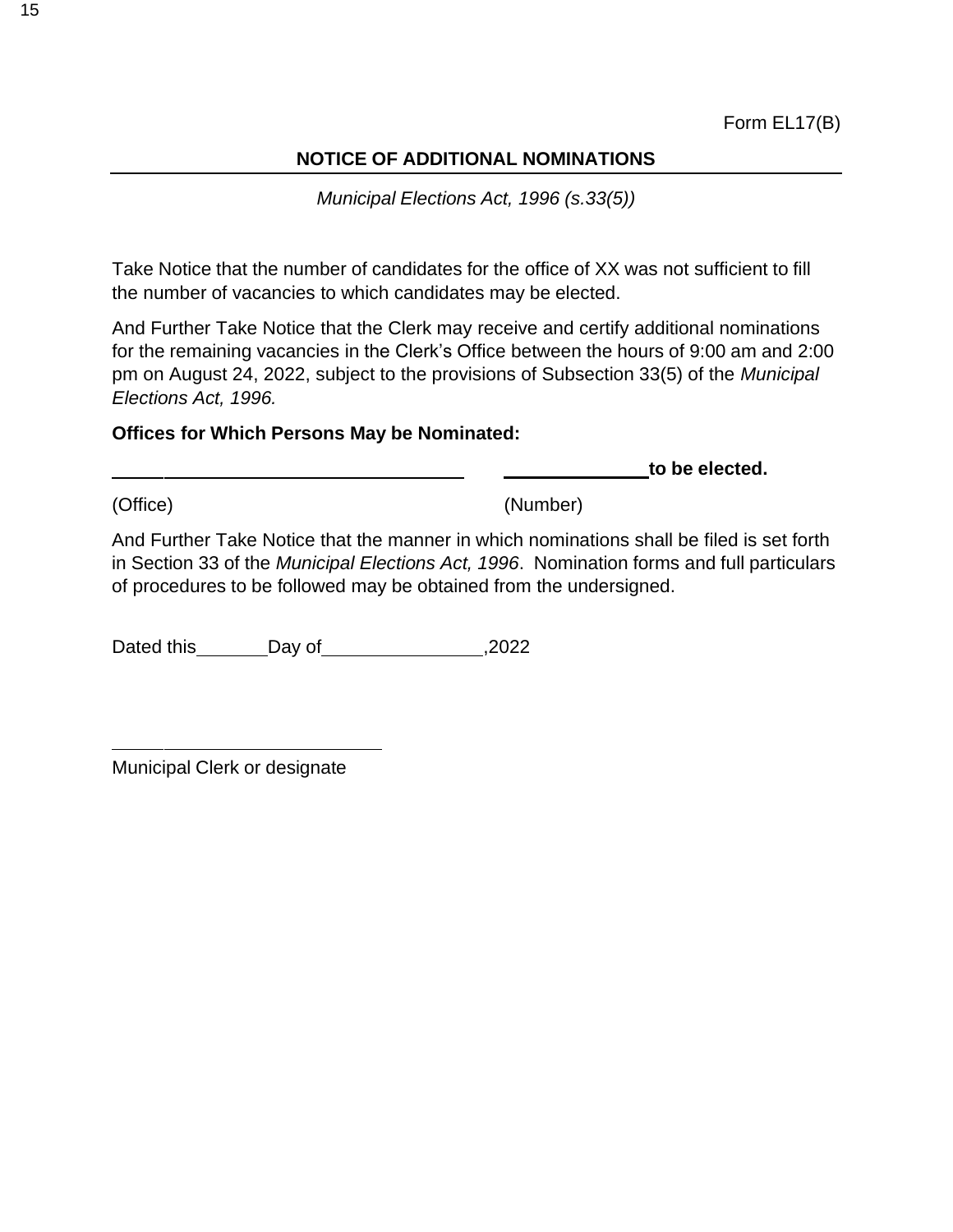# **NOTICE OF ADDITIONAL NOMINATIONS**

*Municipal Elections Act, 1996 (s.33(5))*

Take Notice that the number of candidates for the office of XX was not sufficient to fill the number of vacancies to which candidates may be elected.

And Further Take Notice that the Clerk may receive and certify additional nominations for the remaining vacancies in the Clerk's Office between the hours of 9:00 am and 2:00 pm on August 24, 2022, subject to the provisions of Subsection 33(5) of the *Municipal Elections Act, 1996.*

# **Offices for Which Persons May be Nominated:**

**to** be elected.

(Office) (Number)

And Further Take Notice that the manner in which nominations shall be filed is set forth in Section 33 of the *Municipal Elections Act, 1996*. Nomination forms and full particulars of procedures to be followed may be obtained from the undersigned.

Dated this Day of ,2022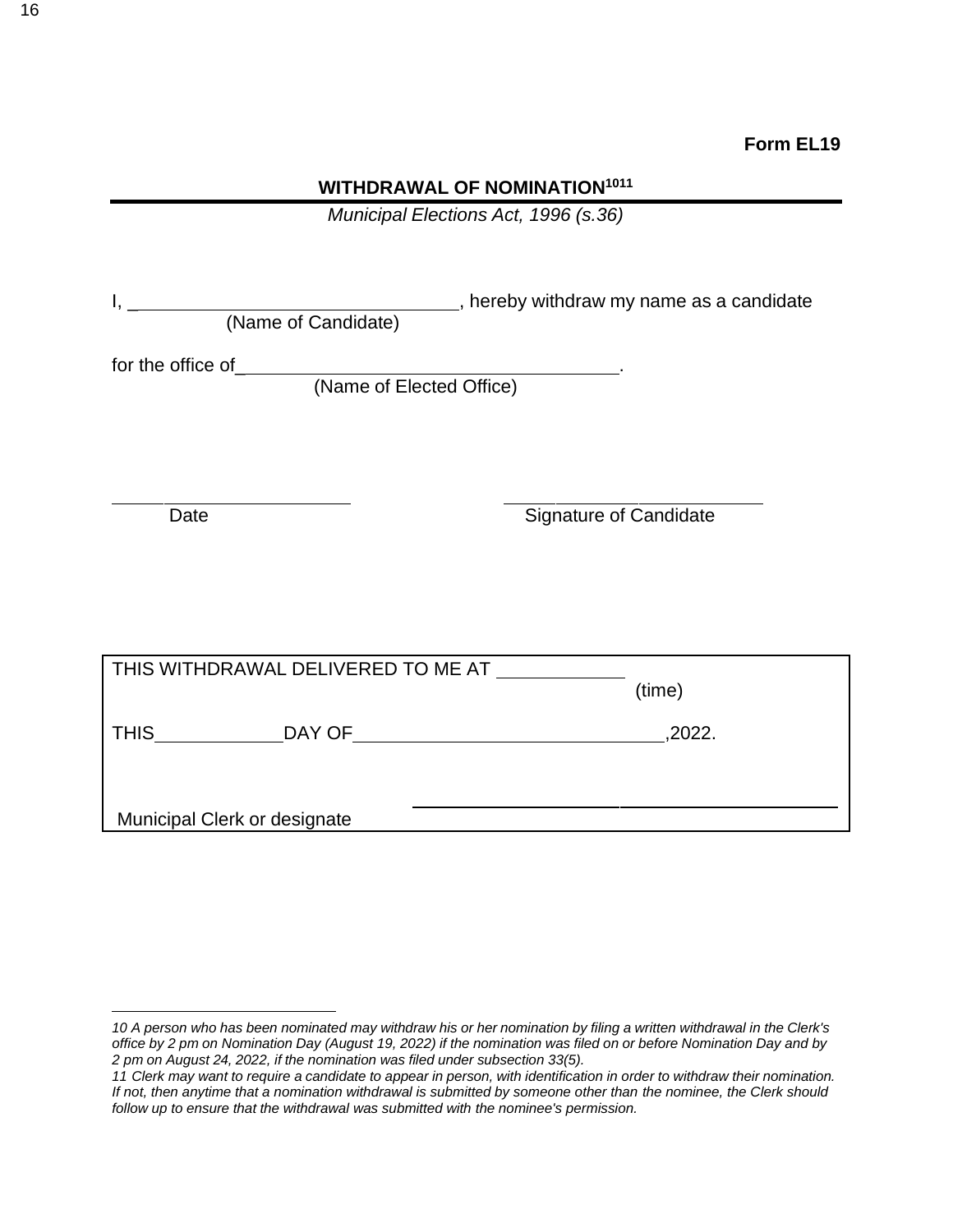#### **WITHDRAWAL OF NOMINATION<sup>1011</sup>**

*Municipal Elections Act, 1996 (s.36)*

|                              |                                    | _, hereby withdraw my name as a candidate |  |
|------------------------------|------------------------------------|-------------------------------------------|--|
| I, (Name of Candidate)       |                                    |                                           |  |
|                              |                                    | the contract of the contract of           |  |
|                              | (Name of Elected Office)           |                                           |  |
|                              |                                    |                                           |  |
|                              |                                    |                                           |  |
|                              |                                    |                                           |  |
| Date                         |                                    | <b>Signature of Candidate</b>             |  |
|                              |                                    |                                           |  |
|                              |                                    |                                           |  |
|                              |                                    |                                           |  |
|                              |                                    |                                           |  |
|                              | THIS WITHDRAWAL DELIVERED TO ME AT |                                           |  |
|                              |                                    | (time)                                    |  |
|                              |                                    | ,2022.                                    |  |
|                              |                                    |                                           |  |
|                              |                                    |                                           |  |
| Municipal Clerk or designate |                                    |                                           |  |

<sup>10</sup> A person who has been nominated may withdraw his or her nomination by filing a written withdrawal in the Clerk's office by 2 pm on Nomination Day (August 19, 2022) if the nomination was filed on or before Nomination Day and by *2 pm on August 24, 2022, if the nomination was filed under subsection 33(5).*

<sup>11</sup> Clerk may want to require a candidate to appear in person, with identification in order to withdraw their nomination. *If not, then anytime that a nomination withdrawal is submitted by someone other than the nominee, the Clerk should follow up to ensure that the withdrawal was submitted with the nominee's permission.*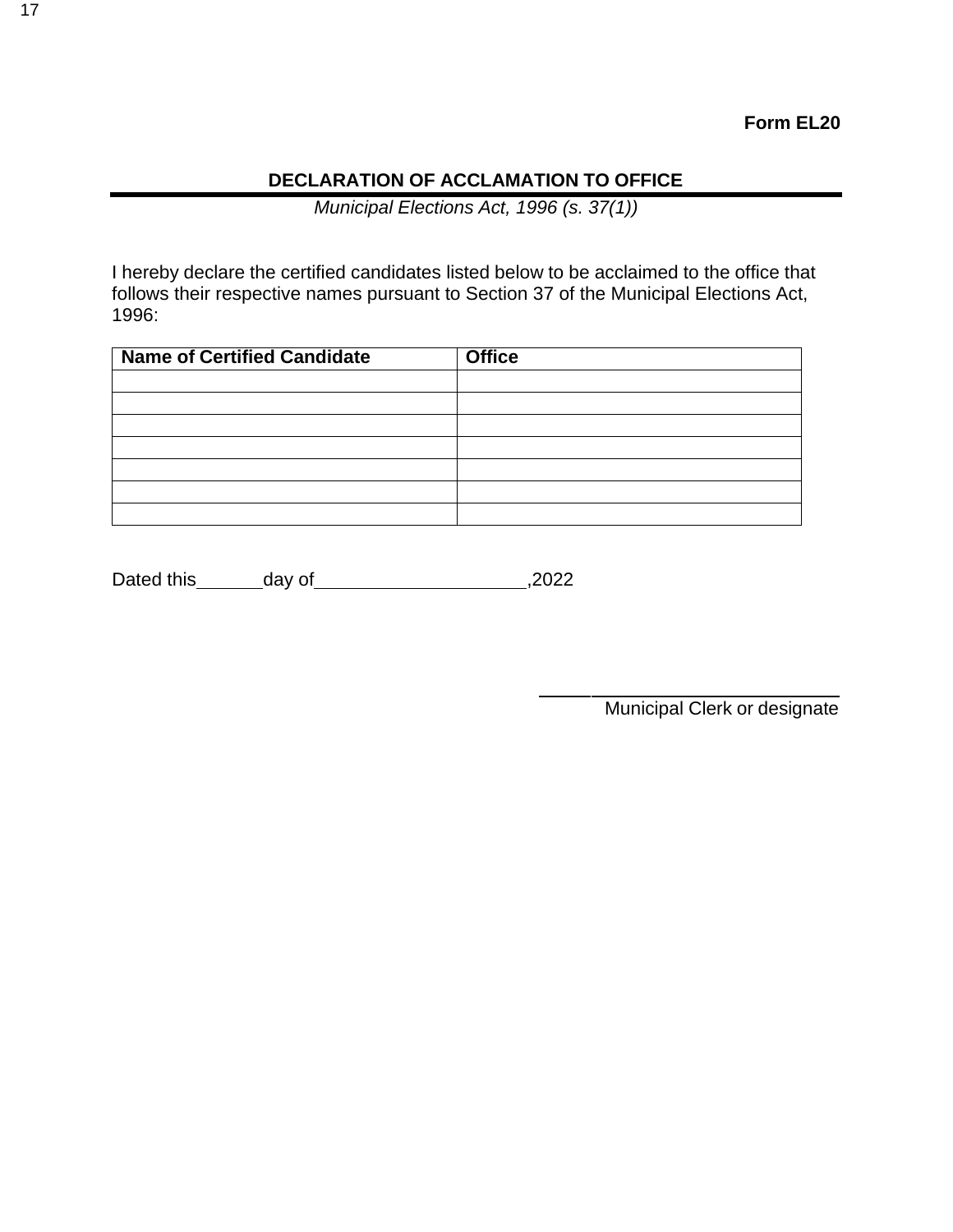# **DECLARATION OF ACCLAMATION TO OFFICE**

*Municipal Elections Act, 1996 (s. 37(1))*

I hereby declare the certified candidates listed below to be acclaimed to the office that follows their respective names pursuant to Section 37 of the Municipal Elections Act, 1996:

| <b>Name of Certified Candidate</b> | <b>Office</b> |
|------------------------------------|---------------|
|                                    |               |
|                                    |               |
|                                    |               |
|                                    |               |
|                                    |               |
|                                    |               |
|                                    |               |

| Dated this | day of | .2022 |
|------------|--------|-------|
|            |        |       |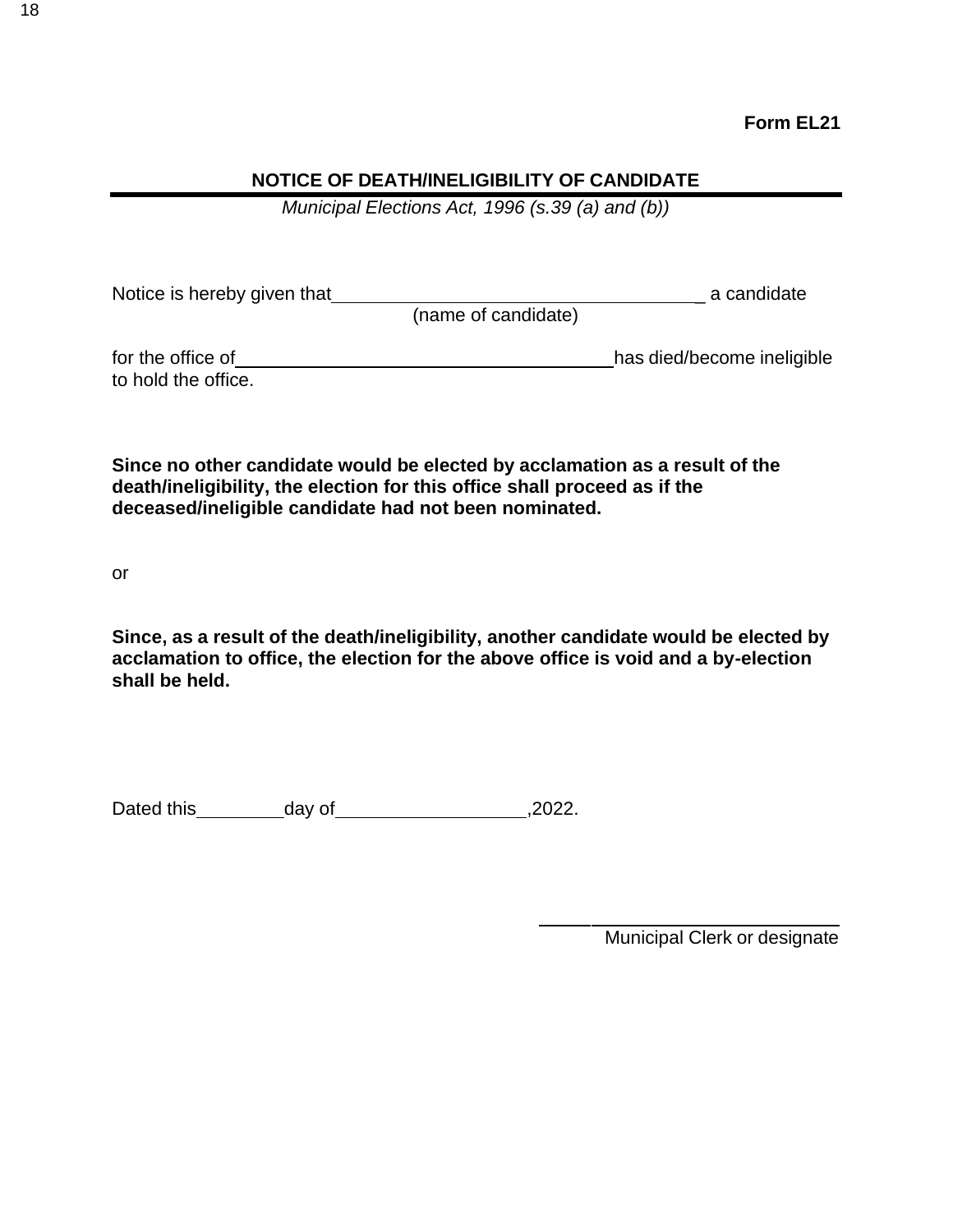# **NOTICE OF DEATH/INELIGIBILITY OF CANDIDATE**

*Municipal Elections Act, 1996 (s.39 (a) and (b))*

| Notice is hereby given that |                     | a candidate |
|-----------------------------|---------------------|-------------|
|                             | (name of candidate) |             |

for the office of has died/become ineligible to hold the office.

**Since no other candidate would be elected by acclamation as a result of the death/ineligibility, the election for this office shall proceed as if the deceased/ineligible candidate had not been nominated.**

or

**Since, as a result of the death/ineligibility, another candidate would be elected by acclamation to office, the election for the above office is void and a by-election shall be held.**

Dated this day of ,2022.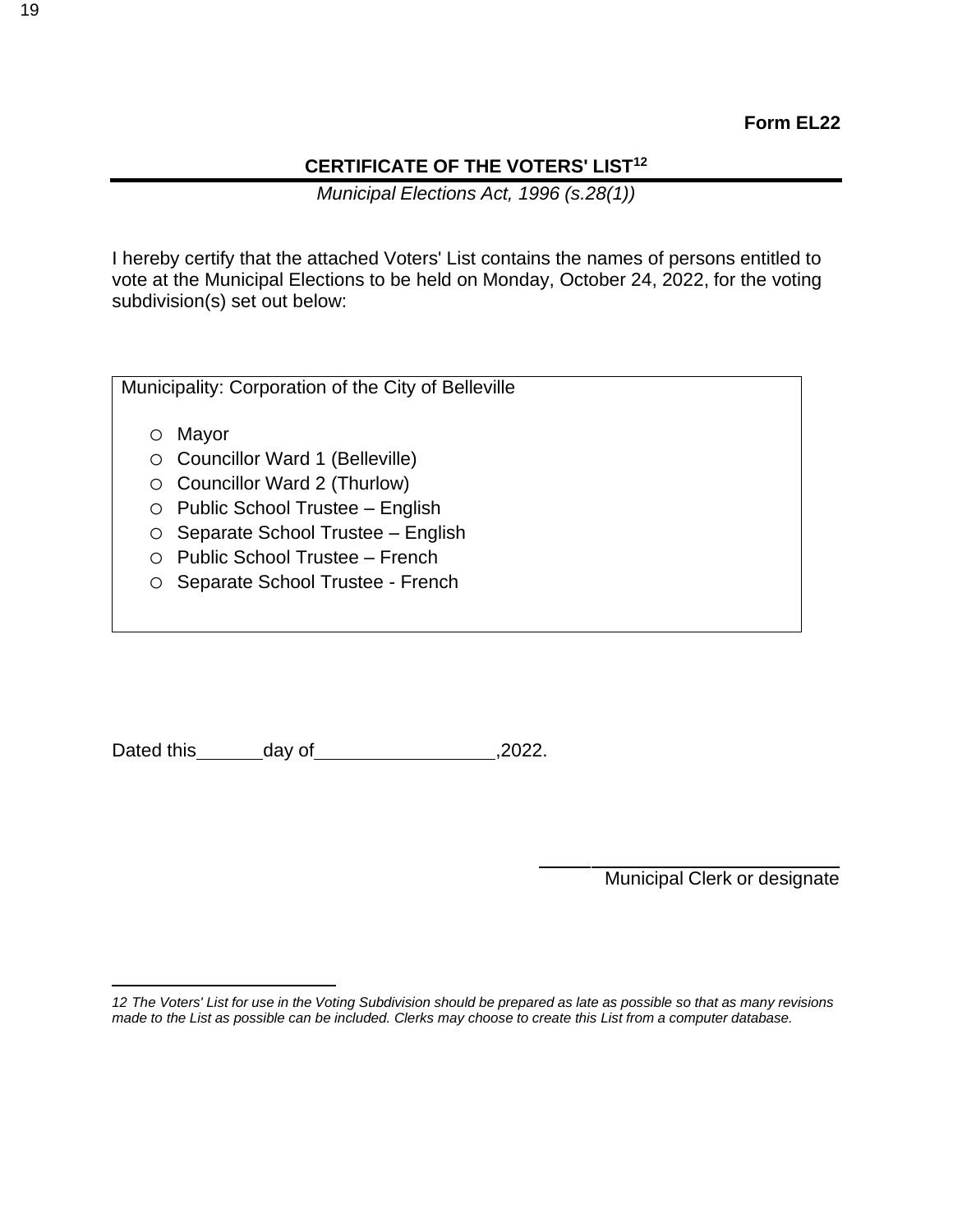# **CERTIFICATE OF THE VOTERS' LIST<sup>12</sup>**

*Municipal Elections Act, 1996 (s.28(1))*

I hereby certify that the attached Voters' List contains the names of persons entitled to vote at the Municipal Elections to be held on Monday, October 24, 2022, for the voting subdivision(s) set out below:

Municipality: Corporation of the City of Belleville o Mayor o Councillor Ward 1 (Belleville) o Councillor Ward 2 (Thurlow) o Public School Trustee – English o Separate School Trustee – English o Public School Trustee – French o Separate School Trustee - French

Dated this day of ,2022.

<sup>12</sup> The Voters' List for use in the Voting Subdivision should be prepared as late as possible so that as many revisions made to the List as possible can be included. Clerks may choose to create this List from a computer database.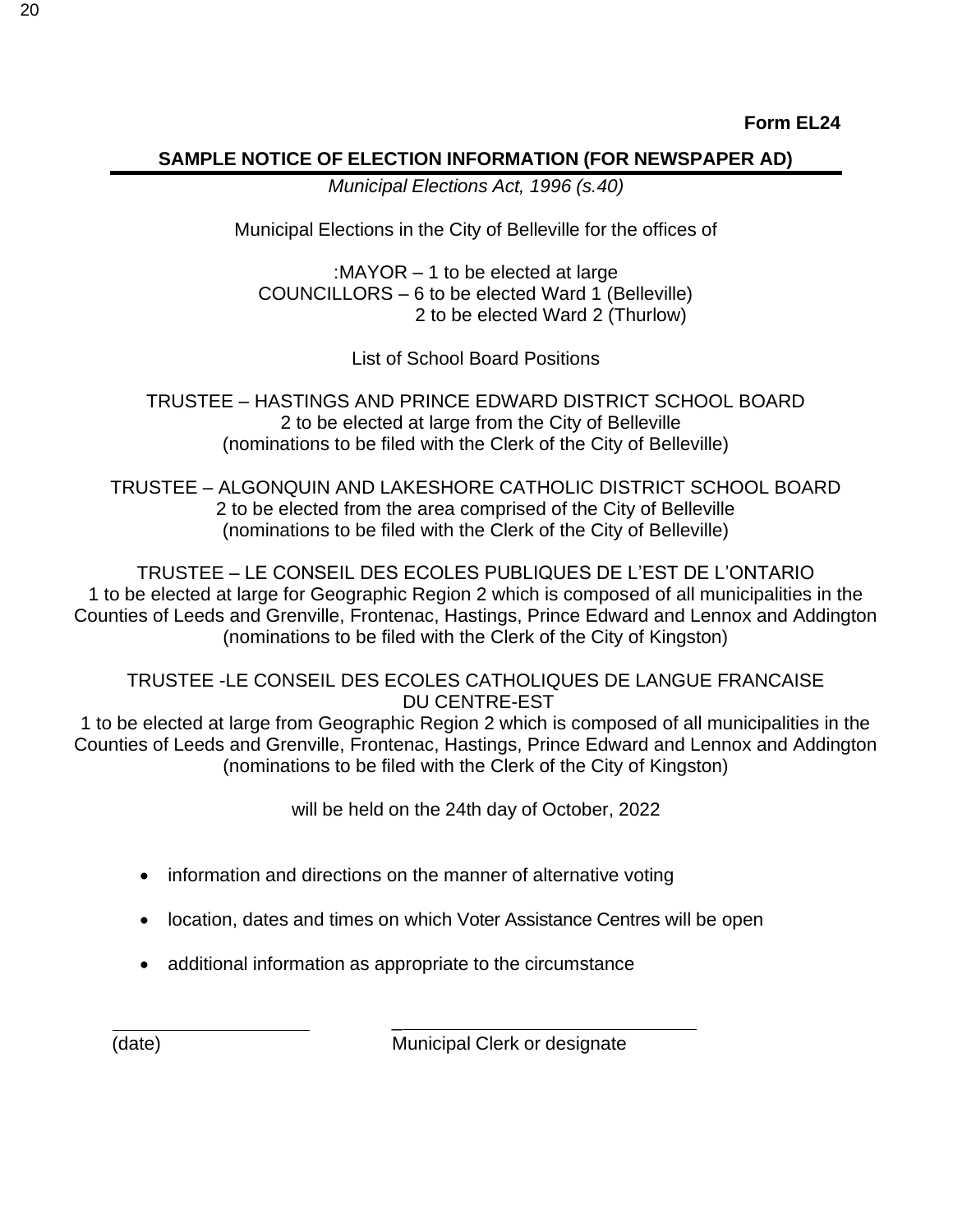# **SAMPLE NOTICE OF ELECTION INFORMATION (FOR NEWSPAPER AD)**

*Municipal Elections Act, 1996 (s.40)*

Municipal Elections in the City of Belleville for the offices of

:MAYOR – 1 to be elected at large COUNCILLORS – 6 to be elected Ward 1 (Belleville) 2 to be elected Ward 2 (Thurlow)

List of School Board Positions

TRUSTEE – HASTINGS AND PRINCE EDWARD DISTRICT SCHOOL BOARD 2 to be elected at large from the City of Belleville (nominations to be filed with the Clerk of the City of Belleville)

TRUSTEE – ALGONQUIN AND LAKESHORE CATHOLIC DISTRICT SCHOOL BOARD 2 to be elected from the area comprised of the City of Belleville (nominations to be filed with the Clerk of the City of Belleville)

TRUSTEE – LE CONSEIL DES ECOLES PUBLIQUES DE L'EST DE L'ONTARIO 1 to be elected at large for Geographic Region 2 which is composed of all municipalities in the Counties of Leeds and Grenville, Frontenac, Hastings, Prince Edward and Lennox and Addington (nominations to be filed with the Clerk of the City of Kingston)

TRUSTEE -LE CONSEIL DES ECOLES CATHOLIQUES DE LANGUE FRANCAISE DU CENTRE-EST

1 to be elected at large from Geographic Region 2 which is composed of all municipalities in the Counties of Leeds and Grenville, Frontenac, Hastings, Prince Edward and Lennox and Addington (nominations to be filed with the Clerk of the City of Kingston)

will be held on the 24th day of October, 2022

- information and directions on the manner of alternative voting
- location, dates and times on which Voter Assistance Centres will be open
- additional information as appropriate to the circumstance

\_

(date) Municipal Clerk or designate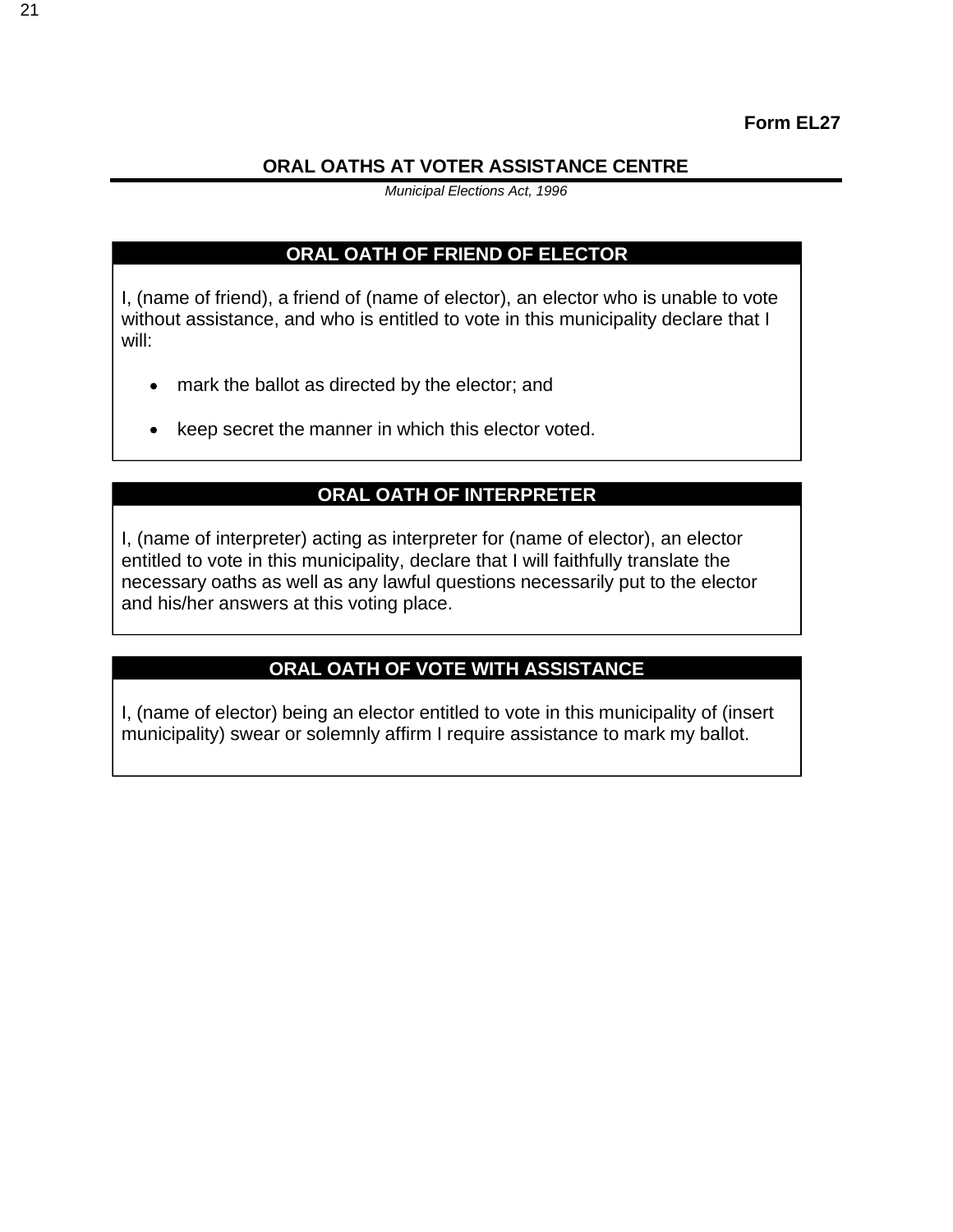# **ORAL OATHS AT VOTER ASSISTANCE CENTRE**

*Municipal Elections Act, 1996*

# **ORAL OATH OF FRIEND OF ELECTOR**

I, (name of friend), a friend of (name of elector), an elector who is unable to vote without assistance, and who is entitled to vote in this municipality declare that I will:

- mark the ballot as directed by the elector; and
- keep secret the manner in which this elector voted.

# **ORAL OATH OF INTERPRETER**

I, (name of interpreter) acting as interpreter for (name of elector), an elector entitled to vote in this municipality, declare that I will faithfully translate the necessary oaths as well as any lawful questions necessarily put to the elector and his/her answers at this voting place.

# **ORAL OATH OF VOTE WITH ASSISTANCE**

I, (name of elector) being an elector entitled to vote in this municipality of (insert municipality) swear or solemnly affirm I require assistance to mark my ballot.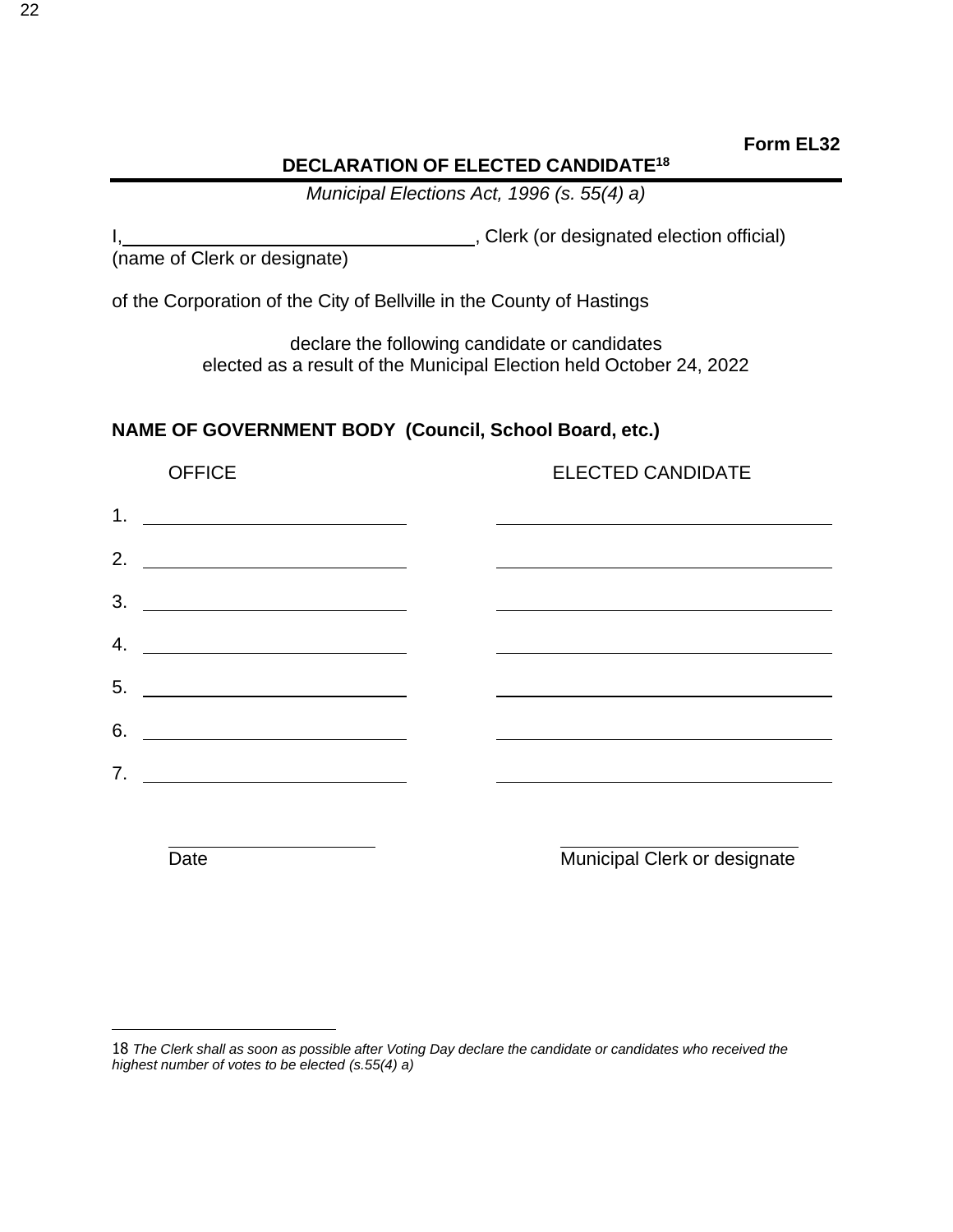# **DECLARATION OF ELECTED CANDIDATE<sup>18</sup>**

*Municipal Elections Act, 1996 (s. 55(4) a)*

I, 1. Clerk (or designated election official)

(name of Clerk or designate)

of the Corporation of the City of Bellville in the County of Hastings

declare the following candidate or candidates elected as a result of the Municipal Election held October 24, 2022

# **NAME OF GOVERNMENT BODY (Council, School Board, etc.)**

OFFICE **ELECTED CANDIDATE** 1. 2. 3. 4. 5. 6. 7.

Date **Date** Municipal Clerk or designate

<sup>18</sup> The Clerk shall as soon as possible after Voting Day declare the candidate or candidates who received the *highest number of votes to be elected (s.55(4) a)*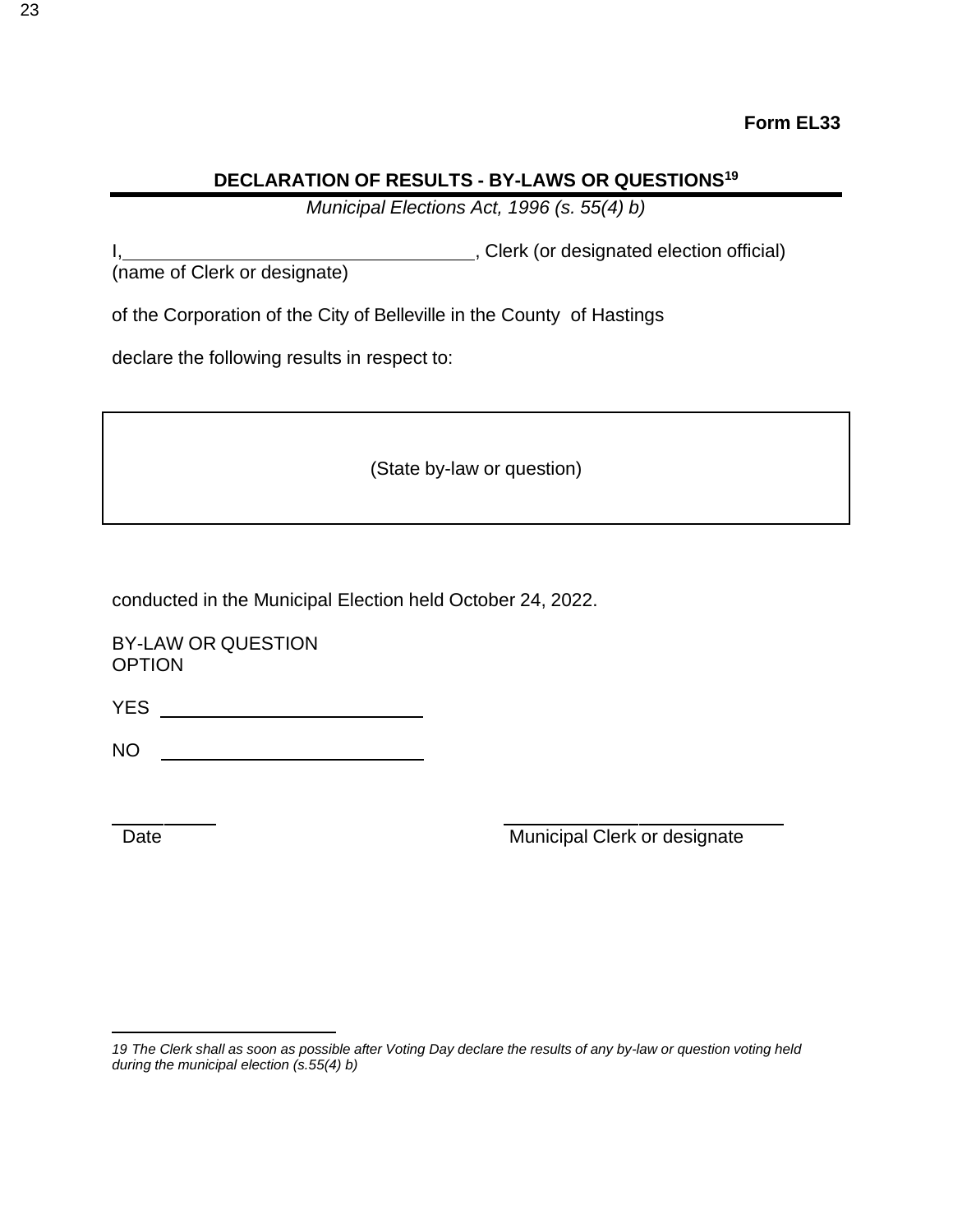# **DECLARATION OF RESULTS - BY-LAWS OR QUESTIONS<sup>19</sup>**

*Municipal Elections Act, 1996 (s. 55(4) b)*

I, Manneson Clerk (or designated election official) in the same control of the state of the state of the state of the state of the state of the state of the state of the state of the state of the state of the state of the

(name of Clerk or designate)

of the Corporation of the City of Belleville in the County of Hastings

declare the following results in respect to:

(State by-law or question)

conducted in the Municipal Election held October 24, 2022.

BY-LAW OR QUESTION **OPTION** 

YES

NO 

Date **Date** Municipal Clerk or designate

<sup>19</sup> The Clerk shall as soon as possible after Voting Day declare the results of any by-law or question voting held *during the municipal election (s.55(4) b)*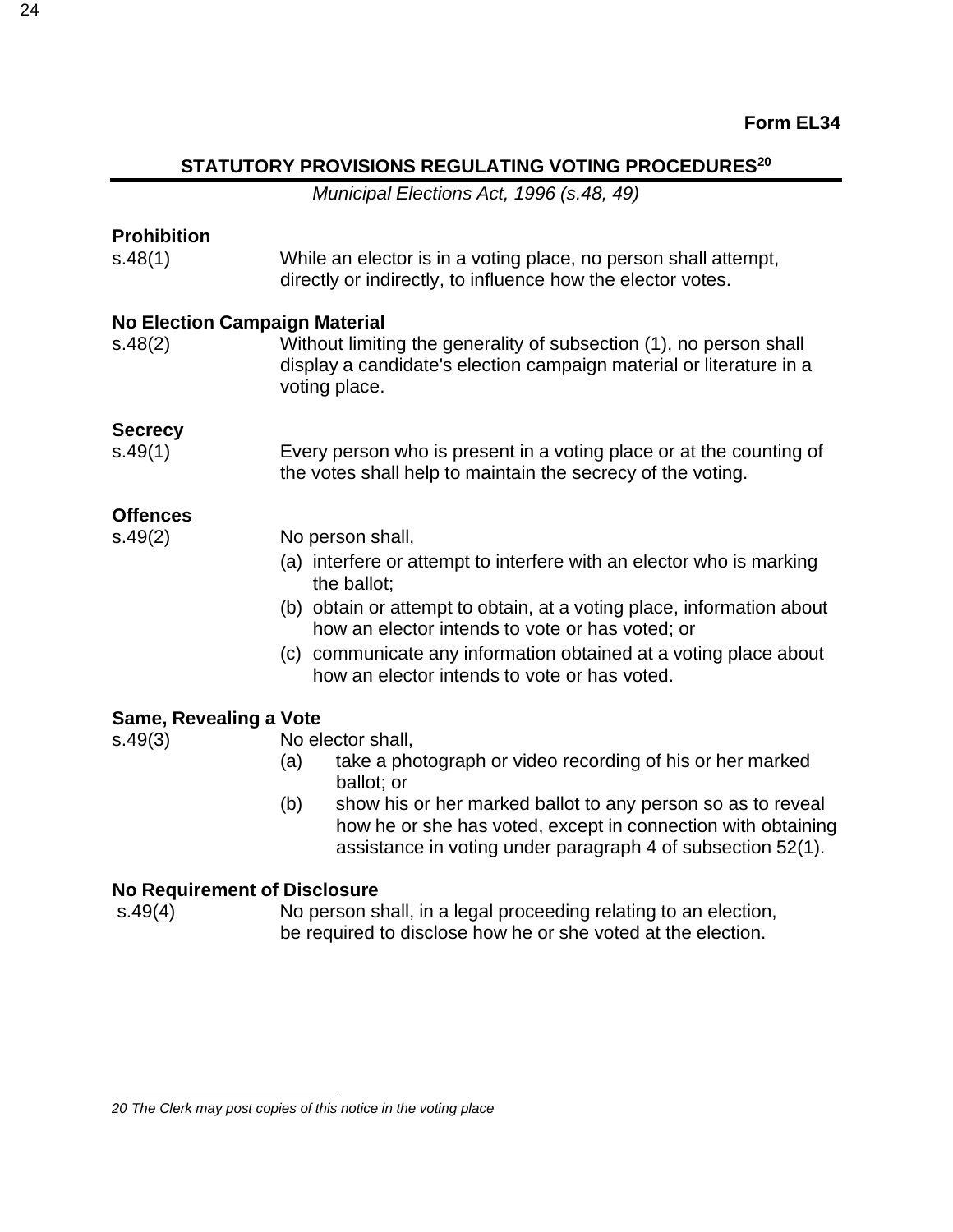# **STATUTORY PROVISIONS REGULATING VOTING PROCEDURES<sup>20</sup>**

*Municipal Elections Act, 1996 (s.48, 49)*

| <b>Prohibition</b><br>s.48(1)                  | While an elector is in a voting place, no person shall attempt,<br>directly or indirectly, to influence how the elector votes.                                                                                                                                                                                                                          |
|------------------------------------------------|---------------------------------------------------------------------------------------------------------------------------------------------------------------------------------------------------------------------------------------------------------------------------------------------------------------------------------------------------------|
| s.48(2)                                        | <b>No Election Campaign Material</b><br>Without limiting the generality of subsection (1), no person shall<br>display a candidate's election campaign material or literature in a<br>voting place.                                                                                                                                                      |
| <b>Secrecy</b><br>s.49(1)                      | Every person who is present in a voting place or at the counting of<br>the votes shall help to maintain the secrecy of the voting.                                                                                                                                                                                                                      |
| <b>Offences</b><br>s.49(2)                     | No person shall,<br>(a) interfere or attempt to interfere with an elector who is marking<br>the ballot;<br>(b) obtain or attempt to obtain, at a voting place, information about<br>how an elector intends to vote or has voted; or<br>(c) communicate any information obtained at a voting place about<br>how an elector intends to vote or has voted. |
| Same, Revealing a Vote<br>S.49(3)              | No elector shall,<br>take a photograph or video recording of his or her marked<br>(a)<br>ballot; or<br>show his or her marked ballot to any person so as to reveal<br>(b)<br>how he or she has voted, except in connection with obtaining<br>assistance in voting under paragraph 4 of subsection 52(1).                                                |
| <b>No Requirement of Disclosure</b><br>s.49(4) | No person shall, in a legal proceeding relating to an election,                                                                                                                                                                                                                                                                                         |

be required to disclose how he or she voted at the election.

*<sup>20</sup> The Clerk may post copies of this notice in the voting place*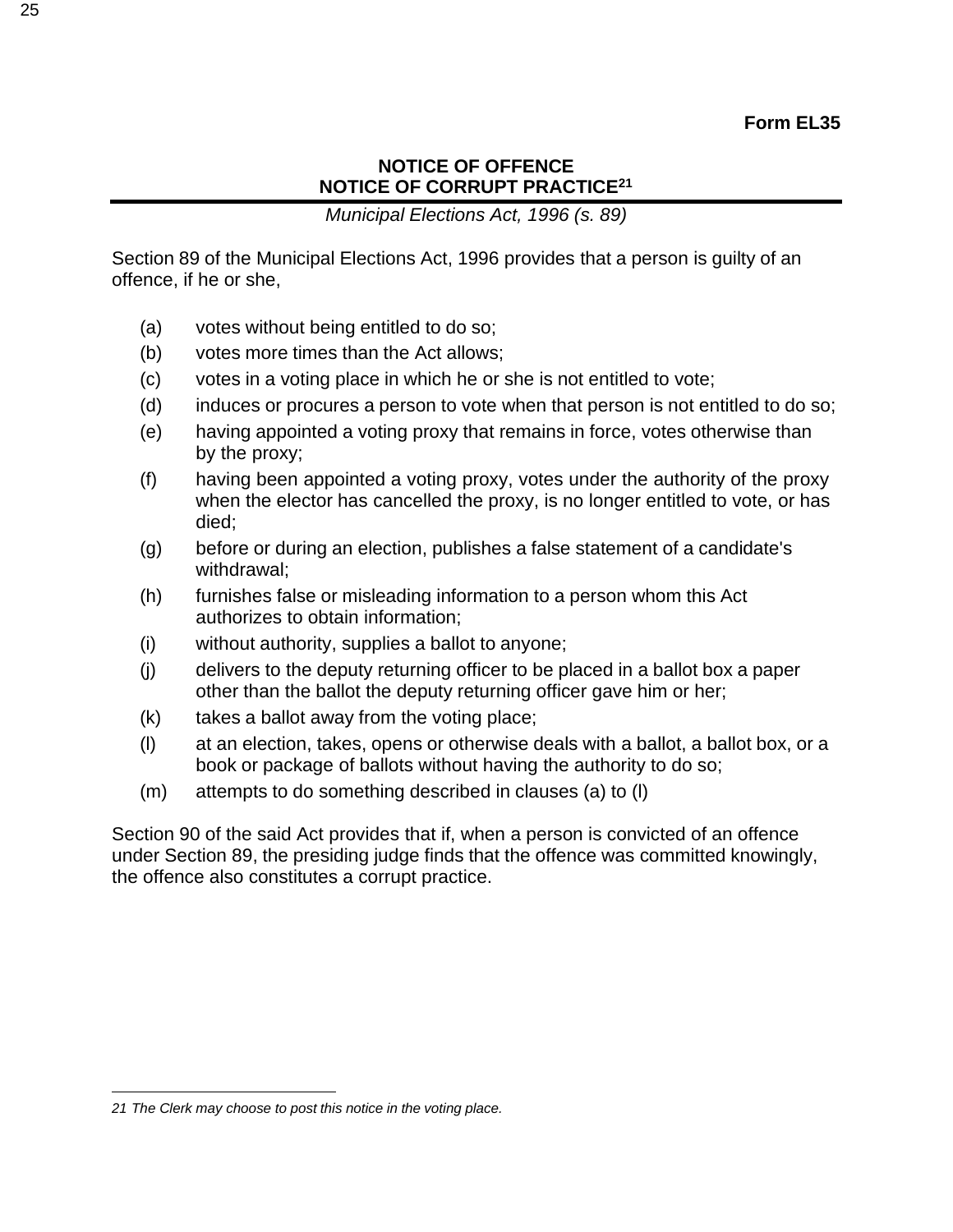# **NOTICE OF OFFENCE NOTICE OF CORRUPT PRACTICE<sup>21</sup>**

*Municipal Elections Act, 1996 (s. 89)*

Section 89 of the Municipal Elections Act, 1996 provides that a person is guilty of an offence, if he or she,

- (a) votes without being entitled to do so;
- (b) votes more times than the Act allows;
- (c) votes in a voting place in which he or she is not entitled to vote;
- (d) induces or procures a person to vote when that person is not entitled to do so;
- (e) having appointed a voting proxy that remains in force, votes otherwise than by the proxy;
- (f) having been appointed a voting proxy, votes under the authority of the proxy when the elector has cancelled the proxy, is no longer entitled to vote, or has died;
- (g) before or during an election, publishes a false statement of a candidate's withdrawal;
- (h) furnishes false or misleading information to a person whom this Act authorizes to obtain information;
- (i) without authority, supplies a ballot to anyone;
- (j) delivers to the deputy returning officer to be placed in a ballot box a paper other than the ballot the deputy returning officer gave him or her;
- $(k)$  takes a ballot away from the voting place;
- (l) at an election, takes, opens or otherwise deals with a ballot, a ballot box, or a book or package of ballots without having the authority to do so;
- (m) attempts to do something described in clauses (a) to (l)

Section 90 of the said Act provides that if, when a person is convicted of an offence under Section 89, the presiding judge finds that the offence was committed knowingly, the offence also constitutes a corrupt practice.

*<sup>21</sup> The Clerk may choose to post this notice in the voting place.*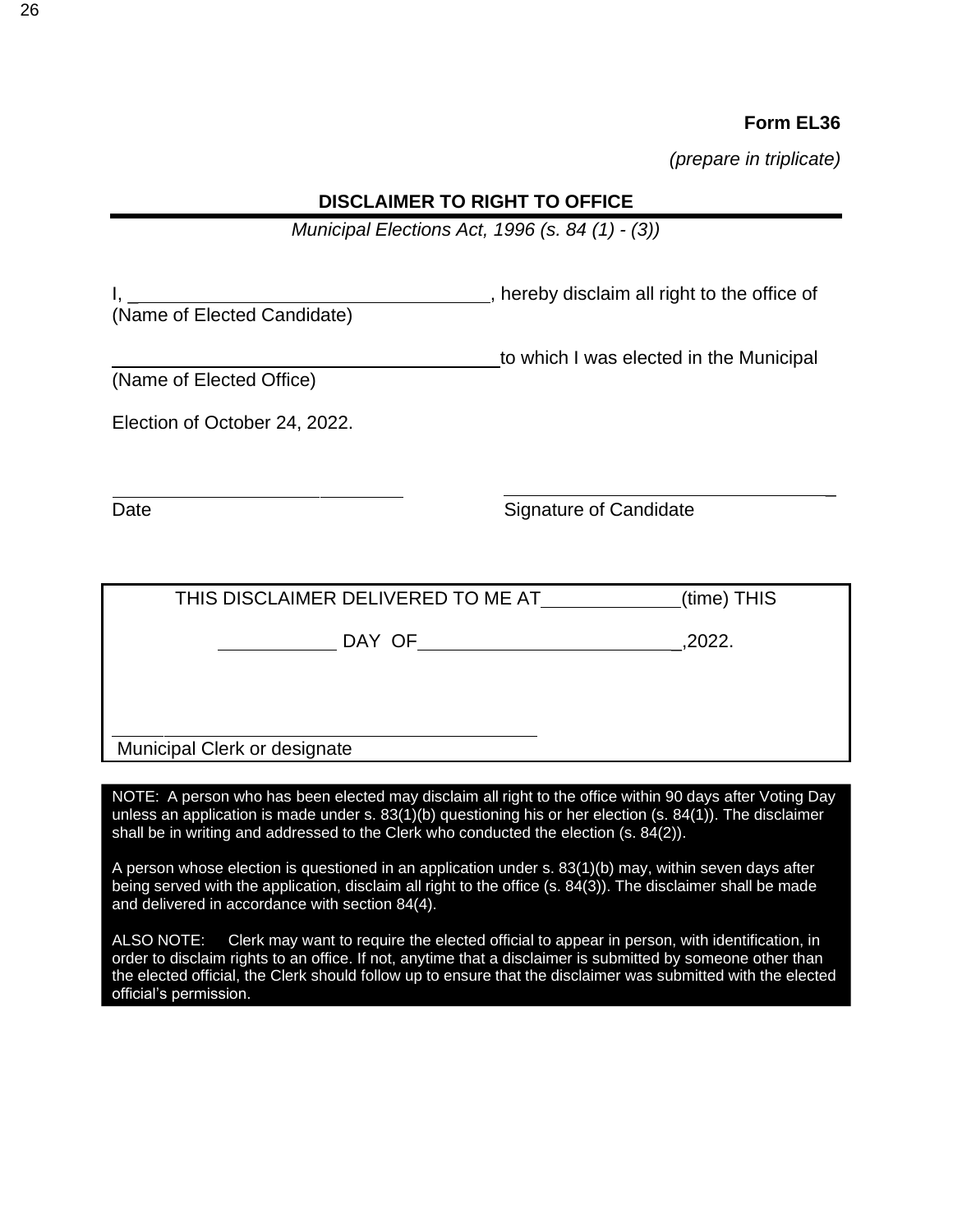#### **Form EL36**

*(prepare in triplicate)*

# **DISCLAIMER TO RIGHT TO OFFICE**

*Municipal Elections Act, 1996 (s. 84 (1) - (3))*

| (Name of Elected Candidate)        | hereby disclaim all right to the office of |
|------------------------------------|--------------------------------------------|
| (Name of Elected Office)           | to which I was elected in the Municipal    |
| Election of October 24, 2022.      |                                            |
| Date                               | Signature of Candidate                     |
| THIS DISCLAIMER DELIVERED TO ME AT | (time) THIS                                |
| DAY OF                             | .2022.                                     |

Municipal Clerk or designate

NOTE: A person who has been elected may disclaim all right to the office within 90 days after Voting Day unless an application is made under s.  $83(1)(b)$  questioning his or her election (s.  $84(1)$ ). The disclaimer shall be in writing and addressed to the Clerk who conducted the election (s. 84(2)).

A person whose election is questioned in an application under s. 83(1)(b) may, within seven days after being served with the application, disclaim all right to the office (s. 84(3)). The disclaimer shall be made and delivered in accordance with section 84(4).

ALSO NOTE: Clerk may want to require the elected official to appear in person, with identification, in order to disclaim rights to an office. If not, anytime that a disclaimer is submitted by someone other than the elected official, the Clerk should follow up to ensure that the disclaimer was submitted with the elected official's permission.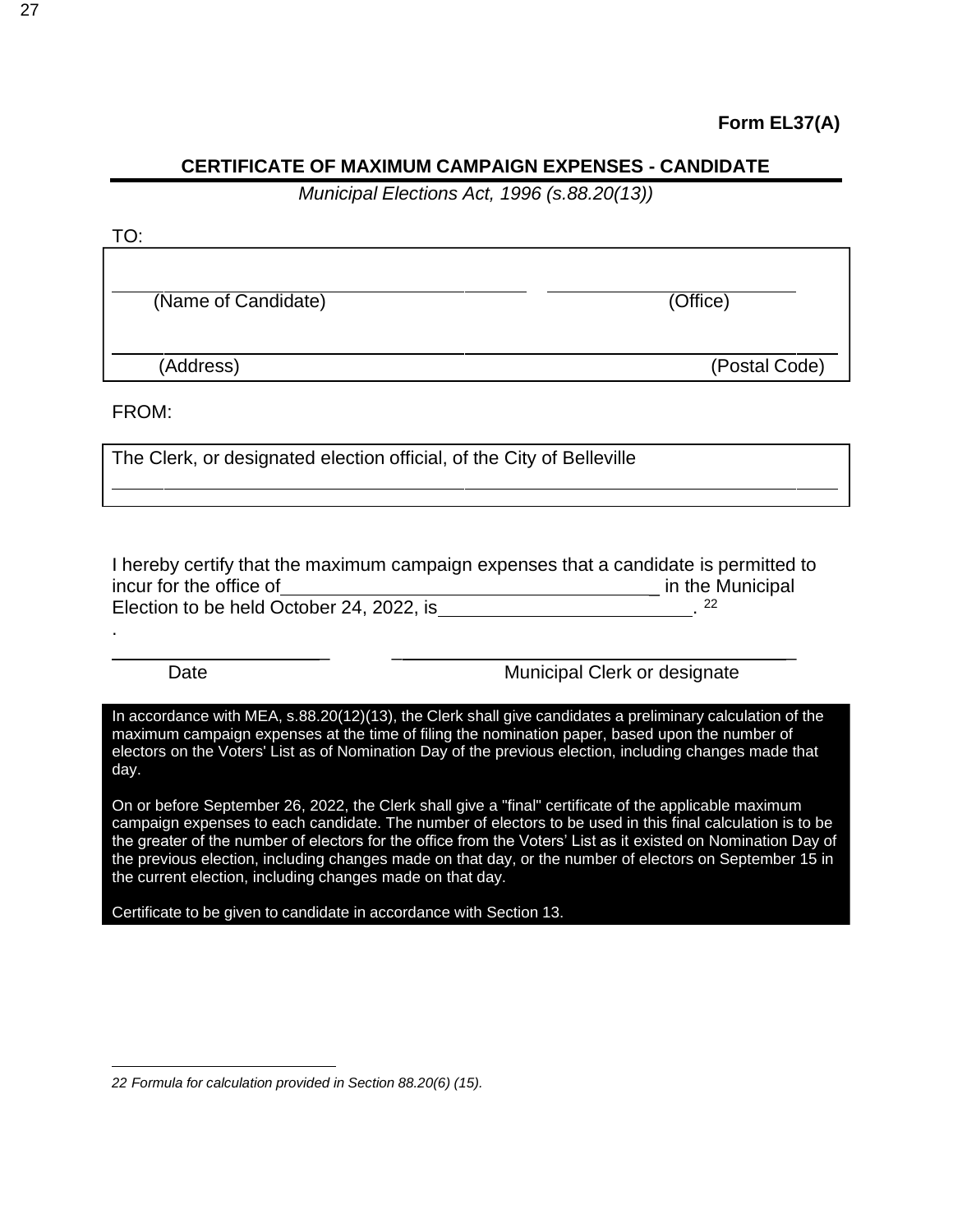# **CERTIFICATE OF MAXIMUM CAMPAIGN EXPENSES - CANDIDATE**

*Municipal Elections Act, 1996 (s.88.20(13))*

| TO:                 |               |
|---------------------|---------------|
| (Name of Candidate) | (Office)      |
| (Address)           | (Postal Code) |

FROM:

.

The Clerk, or designated election official, of the City of Belleville

I hereby certify that the maximum campaign expenses that a candidate is permitted to incur for the office of \_ in the Municipal Election to be held October 24, 2022, is 22

Date **Date** Municipal Clerk or designate

\_ \_ \_

In accordance with MEA, s.88.20(12)(13), the Clerk shall give candidates a preliminary calculation of the maximum campaign expenses at the time of filing the nomination paper, based upon the number of electors on the Voters' List as of Nomination Day of the previous election, including changes made that day.

On or before September 26, 2022, the Clerk shall give a "final" certificate of the applicable maximum campaign expenses to each candidate. The number of electors to be used in this final calculation is to be the greater of the number of electors for the office from the Voters' List as it existed on Nomination Day of the previous election, including changes made on that day, or the number of electors on September 15 in the current election, including changes made on that day.

Certificate to be given to candidate in accordance with Section 13.

*<sup>22</sup> Formula for calculation provided in Section 88.20(6) (15).*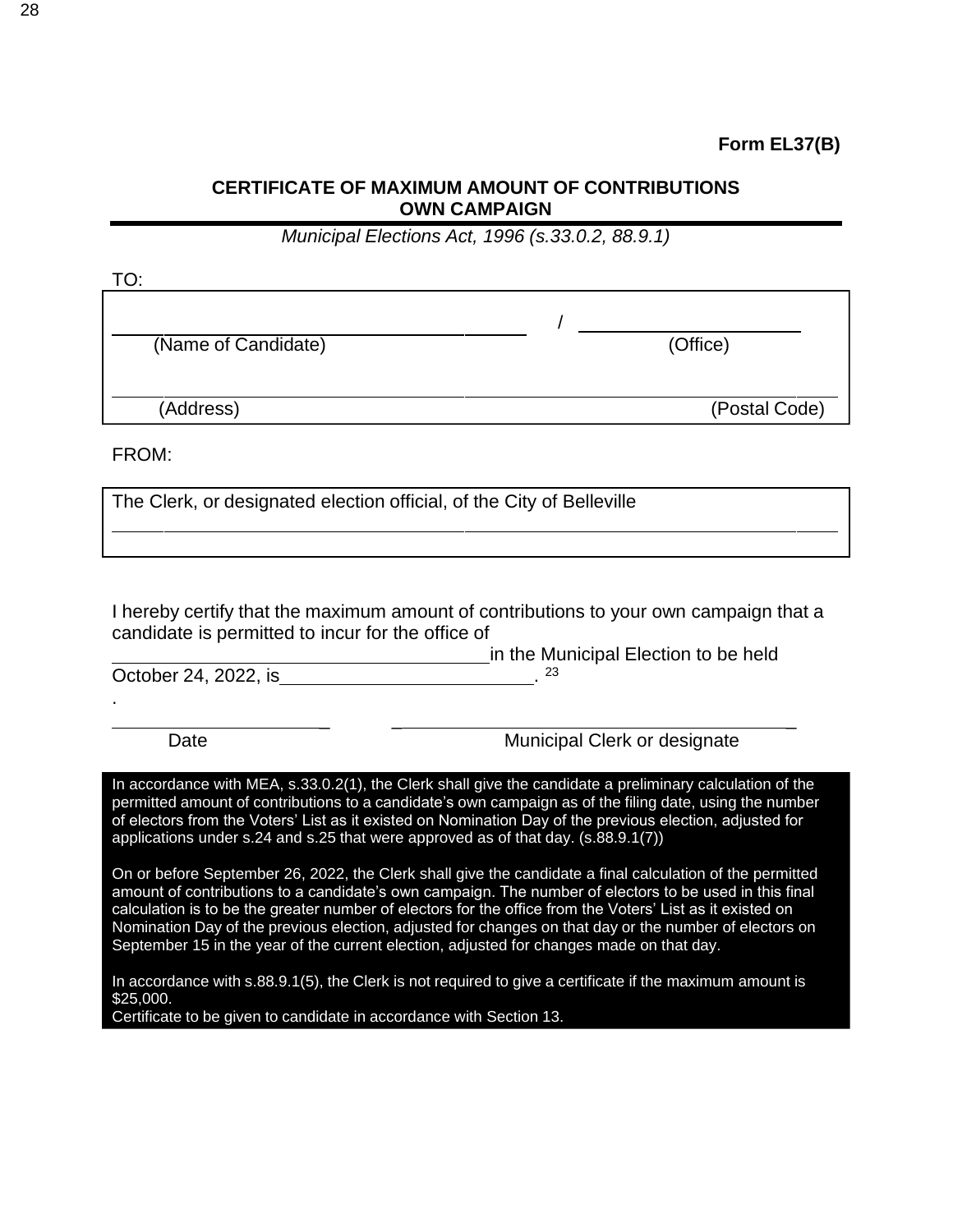## **CERTIFICATE OF MAXIMUM AMOUNT OF CONTRIBUTIONS OWN CAMPAIGN**

*Municipal Elections Act, 1996 (s.33.0.2, 88.9.1)*

(Name of Candidate) / (Office) (Address) (Postal Code) TO:

FROM:

.

The Clerk, or designated election official, of the City of Belleville

I hereby certify that the maximum amount of contributions to your own campaign that a candidate is permitted to incur for the office of

**in the Municipal Election to be held** October 24, 2022, is\_\_\_\_\_\_\_\_\_\_\_\_\_\_\_\_\_\_\_\_\_\_\_\_\_\_\_\_\_\_\_. <sup>23</sup>

Date **Date** Municipal Clerk or designate

\_ \_ \_

In accordance with MEA, s.33.0.2(1), the Clerk shall give the candidate a preliminary calculation of the permitted amount of contributions to a candidate's own campaign as of the filing date, using the number of electors from the Voters' List as it existed on Nomination Day of the previous election, adjusted for applications under s.24 and s.25 that were approved as of that day. (s.88.9.1(7))

On or before September 26, 2022, the Clerk shall give the candidate a final calculation of the permitted amount of contributions to a candidate's own campaign. The number of electors to be used in this final calculation is to be the greater number of electors for the office from the Voters' List as it existed on Nomination Day of the previous election, adjusted for changes on that day or the number of electors on September 15 in the year of the current election, adjusted for changes made on that day.

In accordance with s.88.9.1(5), the Clerk is not required to give a certificate if the maximum amount is \$25,000.

Certificate to be given to candidate in accordance with Section 13.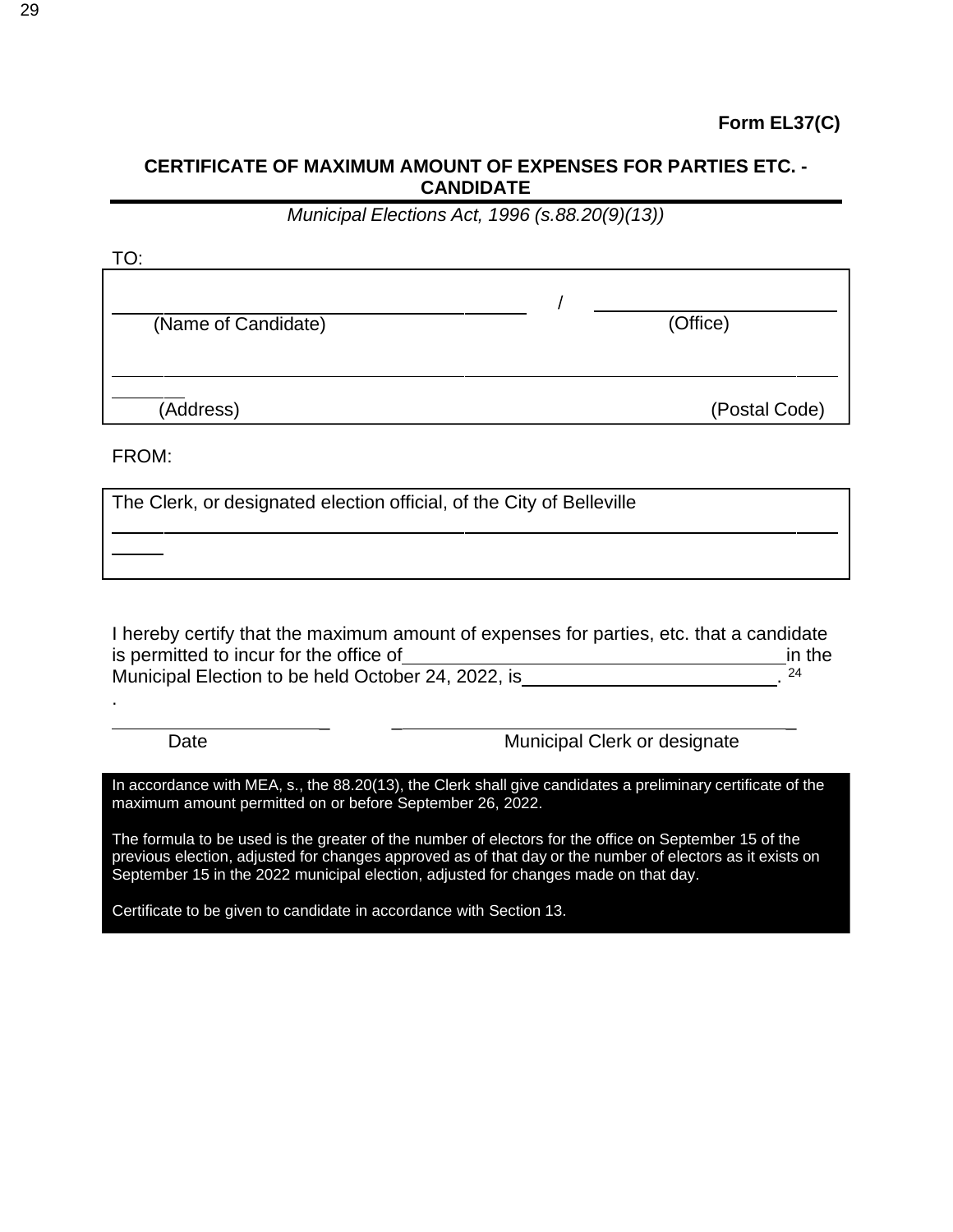### **CERTIFICATE OF MAXIMUM AMOUNT OF EXPENSES FOR PARTIES ETC. - CANDIDATE**

*Municipal Elections Act, 1996 (s.88.20(9)(13))*

| TO:                 |               |
|---------------------|---------------|
| (Name of Candidate) | (Office)      |
| (Address)           | (Postal Code) |

FROM:

.

The Clerk, or designated election official, of the City of Belleville

I hereby certify that the maximum amount of expenses for parties, etc. that a candidate is permitted to incur for the office of in the interest in the in the in the in the Municipal Election to be held October 24, 2022, is \_\_\_\_\_\_\_\_\_\_\_\_\_\_\_\_\_\_\_\_\_\_\_\_\_\_\_. 24

Date **Date** Municipal Clerk or designate

\_ \_ \_

In accordance with MEA, s., the 88.20(13), the Clerk shall give candidates a preliminary certificate of the maximum amount permitted on or before September 26, 2022.

The formula to be used is the greater of the number of electors for the office on September 15 of the previous election, adjusted for changes approved as of that day or the number of electors as it exists on September 15 in the 2022 municipal election, adjusted for changes made on that day.

Certificate to be given to candidate in accordance with Section 13.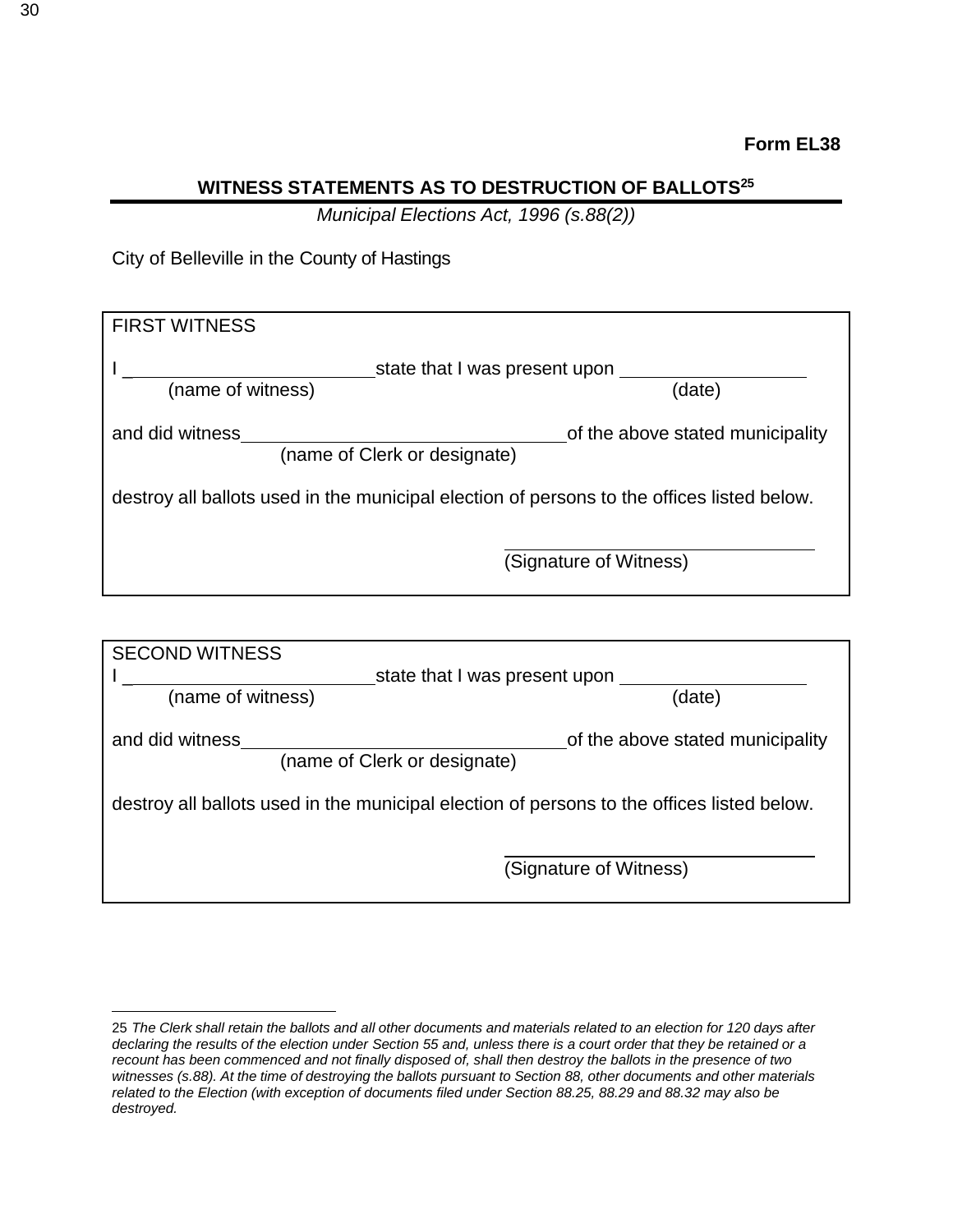# **WITNESS STATEMENTS AS TO DESTRUCTION OF BALLOTS<sup>25</sup>**

*Municipal Elections Act, 1996 (s.88(2))*

City of Belleville in the County of Hastings

| <b>FIRST WITNESS</b>                                                                       |                                  |  |
|--------------------------------------------------------------------------------------------|----------------------------------|--|
| state that I was present upon                                                              |                                  |  |
| (name of witness)                                                                          | (date)                           |  |
| and did witness                                                                            | of the above stated municipality |  |
| (name of Clerk or designate)                                                               |                                  |  |
| destroy all ballots used in the municipal election of persons to the offices listed below. |                                  |  |
|                                                                                            | (Signature of Witness)           |  |

| <b>SECOND WITNESS</b>                                                                      |                                  |  |
|--------------------------------------------------------------------------------------------|----------------------------------|--|
|                                                                                            | state that I was present upon    |  |
| (name of witness)                                                                          | (date)                           |  |
| and did witness                                                                            | of the above stated municipality |  |
| (name of Clerk or designate)                                                               |                                  |  |
| destroy all ballots used in the municipal election of persons to the offices listed below. |                                  |  |
|                                                                                            |                                  |  |
|                                                                                            | (Signature of Witness)           |  |

<sup>25</sup> The Clerk shall retain the ballots and all other documents and materials related to an election for 120 days after *declaring the results of the election under Section 55 and, unless there is a court order that they be retained or a recount has been commenced and not finally disposed of, shall then destroy the ballots in the presence of two* witnesses (s.88). At the time of destroying the ballots pursuant to Section 88, other documents and other materials *related to the Election (with exception of documents filed under Section 88.25, 88.29 and 88.32 may also be destroyed.*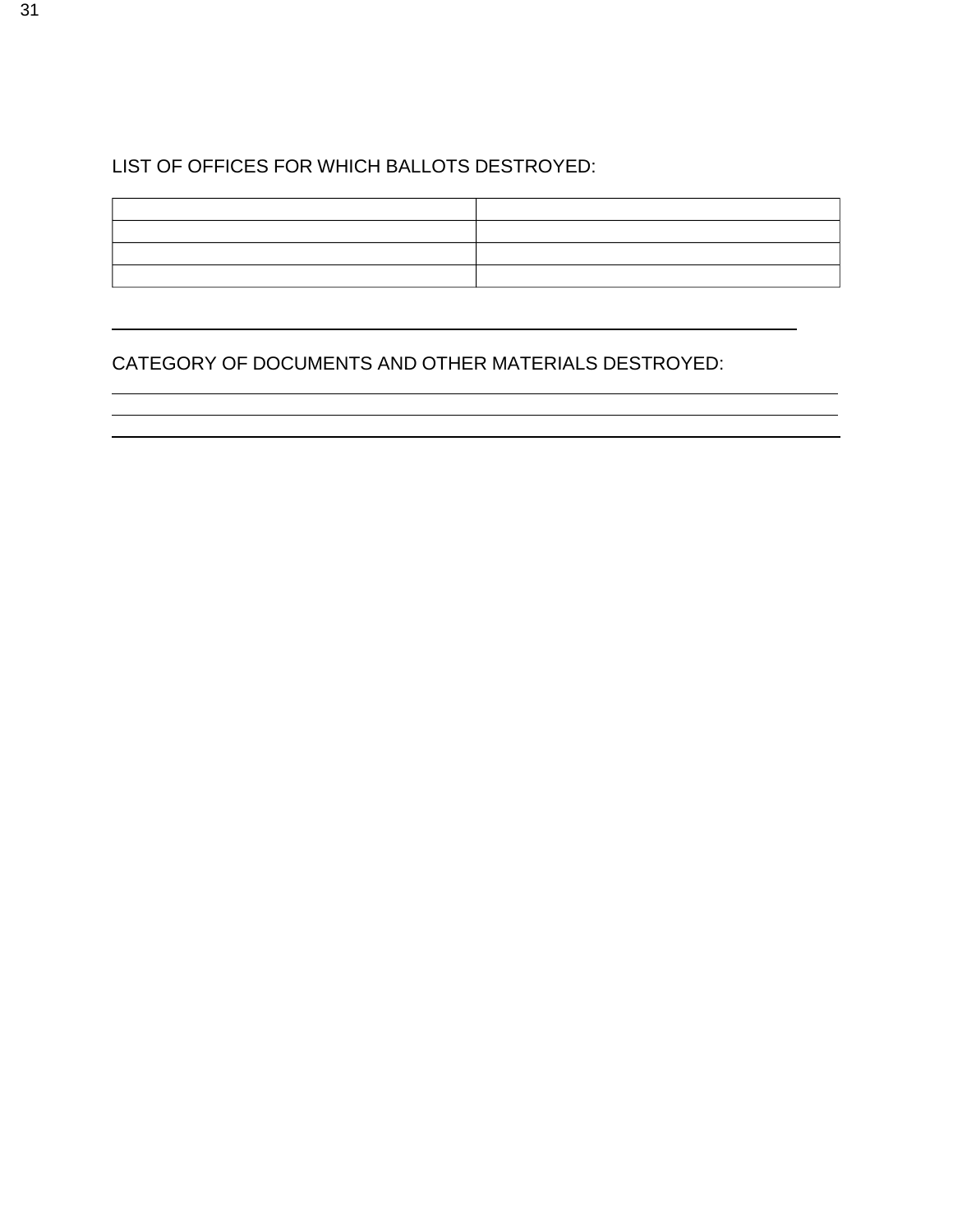# LIST OF OFFICES FOR WHICH BALLOTS DESTROYED:

# CATEGORY OF DOCUMENTS AND OTHER MATERIALS DESTROYED: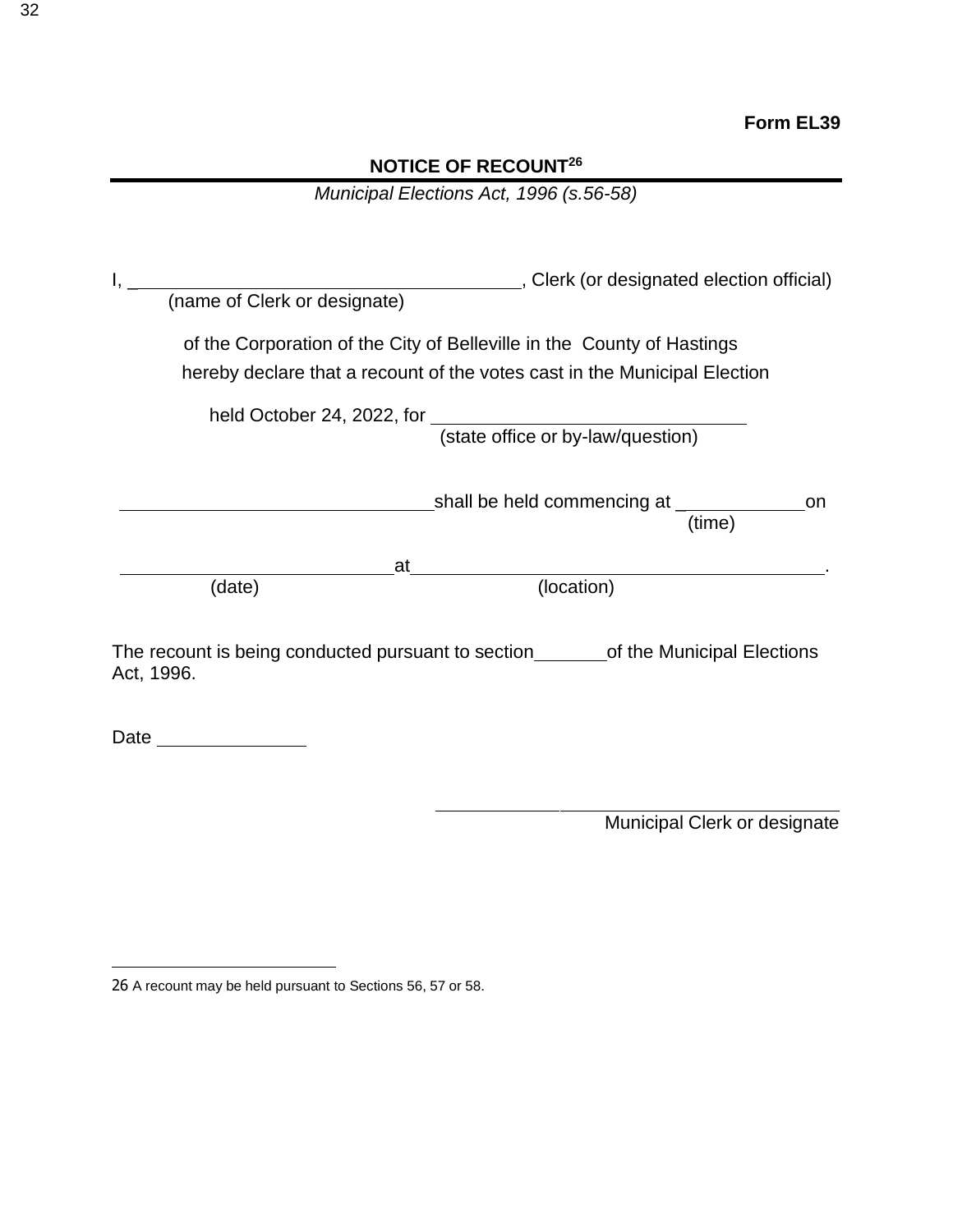# **NOTICE OF RECOUNT<sup>26</sup>**

| Municipal Elections Act, 1996 (s.56-58) |  |
|-----------------------------------------|--|
|-----------------------------------------|--|

| (name of Clerk or designate) | , Clerk (or designated election official)                                                                                                           |
|------------------------------|-----------------------------------------------------------------------------------------------------------------------------------------------------|
|                              | of the Corporation of the City of Belleville in the County of Hastings<br>hereby declare that a recount of the votes cast in the Municipal Election |
|                              | held October 24, 2022, for<br>(state office or by-law/question)                                                                                     |
|                              | _shall be held commencing at $\_\_$<br>on<br>(time)                                                                                                 |
| at                           |                                                                                                                                                     |
| (date)                       | (location)                                                                                                                                          |
| Act, 1996.                   | The recount is being conducted pursuant to section__________of the Municipal Elections                                                              |
|                              |                                                                                                                                                     |
|                              | Municipal Clerk or designate                                                                                                                        |

<sup>26</sup> A recount may be held pursuant to Sections 56, 57 or 58.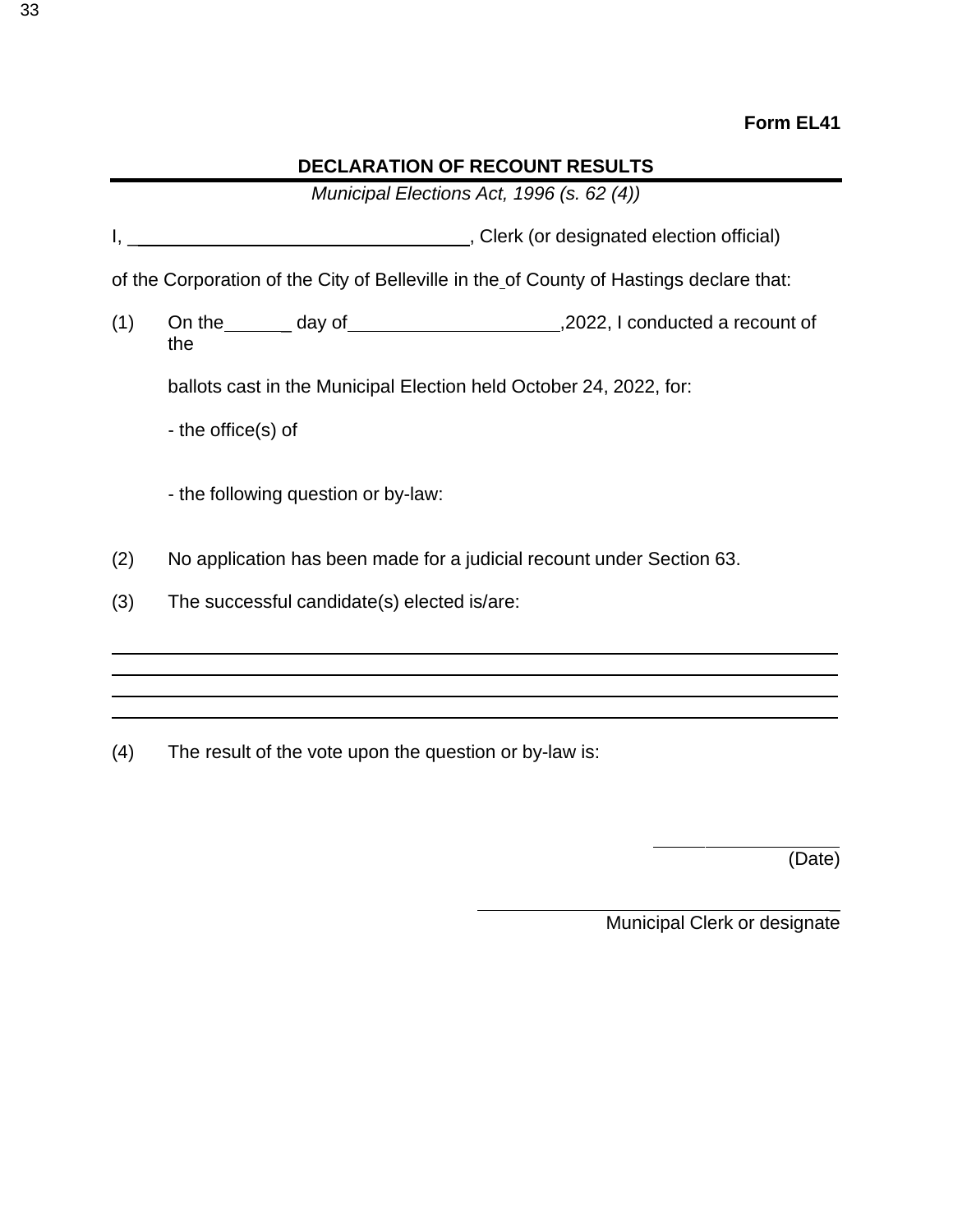# **DECLARATION OF RECOUNT RESULTS**

*Municipal Elections Act, 1996 (s. 62 (4))*

I, \_ , Clerk (or designated election official)

of the Corporation of the City of Belleville in the of County of Hastings declare that:

 $(1)$  On the  $\qquad \qquad$  day of  $\qquad \qquad$  ,2022, I conducted a recount of the

ballots cast in the Municipal Election held October 24, 2022, for:

- the office(s) of

- the following question or by-law:

- (2) No application has been made for a judicial recount under Section 63.
- (3) The successful candidate(s) elected is/are:

(4) The result of the vote upon the question or by-law is:

(Date)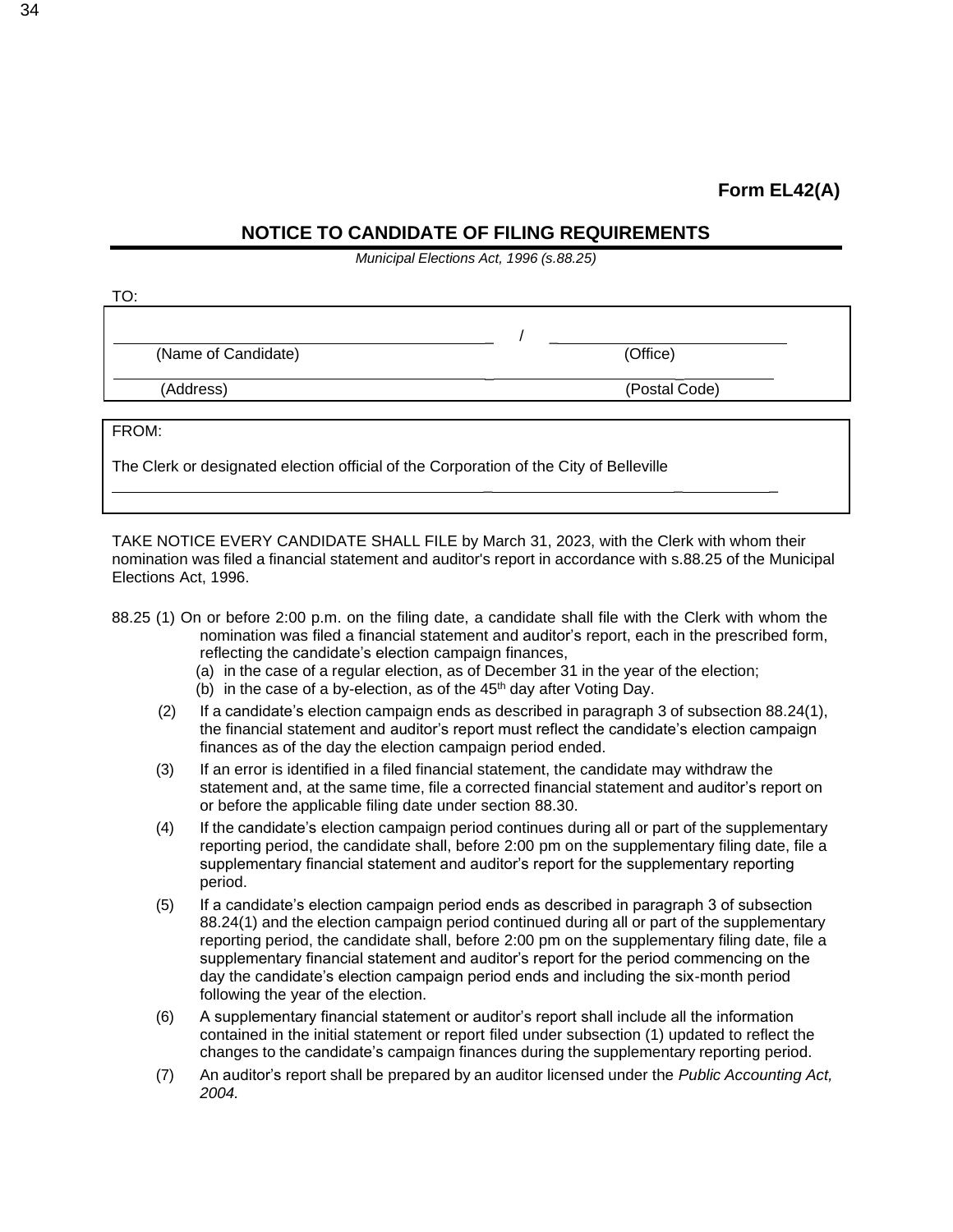## **NOTICE TO CANDIDATE OF FILING REQUIREMENTS**

*Municipal Elections Act, 1996 (s.88.25)*

| TO:                 |               |  |
|---------------------|---------------|--|
|                     |               |  |
| (Name of Candidate) | (Office)      |  |
| (Address)           | (Postal Code) |  |
|                     |               |  |
| FROM:               |               |  |

The Clerk or designated election official of the Corporation of the City of Belleville

TAKE NOTICE EVERY CANDIDATE SHALL FILE by March 31, 2023, with the Clerk with whom their nomination was filed a financial statement and auditor's report in accordance with s.88.25 of the Municipal Elections Act, 1996.

 $\frac{1}{2}$  , and the set of the set of the set of the set of the set of the set of the set of the set of the set of the set of the set of the set of the set of the set of the set of the set of the set of the set of the set

- 88.25 (1) On or before 2:00 p.m. on the filing date, a candidate shall file with the Clerk with whom the nomination was filed a financial statement and auditor's report, each in the prescribed form, reflecting the candidate's election campaign finances,
	- (a) in the case of a regular election, as of December 31 in the year of the election;
	- $(b)$  in the case of a by-election, as of the 45<sup>th</sup> day after Voting Day.
	- (2) If a candidate's election campaign ends as described in paragraph 3 of subsection 88.24(1), the financial statement and auditor's report must reflect the candidate's election campaign finances as of the day the election campaign period ended.
	- (3) If an error is identified in a filed financial statement, the candidate may withdraw the statement and, at the same time, file a corrected financial statement and auditor's report on or before the applicable filing date under section 88.30.
	- (4) If the candidate's election campaign period continues during all or part of the supplementary reporting period, the candidate shall, before 2:00 pm on the supplementary filing date, file a supplementary financial statement and auditor's report for the supplementary reporting period.
	- (5) If a candidate's election campaign period ends as described in paragraph 3 of subsection 88.24(1) and the election campaign period continued during all or part of the supplementary reporting period, the candidate shall, before 2:00 pm on the supplementary filing date, file a supplementary financial statement and auditor's report for the period commencing on the day the candidate's election campaign period ends and including the six-month period following the year of the election.
	- (6) A supplementary financial statement or auditor's report shall include all the information contained in the initial statement or report filed under subsection (1) updated to reflect the changes to the candidate's campaign finances during the supplementary reporting period.
	- (7) An auditor's report shall be prepared by an auditor licensed under the *Public Accounting Act, 2004.*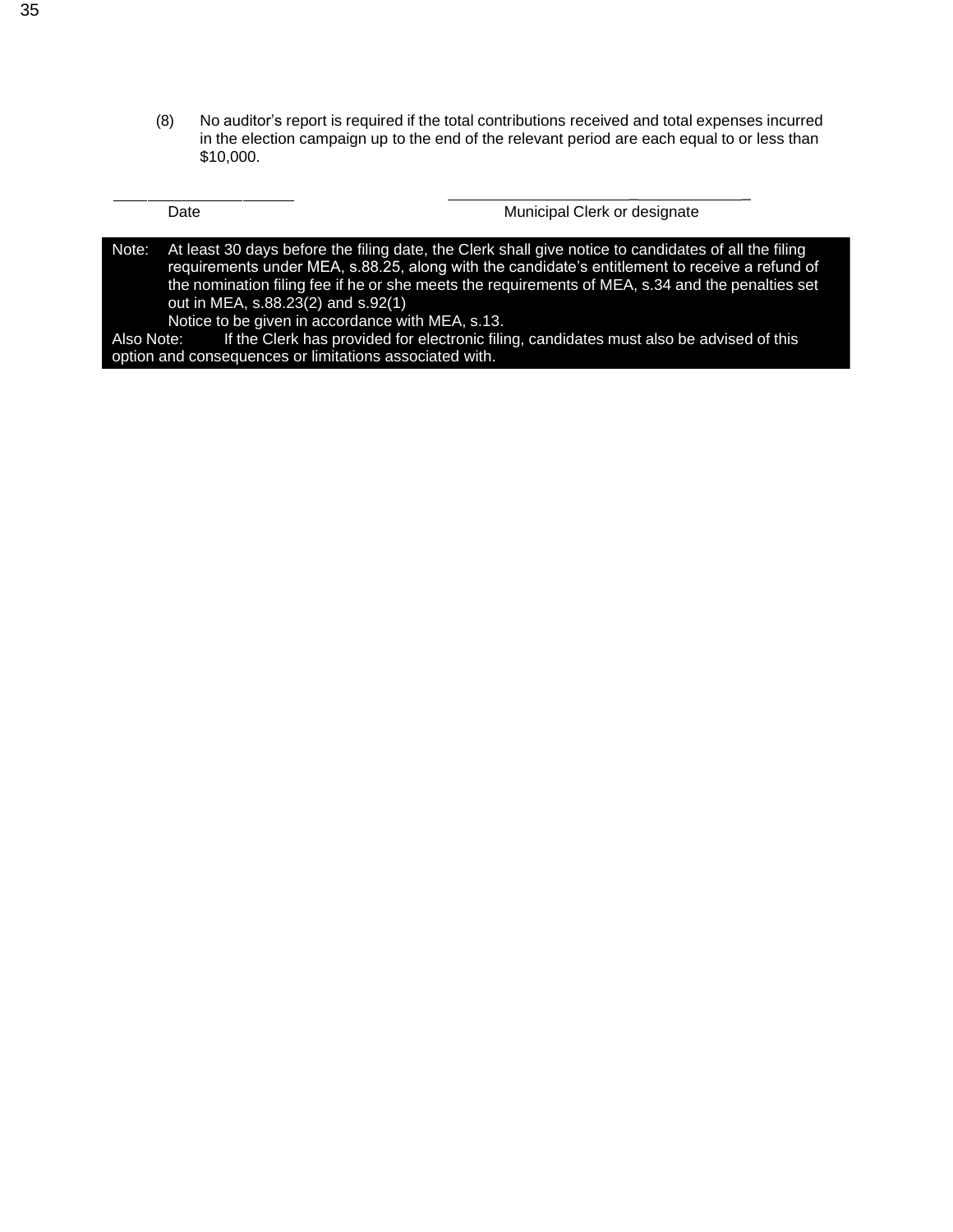(8) No auditor's report is required if the total contributions received and total expenses incurred in the election campaign up to the end of the relevant period are each equal to or less than \$10,000.

|            | Date                                                                                                                                                                                                                                                                                                                                                                                                 | Municipal Clerk or designate                                                             |
|------------|------------------------------------------------------------------------------------------------------------------------------------------------------------------------------------------------------------------------------------------------------------------------------------------------------------------------------------------------------------------------------------------------------|------------------------------------------------------------------------------------------|
| Note:      | At least 30 days before the filing date, the Clerk shall give notice to candidates of all the filing<br>requirements under MEA, s.88.25, along with the candidate's entitlement to receive a refund of<br>the nomination filing fee if he or she meets the requirements of MEA, s.34 and the penalties set<br>out in MEA, s.88.23(2) and s.92(1)<br>Notice to be given in accordance with MEA, s.13. |                                                                                          |
| Also Note: | option and consequences or limitations associated with.                                                                                                                                                                                                                                                                                                                                              | If the Clerk has provided for electronic filing, candidates must also be advised of this |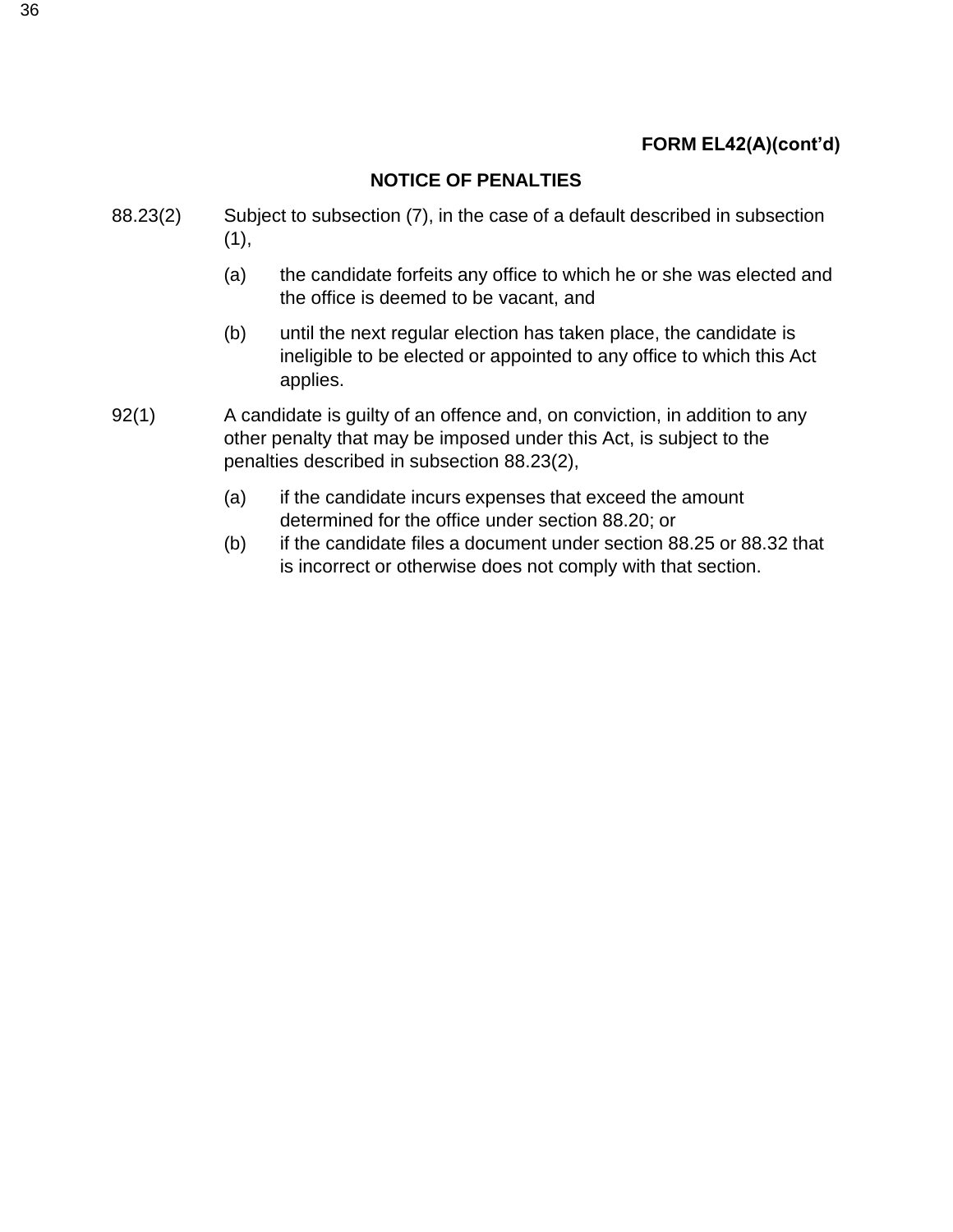# **FORM EL42(A)(cont'd)**

## **NOTICE OF PENALTIES**

- 88.23(2) Subject to subsection (7), in the case of a default described in subsection  $(1),$ 
	- (a) the candidate forfeits any office to which he or she was elected and the office is deemed to be vacant, and
	- (b) until the next regular election has taken place, the candidate is ineligible to be elected or appointed to any office to which this Act applies.
- 92(1) A candidate is guilty of an offence and, on conviction, in addition to any other penalty that may be imposed under this Act, is subject to the penalties described in subsection 88.23(2),
	- (a) if the candidate incurs expenses that exceed the amount determined for the office under section 88.20; or
	- (b) if the candidate files a document under section 88.25 or 88.32 that is incorrect or otherwise does not comply with that section.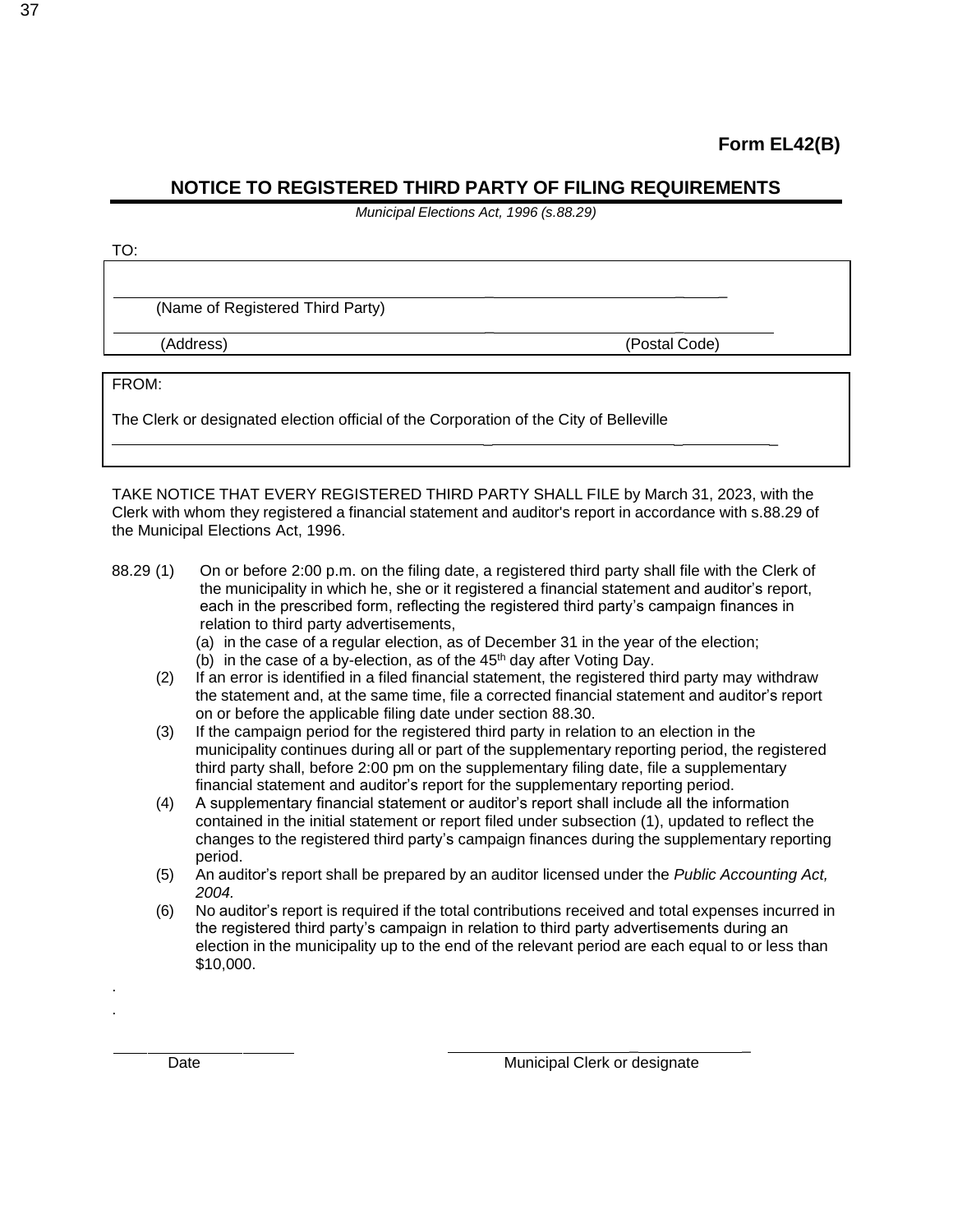# **NOTICE TO REGISTERED THIRD PARTY OF FILING REQUIREMENTS**

*Municipal Elections Act, 1996 (s.88.29)*

| .,     |  |
|--------|--|
|        |  |
| v<br>× |  |

(Name of Registered Third Party)

\_ \_ (Address) (Postal Code)

\_ \_ \_

 $\frac{1}{2}$  , which is a set of the set of the set of the set of the set of the set of the set of the set of the set of the set of the set of the set of the set of the set of the set of the set of the set of the set of the

FROM:

The Clerk or designated election official of the Corporation of the City of Belleville

TAKE NOTICE THAT EVERY REGISTERED THIRD PARTY SHALL FILE by March 31, 2023, with the Clerk with whom they registered a financial statement and auditor's report in accordance with s.88.29 of the Municipal Elections Act, 1996.

- 88.29 (1) On or before 2:00 p.m. on the filing date, a registered third party shall file with the Clerk of the municipality in which he, she or it registered a financial statement and auditor's report, each in the prescribed form, reflecting the registered third party's campaign finances in relation to third party advertisements,
	- (a) in the case of a regular election, as of December 31 in the year of the election;
	- $(b)$  in the case of a by-election, as of the 45<sup>th</sup> day after Voting Day.
	- (2) If an error is identified in a filed financial statement, the registered third party may withdraw the statement and, at the same time, file a corrected financial statement and auditor's report on or before the applicable filing date under section 88.30.
	- (3) If the campaign period for the registered third party in relation to an election in the municipality continues during all or part of the supplementary reporting period, the registered third party shall, before 2:00 pm on the supplementary filing date, file a supplementary financial statement and auditor's report for the supplementary reporting period.
	- (4) A supplementary financial statement or auditor's report shall include all the information contained in the initial statement or report filed under subsection (1), updated to reflect the changes to the registered third party's campaign finances during the supplementary reporting period.
	- (5) An auditor's report shall be prepared by an auditor licensed under the *Public Accounting Act, 2004.*
	- (6) No auditor's report is required if the total contributions received and total expenses incurred in the registered third party's campaign in relation to third party advertisements during an election in the municipality up to the end of the relevant period are each equal to or less than \$10,000.

\_ \_ Date **Date** Municipal Clerk or designate

. .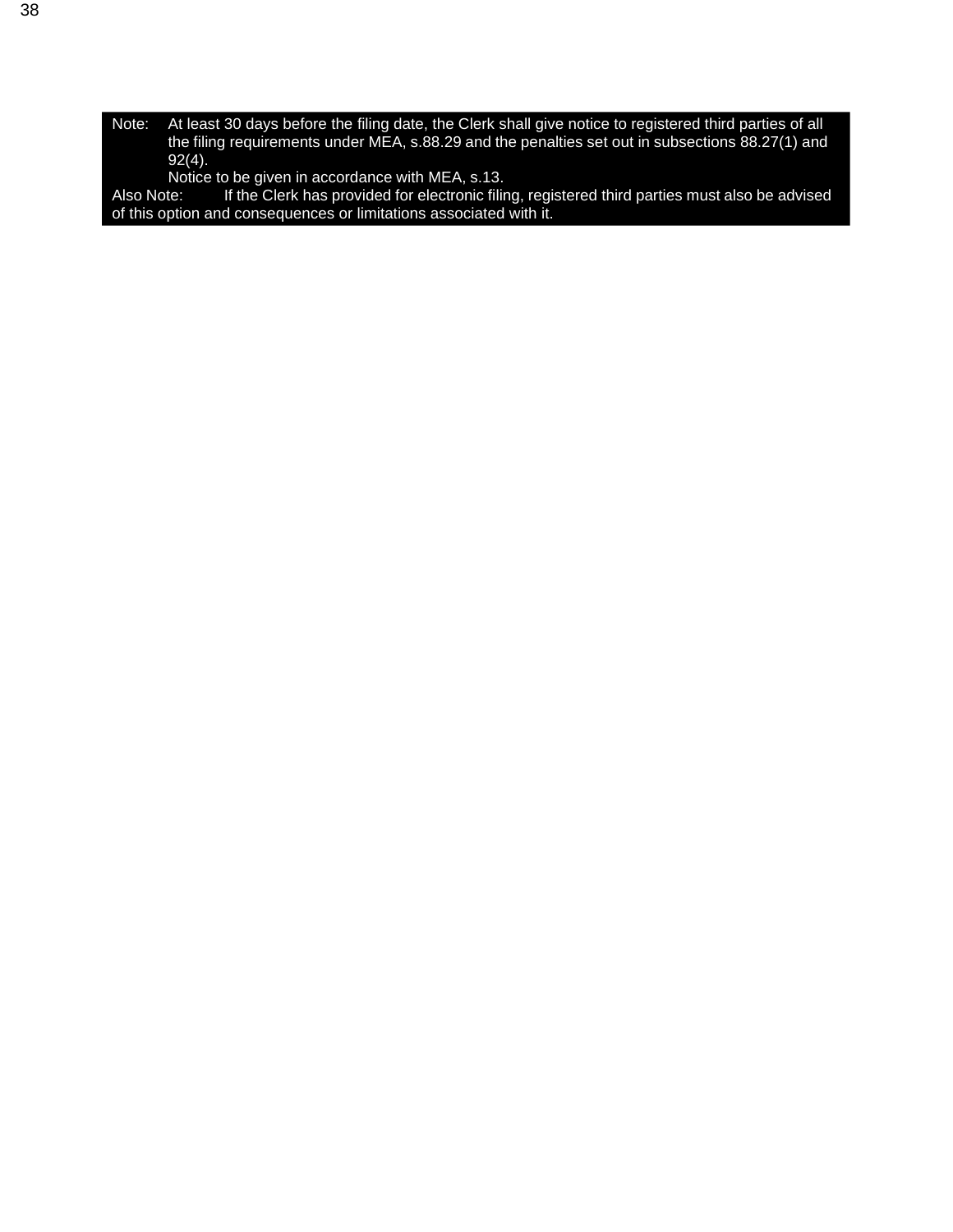- Note: At least 30 days before the filing date, the Clerk shall give notice to registered third parties of all the filing requirements under MEA, s.88.29 and the penalties set out in subsections 88.27(1) and 92(4).
	- Notice to be given in accordance with MEA, s.13.

Also Note: If the Clerk has provided for electronic filing, registered third parties must also be advised of this option and consequences or limitations associated with it.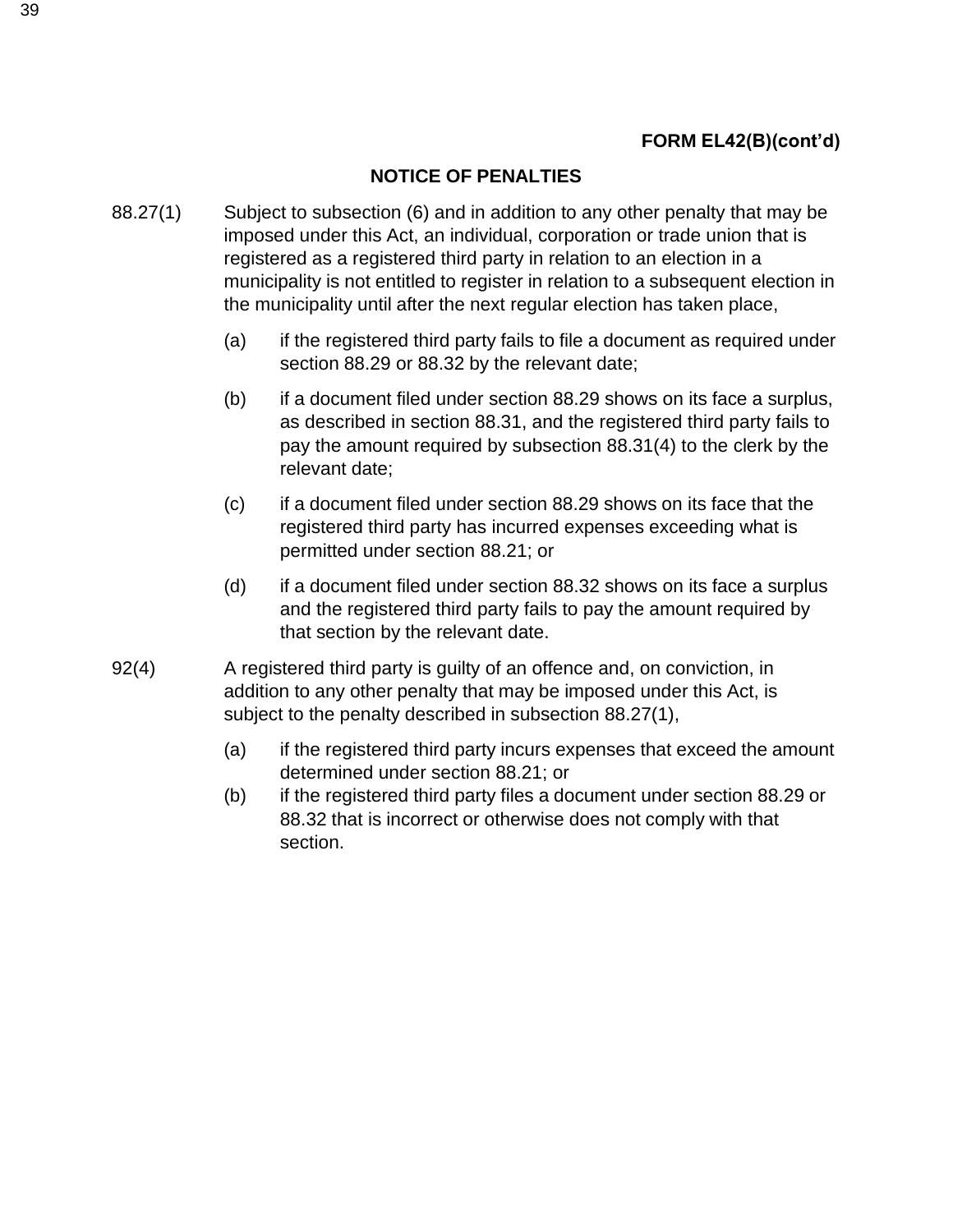# **NOTICE OF PENALTIES**

- 88.27(1) Subject to subsection (6) and in addition to any other penalty that may be imposed under this Act, an individual, corporation or trade union that is registered as a registered third party in relation to an election in a municipality is not entitled to register in relation to a subsequent election in the municipality until after the next regular election has taken place,
	- (a) if the registered third party fails to file a document as required under section 88.29 or 88.32 by the relevant date;
	- (b) if a document filed under section 88.29 shows on its face a surplus, as described in section 88.31, and the registered third party fails to pay the amount required by subsection 88.31(4) to the clerk by the relevant date;
	- (c) if a document filed under section 88.29 shows on its face that the registered third party has incurred expenses exceeding what is permitted under section 88.21; or
	- (d) if a document filed under section 88.32 shows on its face a surplus and the registered third party fails to pay the amount required by that section by the relevant date.
- 92(4) A registered third party is guilty of an offence and, on conviction, in addition to any other penalty that may be imposed under this Act, is subject to the penalty described in subsection 88.27(1),
	- (a) if the registered third party incurs expenses that exceed the amount determined under section 88.21; or
	- (b) if the registered third party files a document under section 88.29 or 88.32 that is incorrect or otherwise does not comply with that section.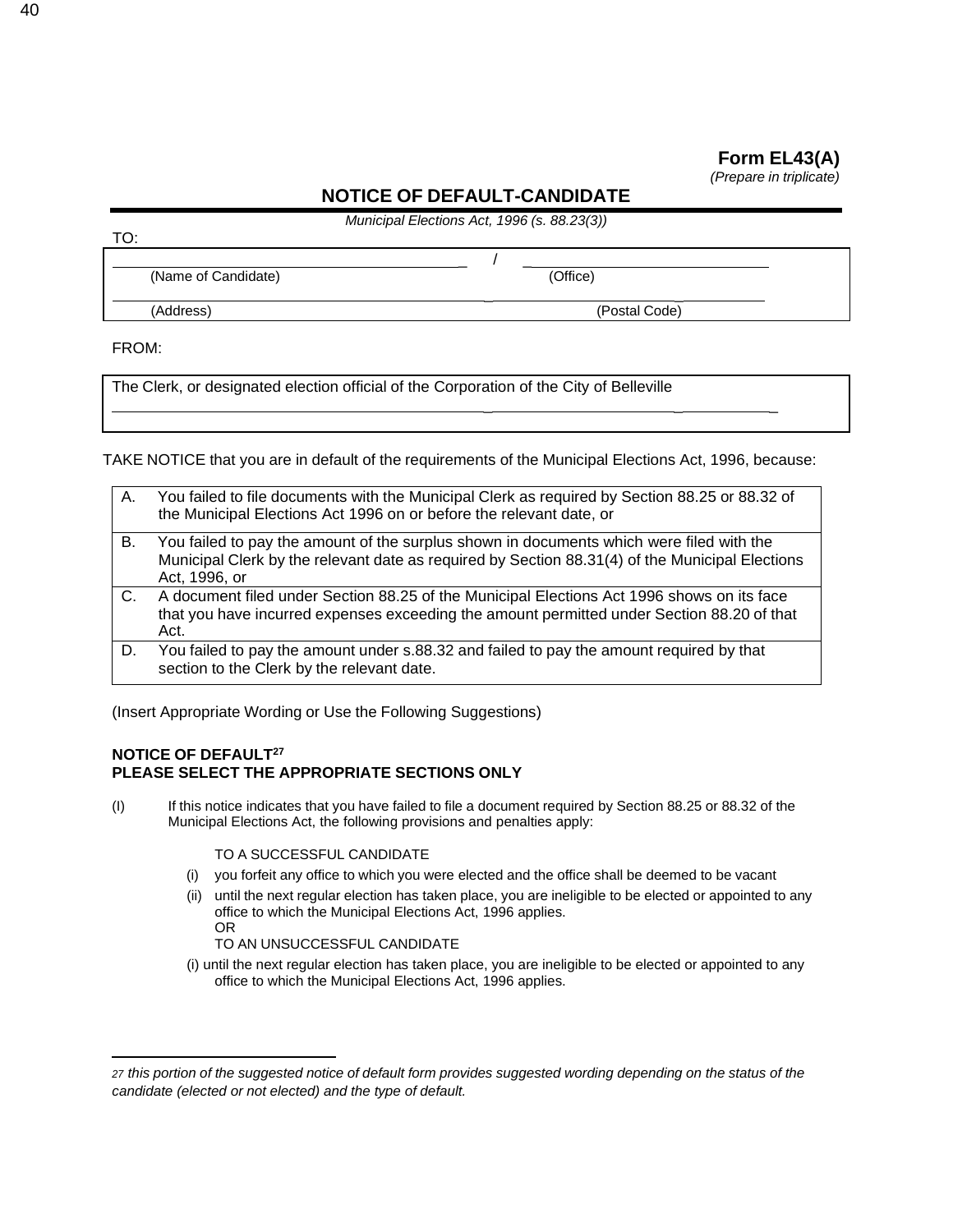*(Prepare in triplicate)*

# **NOTICE OF DEFAULT-CANDIDATE**

*Municipal Elections Act, 1996 (s. 88.23(3))*

 $\overline{\phantom{a}}$  /  $\overline{\phantom{a}}$ 

| (Name of Candidate) | (Office) |
|---------------------|----------|

 $\mathcal{L} = \mathcal{L} \times \mathcal{L}$  , where  $\mathcal{L} = \mathcal{L} \times \mathcal{L}$  , where  $\mathcal{L} = \mathcal{L} \times \mathcal{L}$ 

\_ \_ \_

(Address) (Postal Code)

FROM:

TO:

The Clerk, or designated election official of the Corporation of the City of Belleville

TAKE NOTICE that you are in default of the requirements of the Municipal Elections Act, 1996, because:

A. You failed to file documents with the Municipal Clerk as required by Section 88.25 or 88.32 of the Municipal Elections Act 1996 on or before the relevant date, or B. You failed to pay the amount of the surplus shown in documents which were filed with the Municipal Clerk by the relevant date as required by Section 88.31(4) of the Municipal Elections Act, 1996, or C. A document filed under Section 88.25 of the Municipal Elections Act 1996 shows on its face that you have incurred expenses exceeding the amount permitted under Section 88.20 of that Act. D. You failed to pay the amount under s.88.32 and failed to pay the amount required by that section to the Clerk by the relevant date.

(Insert Appropriate Wording or Use the Following Suggestions)

#### **NOTICE OF DEFAULT<sup>27</sup> PLEASE SELECT THE APPROPRIATE SECTIONS ONLY**

(I) If this notice indicates that you have failed to file a document required by Section 88.25 or 88.32 of the Municipal Elections Act, the following provisions and penalties apply:

TO A SUCCESSFUL CANDIDATE

- (i) you forfeit any office to which you were elected and the office shall be deemed to be vacant
- (ii) until the next regular election has taken place, you are ineligible to be elected or appointed to any office to which the Municipal Elections Act, 1996 applies. OR

TO AN UNSUCCESSFUL CANDIDATE

(i) until the next regular election has taken place, you are ineligible to be elected or appointed to any office to which the Municipal Elections Act, 1996 applies.

<sup>27</sup> this portion of the suggested notice of default form provides suggested wording depending on the status of the *candidate (elected or not elected) and the type of default.*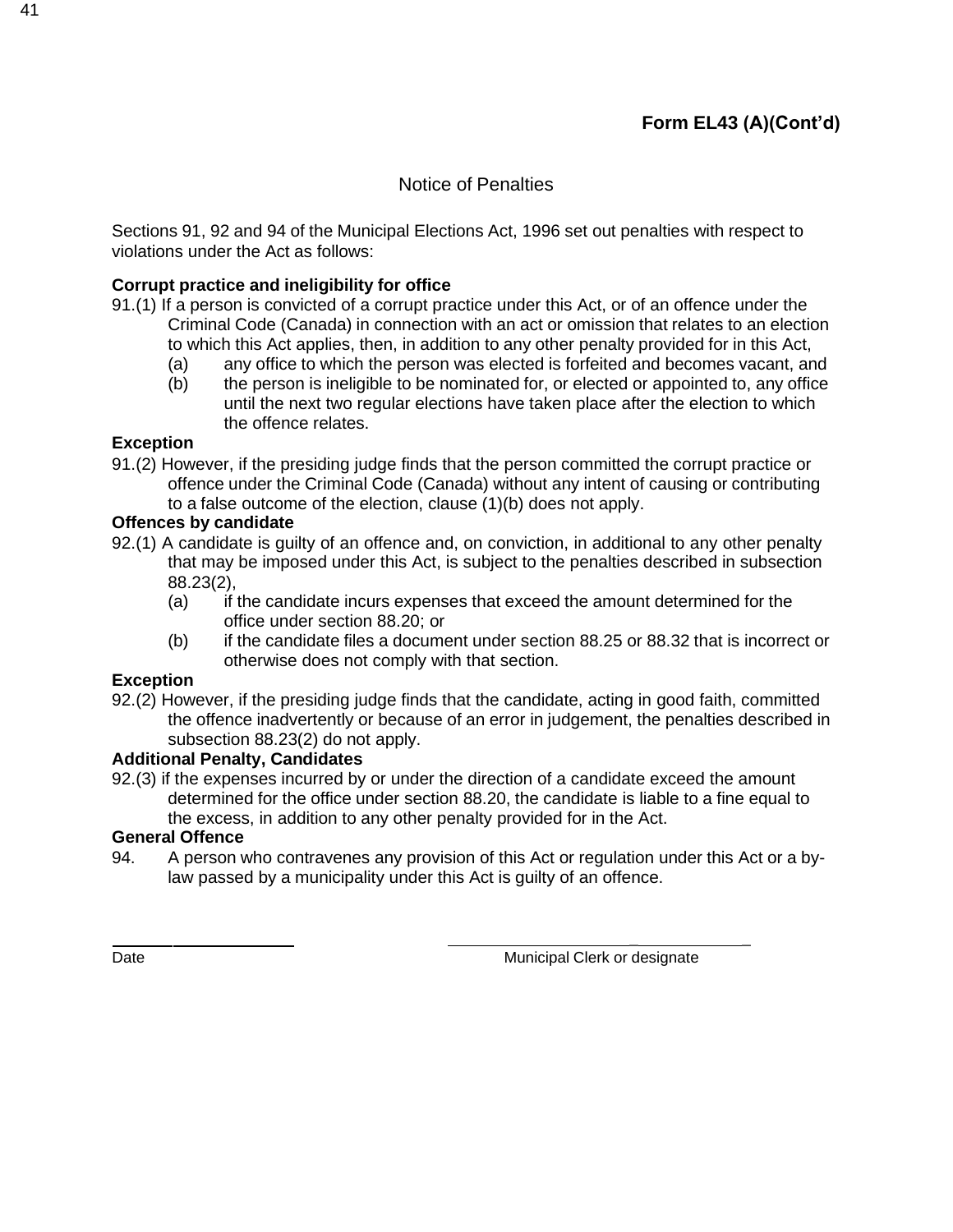# **Form EL43 (A)(Cont'd)**

# Notice of Penalties

Sections 91, 92 and 94 of the Municipal Elections Act, 1996 set out penalties with respect to violations under the Act as follows:

#### **Corrupt practice and ineligibility for office**

91.(1) If a person is convicted of a corrupt practice under this Act, or of an offence under the Criminal Code (Canada) in connection with an act or omission that relates to an election to which this Act applies, then, in addition to any other penalty provided for in this Act,

- (a) any office to which the person was elected is forfeited and becomes vacant, and
- (b) the person is ineligible to be nominated for, or elected or appointed to, any office until the next two regular elections have taken place after the election to which the offence relates.

#### **Exception**

91.(2) However, if the presiding judge finds that the person committed the corrupt practice or offence under the Criminal Code (Canada) without any intent of causing or contributing to a false outcome of the election, clause (1)(b) does not apply.

#### **Offences by candidate**

92.(1) A candidate is guilty of an offence and, on conviction, in additional to any other penalty that may be imposed under this Act, is subject to the penalties described in subsection 88.23(2),

- (a) if the candidate incurs expenses that exceed the amount determined for the office under section 88.20; or
- (b) if the candidate files a document under section 88.25 or 88.32 that is incorrect or otherwise does not comply with that section.

#### **Exception**

92.(2) However, if the presiding judge finds that the candidate, acting in good faith, committed the offence inadvertently or because of an error in judgement, the penalties described in subsection 88.23(2) do not apply.

#### **Additional Penalty, Candidates**

92.(3) if the expenses incurred by or under the direction of a candidate exceed the amount determined for the office under section 88.20, the candidate is liable to a fine equal to the excess, in addition to any other penalty provided for in the Act.

#### **General Offence**

94. A person who contravenes any provision of this Act or regulation under this Act or a bvlaw passed by a municipality under this Act is guilty of an offence.

Date **Date Authority Contract Clerk of Authority Clerk of Authority Clerk or designate** 

 $\overline{\phantom{a}}$   $\overline{\phantom{a}}$   $\overline{\phantom{a}}$   $\overline{\phantom{a}}$   $\overline{\phantom{a}}$   $\overline{\phantom{a}}$   $\overline{\phantom{a}}$   $\overline{\phantom{a}}$   $\overline{\phantom{a}}$   $\overline{\phantom{a}}$   $\overline{\phantom{a}}$   $\overline{\phantom{a}}$   $\overline{\phantom{a}}$   $\overline{\phantom{a}}$   $\overline{\phantom{a}}$   $\overline{\phantom{a}}$   $\overline{\phantom{a}}$   $\overline{\phantom{a}}$   $\overline{\$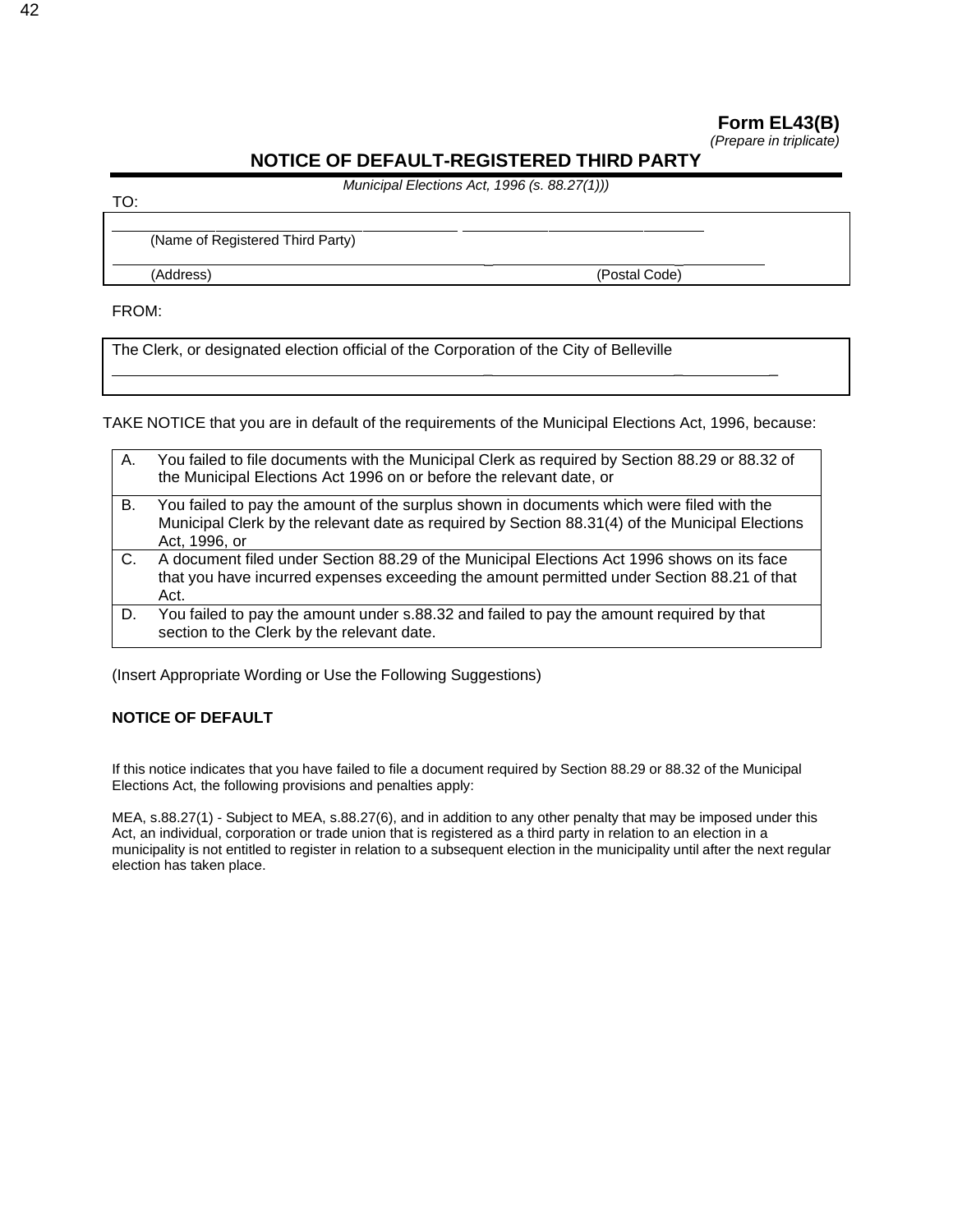#### **Form EL43(B)**

*(Prepare in triplicate)*

# **NOTICE OF DEFAULT-REGISTERED THIRD PARTY**

*Municipal Elections Act, 1996 (s. 88.27(1)))*

TO:

(Name of Registered Third Party)

(Address) (Postal Code)

 $\mathcal{L} = \mathcal{L} \times \mathcal{L}$  , where  $\mathcal{L} = \mathcal{L} \times \mathcal{L}$  , where  $\mathcal{L} = \mathcal{L} \times \mathcal{L}$ 

\_ \_ \_

FROM:

The Clerk, or designated election official of the Corporation of the City of Belleville

TAKE NOTICE that you are in default of the requirements of the Municipal Elections Act, 1996, because:

| A. | You failed to file documents with the Municipal Clerk as required by Section 88.29 or 88.32 of<br>the Municipal Elections Act 1996 on or before the relevant date, or                                        |
|----|--------------------------------------------------------------------------------------------------------------------------------------------------------------------------------------------------------------|
| В. | You failed to pay the amount of the surplus shown in documents which were filed with the<br>Municipal Clerk by the relevant date as required by Section 88.31(4) of the Municipal Elections<br>Act, 1996, or |
| C. | A document filed under Section 88.29 of the Municipal Elections Act 1996 shows on its face<br>that you have incurred expenses exceeding the amount permitted under Section 88.21 of that<br>Act.             |
| D. | You failed to pay the amount under s.88.32 and failed to pay the amount required by that<br>section to the Clerk by the relevant date.                                                                       |

(Insert Appropriate Wording or Use the Following Suggestions)

#### **NOTICE OF DEFAULT**

If this notice indicates that you have failed to file a document required by Section 88.29 or 88.32 of the Municipal Elections Act, the following provisions and penalties apply:

MEA, s.88.27(1) - Subject to MEA, s.88.27(6), and in addition to any other penalty that may be imposed under this Act, an individual, corporation or trade union that is registered as a third party in relation to an election in a municipality is not entitled to register in relation to a subsequent election in the municipality until after the next regular election has taken place.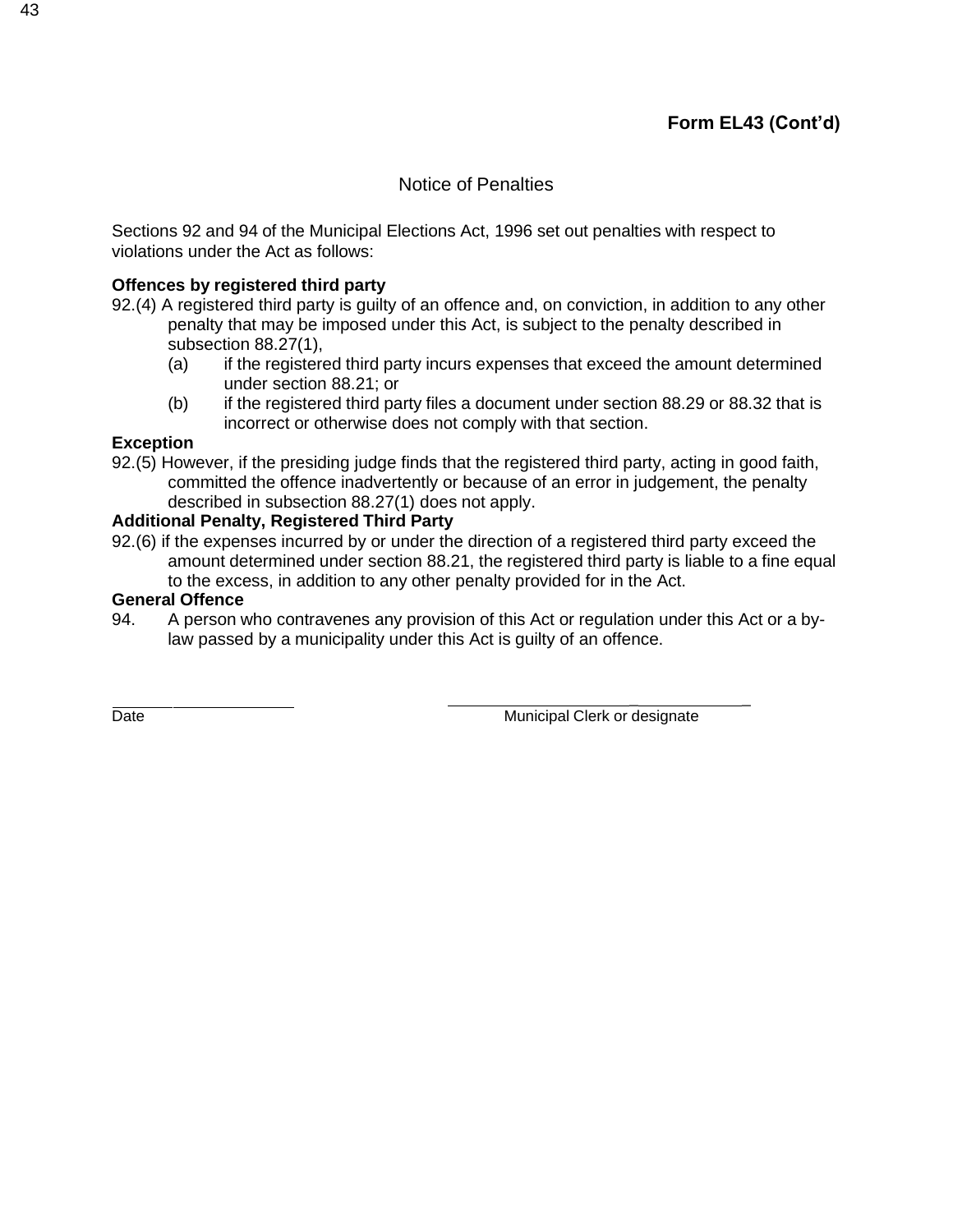# Notice of Penalties

Sections 92 and 94 of the Municipal Elections Act, 1996 set out penalties with respect to violations under the Act as follows:

### **Offences by registered third party**

- 92.(4) A registered third party is guilty of an offence and, on conviction, in addition to any other penalty that may be imposed under this Act, is subject to the penalty described in subsection 88.27(1),
	- (a) if the registered third party incurs expenses that exceed the amount determined under section 88.21; or
	- (b) if the registered third party files a document under section 88.29 or 88.32 that is incorrect or otherwise does not comply with that section.

#### **Exception**

92.(5) However, if the presiding judge finds that the registered third party, acting in good faith, committed the offence inadvertently or because of an error in judgement, the penalty described in subsection 88.27(1) does not apply.

#### **Additional Penalty, Registered Third Party**

92.(6) if the expenses incurred by or under the direction of a registered third party exceed the amount determined under section 88.21, the registered third party is liable to a fine equal to the excess, in addition to any other penalty provided for in the Act.

#### **General Offence**

94. A person who contravenes any provision of this Act or regulation under this Act or a bylaw passed by a municipality under this Act is guilty of an offence.

Date **Date** Municipal Clerk or designate

\_ \_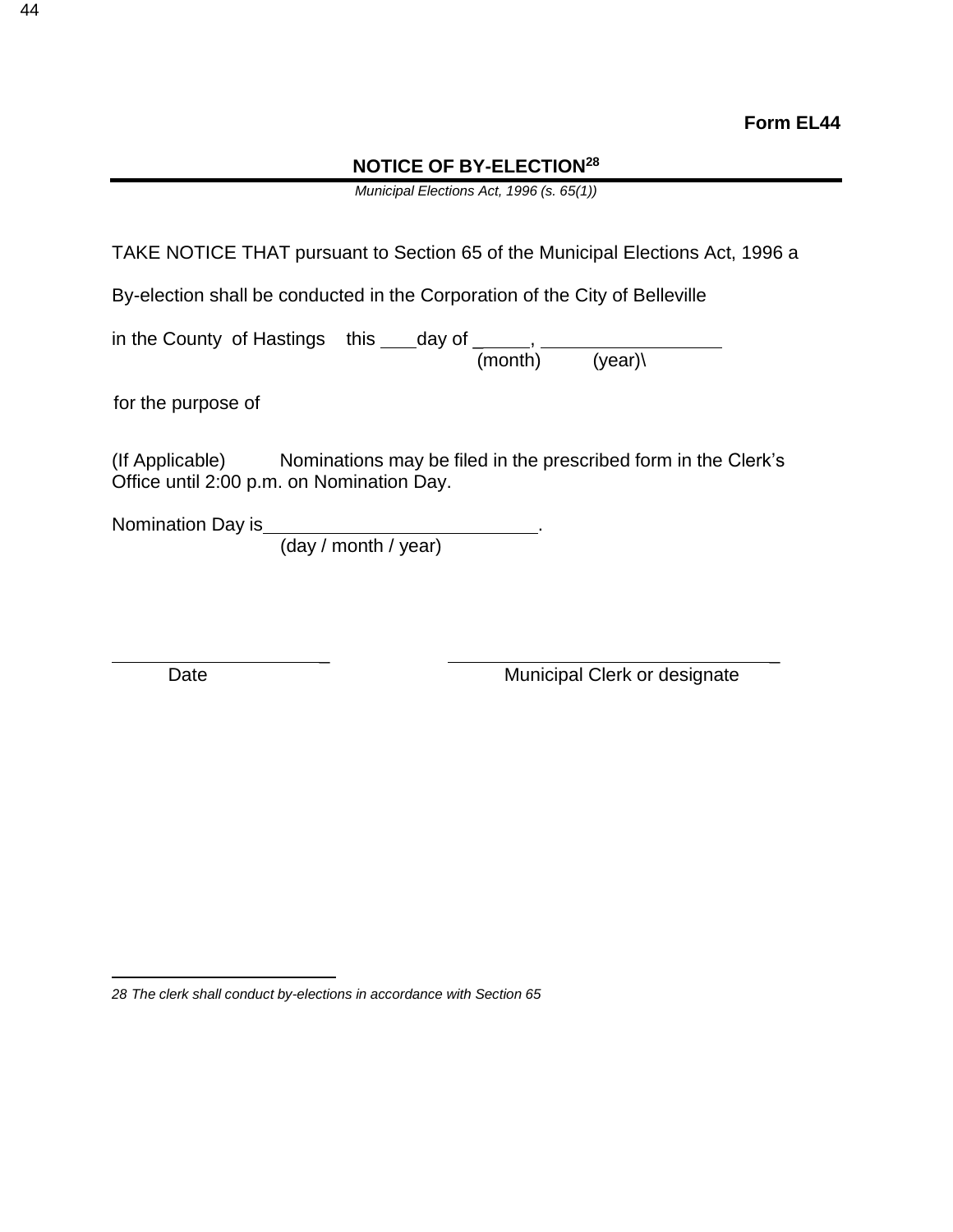#### **NOTICE OF BY-ELECTION<sup>28</sup>**

*Municipal Elections Act, 1996 (s. 65(1))*

TAKE NOTICE THAT pursuant to Section 65 of the Municipal Elections Act, 1996 a

By-election shall be conducted in the Corporation of the City of Belleville

in the County of Hastings this \_\_\_\_day of \_

 $\frac{1}{(month)}$  (year)

for the purpose of

(If Applicable) Nominations may be filed in the prescribed form in the Clerk's Office until 2:00 p.m. on Nomination Day.

Nomination Day is .

(day / month / year)

Date **Date** Municipal Clerk or designate

\_ \_

*<sup>28</sup> The clerk shall conduct by-elections in accordance with Section 65*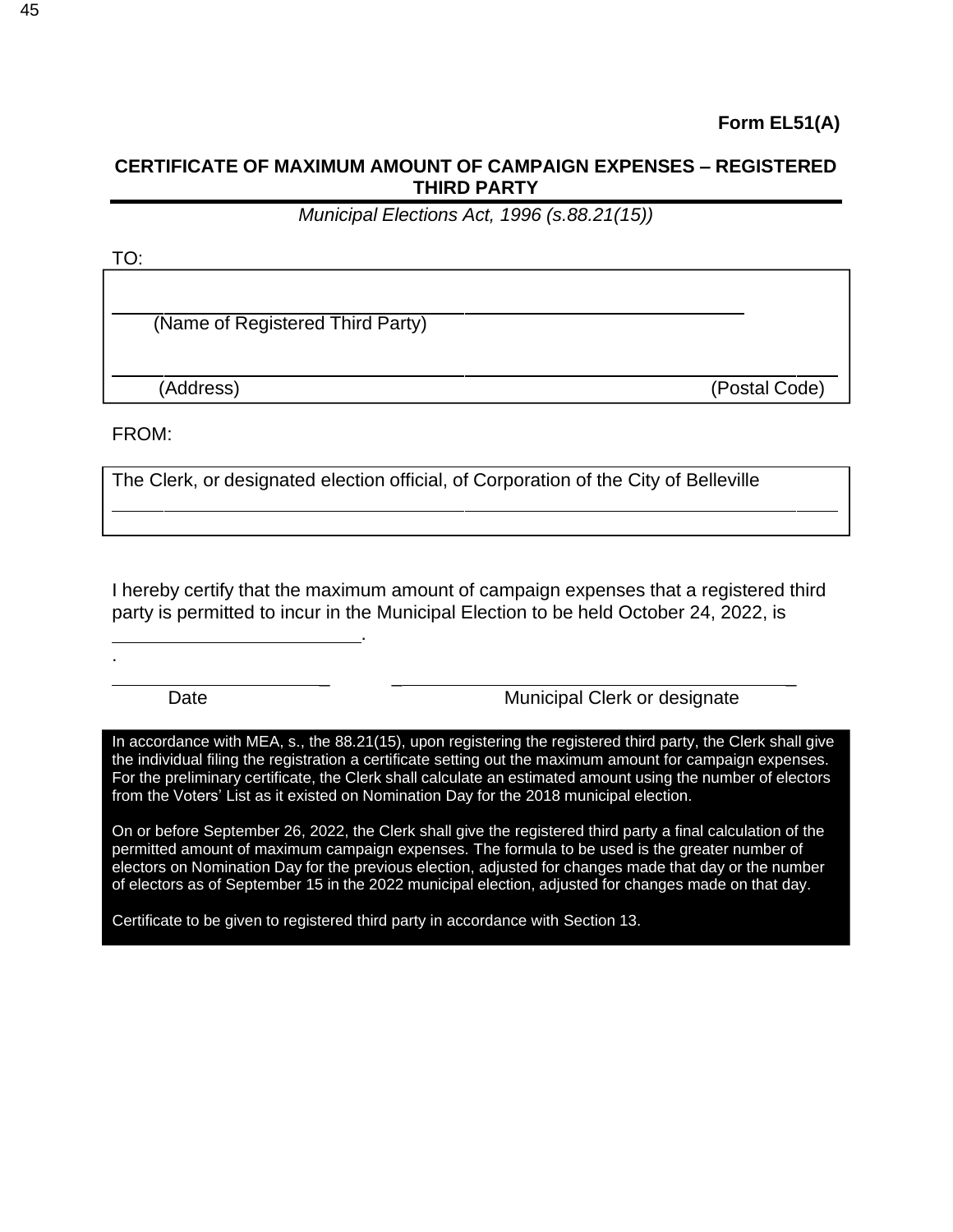### **CERTIFICATE OF MAXIMUM AMOUNT OF CAMPAIGN EXPENSES – REGISTERED THIRD PARTY**

*Municipal Elections Act, 1996 (s.88.21(15))*

TO:

(Name of Registered Third Party)

(Address) (Address) and Code (Postal Code) and Code (Postal Code) (Postal Code)

FROM:

.

The Clerk, or designated election official, of Corporation of the City of Belleville

I hereby certify that the maximum amount of campaign expenses that a registered third party is permitted to incur in the Municipal Election to be held October 24, 2022, is

Date **Date** Municipal Clerk or designate

\_ \_ \_

In accordance with MEA, s., the 88.21(15), upon registering the registered third party, the Clerk shall give the individual filing the registration a certificate setting out the maximum amount for campaign expenses. For the preliminary certificate, the Clerk shall calculate an estimated amount using the number of electors from the Voters' List as it existed on Nomination Day for the 2018 municipal election.

On or before September 26, 2022, the Clerk shall give the registered third party a final calculation of the permitted amount of maximum campaign expenses. The formula to be used is the greater number of electors on Nomination Day for the previous election, adjusted for changes made that day or the number of electors as of September 15 in the 2022 municipal election, adjusted for changes made on that day.

Certificate to be given to registered third party in accordance with Section 13.

.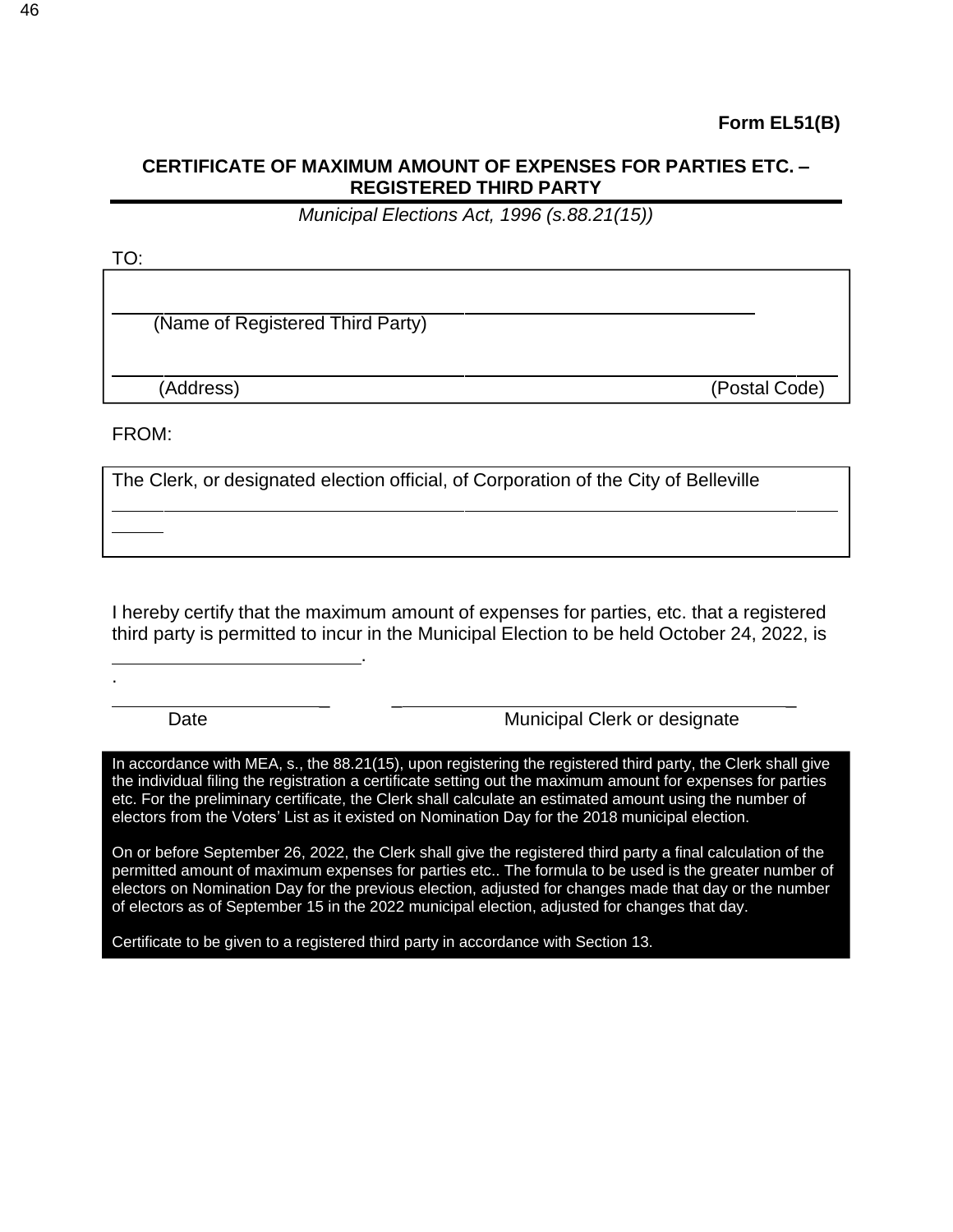### **CERTIFICATE OF MAXIMUM AMOUNT OF EXPENSES FOR PARTIES ETC. – REGISTERED THIRD PARTY**

*Municipal Elections Act, 1996 (s.88.21(15))*

TO:

(Name of Registered Third Party)

(Address) (Postal Code)

FROM:

.

The Clerk, or designated election official, of Corporation of the City of Belleville

I hereby certify that the maximum amount of expenses for parties, etc. that a registered third party is permitted to incur in the Municipal Election to be held October 24, 2022, is

Date **Date** Municipal Clerk or designate

\_ \_ \_

In accordance with MEA, s., the 88.21(15), upon registering the registered third party, the Clerk shall give the individual filing the registration a certificate setting out the maximum amount for expenses for parties etc. For the preliminary certificate, the Clerk shall calculate an estimated amount using the number of electors from the Voters' List as it existed on Nomination Day for the 2018 municipal election.

On or before September 26, 2022, the Clerk shall give the registered third party a final calculation of the permitted amount of maximum expenses for parties etc.. The formula to be used is the greater number of electors on Nomination Day for the previous election, adjusted for changes made that day or the number of electors as of September 15 in the 2022 municipal election, adjusted for changes that day.

Certificate to be given to a registered third party in accordance with Section 13.

.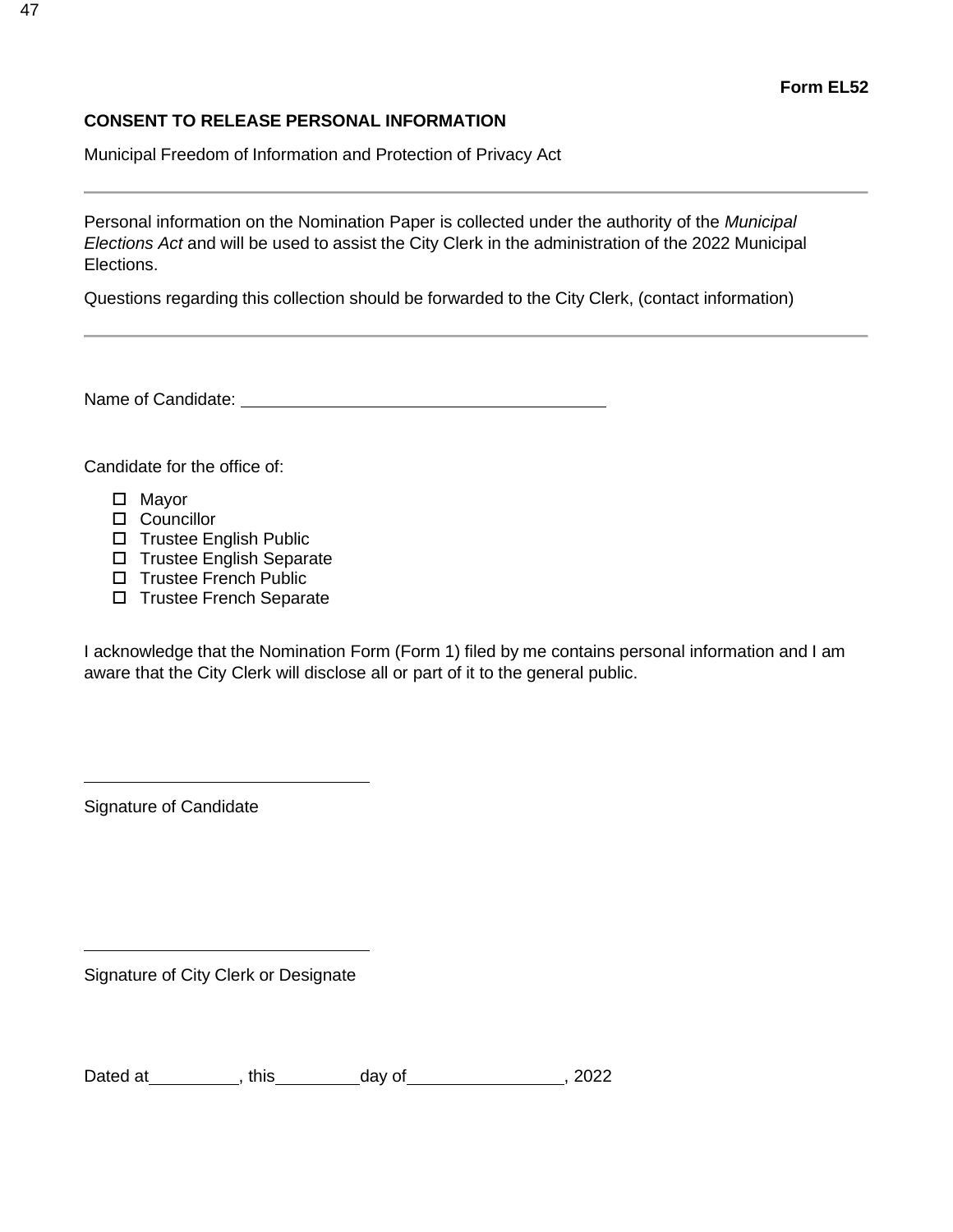#### **CONSENT TO RELEASE PERSONAL INFORMATION**

Municipal Freedom of Information and Protection of Privacy Act

Personal information on the Nomination Paper is collected under the authority of the *Municipal Elections Act* and will be used to assist the City Clerk in the administration of the 2022 Municipal Elections.

Questions regarding this collection should be forwarded to the City Clerk, (contact information)

Name of Candidate:

Candidate for the office of:

- □ Mayor
- □ Councillor
- □ Trustee English Public
- □ Trustee English Separate
- □ Trustee French Public
- □ Trustee French Separate

I acknowledge that the Nomination Form (Form 1) filed by me contains personal information and I am aware that the City Clerk will disclose all or part of it to the general public.

Signature of Candidate

Signature of City Clerk or Designate

Dated at , this day of , 2022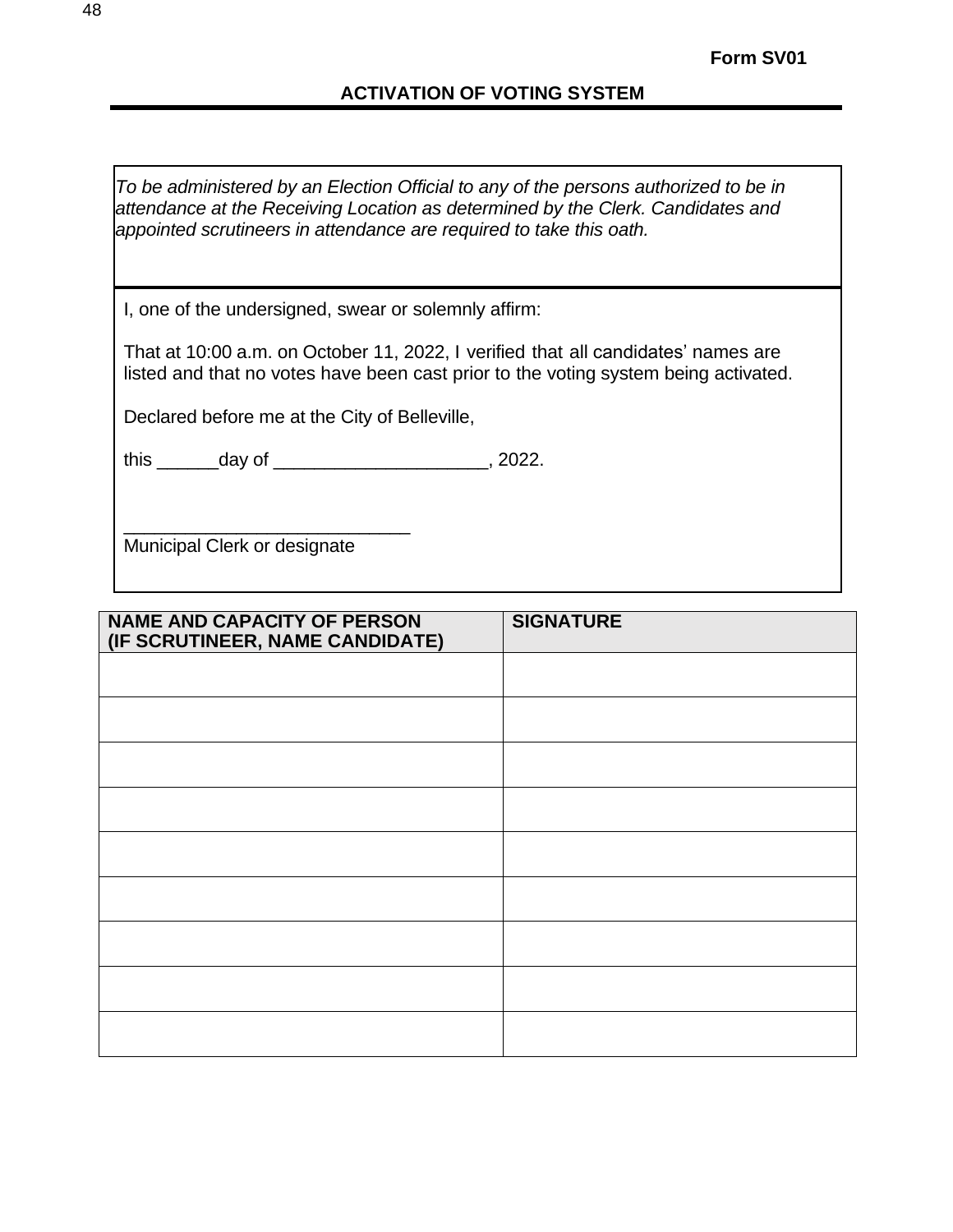# **ACTIVATION OF VOTING SYSTEM**

*To be administered by an Election Official to any of the persons authorized to be in attendance at the Receiving Location as determined by the Clerk. Candidates and appointed scrutineers in attendance are required to take this oath.*

I, one of the undersigned, swear or solemnly affirm:

That at 10:00 a.m. on October 11, 2022, I verified that all candidates' names are listed and that no votes have been cast prior to the voting system being activated.

Declared before me at the City of Belleville,

this \_\_\_\_\_\_day of \_\_\_\_\_\_\_\_\_\_\_\_\_\_\_\_\_\_\_\_\_, 2022.

Municipal Clerk or designate

\_\_\_\_\_\_\_\_\_\_\_\_\_\_\_\_\_\_\_\_\_\_\_\_\_\_\_\_

| <b>NAME AND CAPACITY OF PERSON</b><br>(IF SCRUTINEER, NAME CANDIDATE) | <b>SIGNATURE</b> |
|-----------------------------------------------------------------------|------------------|
|                                                                       |                  |
|                                                                       |                  |
|                                                                       |                  |
|                                                                       |                  |
|                                                                       |                  |
|                                                                       |                  |
|                                                                       |                  |
|                                                                       |                  |
|                                                                       |                  |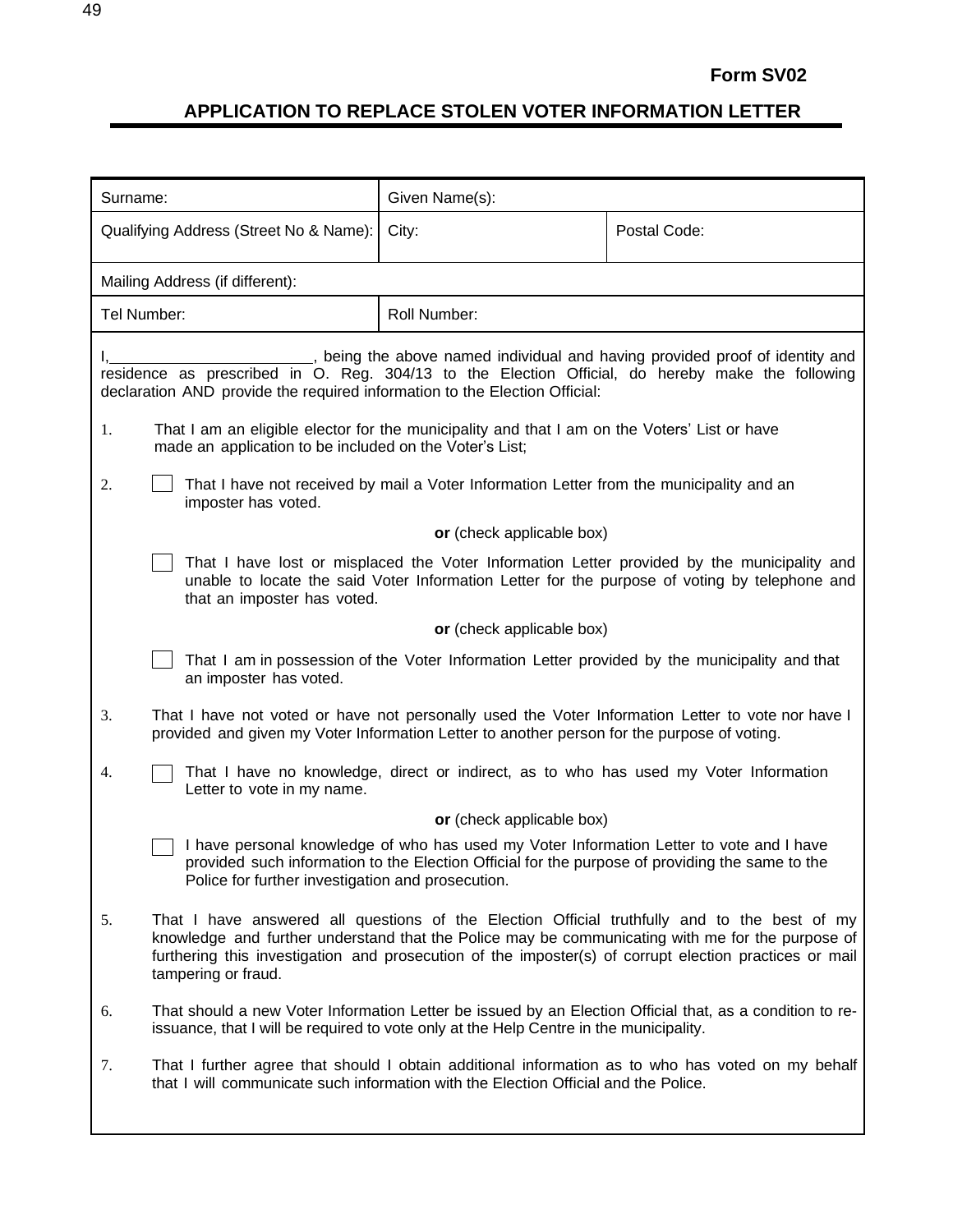# **Form SV02**

# **APPLICATION TO REPLACE STOLEN VOTER INFORMATION LETTER**

| Given Name(s):<br>Surname:                                                                                                                                                                                                                                   |                                                                                                                                                                                                  |                                                                                                                                                                                                                                                                                                            |  |
|--------------------------------------------------------------------------------------------------------------------------------------------------------------------------------------------------------------------------------------------------------------|--------------------------------------------------------------------------------------------------------------------------------------------------------------------------------------------------|------------------------------------------------------------------------------------------------------------------------------------------------------------------------------------------------------------------------------------------------------------------------------------------------------------|--|
| Qualifying Address (Street No & Name):                                                                                                                                                                                                                       | Postal Code:<br>City:                                                                                                                                                                            |                                                                                                                                                                                                                                                                                                            |  |
| Mailing Address (if different):                                                                                                                                                                                                                              |                                                                                                                                                                                                  |                                                                                                                                                                                                                                                                                                            |  |
| Tel Number:<br>Roll Number:                                                                                                                                                                                                                                  |                                                                                                                                                                                                  |                                                                                                                                                                                                                                                                                                            |  |
| being the above named individual and having provided proof of identity and<br>residence as prescribed in O. Reg. 304/13 to the Election Official, do hereby make the following<br>declaration AND provide the required information to the Election Official: |                                                                                                                                                                                                  |                                                                                                                                                                                                                                                                                                            |  |
| That I am an eligible elector for the municipality and that I am on the Voters' List or have<br>1.<br>made an application to be included on the Voter's List;                                                                                                |                                                                                                                                                                                                  |                                                                                                                                                                                                                                                                                                            |  |
| 2.<br>imposter has voted.                                                                                                                                                                                                                                    | That I have not received by mail a Voter Information Letter from the municipality and an                                                                                                         |                                                                                                                                                                                                                                                                                                            |  |
|                                                                                                                                                                                                                                                              | or (check applicable box)                                                                                                                                                                        |                                                                                                                                                                                                                                                                                                            |  |
| That I have lost or misplaced the Voter Information Letter provided by the municipality and<br>unable to locate the said Voter Information Letter for the purpose of voting by telephone and<br>that an imposter has voted.                                  |                                                                                                                                                                                                  |                                                                                                                                                                                                                                                                                                            |  |
|                                                                                                                                                                                                                                                              | or (check applicable box)                                                                                                                                                                        |                                                                                                                                                                                                                                                                                                            |  |
| That I am in possession of the Voter Information Letter provided by the municipality and that<br>an imposter has voted.                                                                                                                                      |                                                                                                                                                                                                  |                                                                                                                                                                                                                                                                                                            |  |
| 3.                                                                                                                                                                                                                                                           | That I have not voted or have not personally used the Voter Information Letter to vote nor have I<br>provided and given my Voter Information Letter to another person for the purpose of voting. |                                                                                                                                                                                                                                                                                                            |  |
| 4.<br>Letter to vote in my name.                                                                                                                                                                                                                             | That I have no knowledge, direct or indirect, as to who has used my Voter Information                                                                                                            |                                                                                                                                                                                                                                                                                                            |  |
|                                                                                                                                                                                                                                                              | or (check applicable box)                                                                                                                                                                        |                                                                                                                                                                                                                                                                                                            |  |
| Police for further investigation and prosecution.                                                                                                                                                                                                            | I have personal knowledge of who has used my Voter Information Letter to vote and I have<br>provided such information to the Election Official for the purpose of providing the same to the      |                                                                                                                                                                                                                                                                                                            |  |
| 5.<br>tampering or fraud.                                                                                                                                                                                                                                    |                                                                                                                                                                                                  | That I have answered all questions of the Election Official truthfully and to the best of my<br>knowledge and further understand that the Police may be communicating with me for the purpose of<br>furthering this investigation and prosecution of the imposter(s) of corrupt election practices or mail |  |
| 6.                                                                                                                                                                                                                                                           | issuance, that I will be required to vote only at the Help Centre in the municipality.                                                                                                           | That should a new Voter Information Letter be issued by an Election Official that, as a condition to re-                                                                                                                                                                                                   |  |
| 7.                                                                                                                                                                                                                                                           | that I will communicate such information with the Election Official and the Police.                                                                                                              | That I further agree that should I obtain additional information as to who has voted on my behalf                                                                                                                                                                                                          |  |
|                                                                                                                                                                                                                                                              |                                                                                                                                                                                                  |                                                                                                                                                                                                                                                                                                            |  |